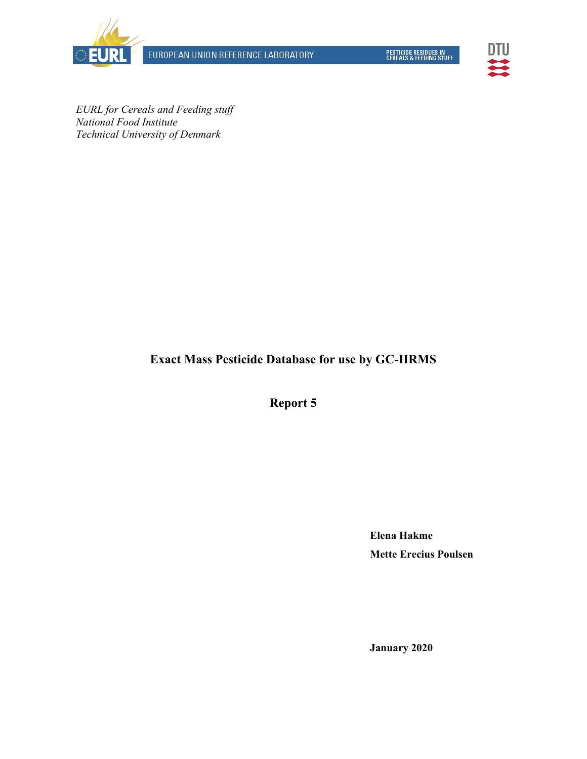EUROPEAN UNION REFERENCE LABORATORY



PESTICIDE RESIDUES IN<br>CEREALS & FEEDING STUFF



*EURL for Cereals and Feeding stuff National Food Institute Technical University of Denmark* 

**Exact Mass Pesticide Database for use by GC-HRMS** 

**Report 5** 

**Elena Hakme Mette Erecius Poulsen** 

**January 2020**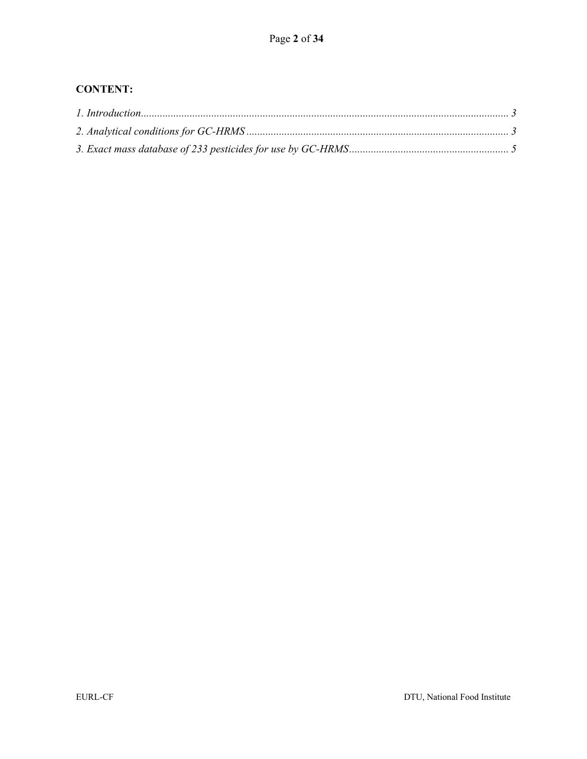# **CONTENT:**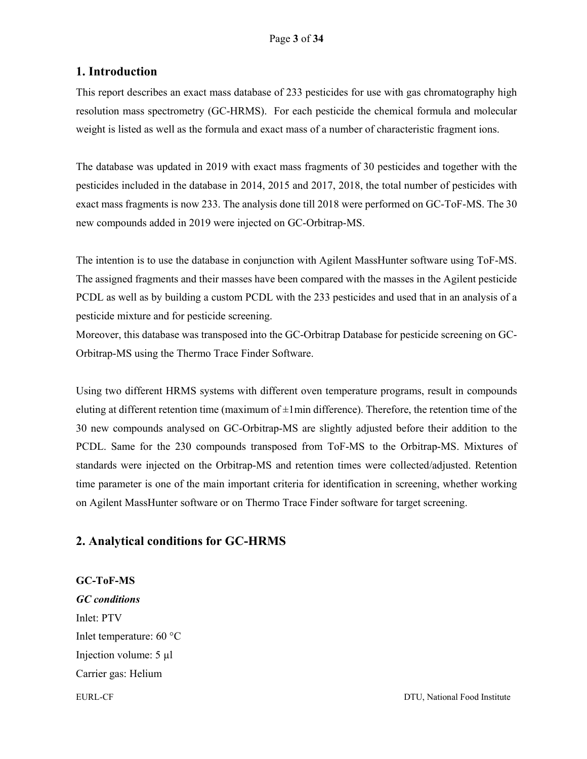### **1. Introduction**

This report describes an exact mass database of 233 pesticides for use with gas chromatography high resolution mass spectrometry (GC-HRMS). For each pesticide the chemical formula and molecular weight is listed as well as the formula and exact mass of a number of characteristic fragment ions.

The database was updated in 2019 with exact mass fragments of 30 pesticides and together with the pesticides included in the database in 2014, 2015 and 2017, 2018, the total number of pesticides with exact mass fragments is now 233. The analysis done till 2018 were performed on GC-ToF-MS. The 30 new compounds added in 2019 were injected on GC-Orbitrap-MS.

The intention is to use the database in conjunction with Agilent MassHunter software using ToF-MS. The assigned fragments and their masses have been compared with the masses in the Agilent pesticide PCDL as well as by building a custom PCDL with the 233 pesticides and used that in an analysis of a pesticide mixture and for pesticide screening.

Moreover, this database was transposed into the GC-Orbitrap Database for pesticide screening on GC-Orbitrap-MS using the Thermo Trace Finder Software.

Using two different HRMS systems with different oven temperature programs, result in compounds eluting at different retention time (maximum of  $\pm 1$ min difference). Therefore, the retention time of the 30 new compounds analysed on GC-Orbitrap-MS are slightly adjusted before their addition to the PCDL. Same for the 230 compounds transposed from ToF-MS to the Orbitrap-MS. Mixtures of standards were injected on the Orbitrap-MS and retention times were collected/adjusted. Retention time parameter is one of the main important criteria for identification in screening, whether working on Agilent MassHunter software or on Thermo Trace Finder software for target screening.

## **2. Analytical conditions for GC-HRMS**

**GC-ToF-MS** 

*GC conditions*  Inlet: PTV Inlet temperature: 60 °C Injection volume: 5 µl Carrier gas: Helium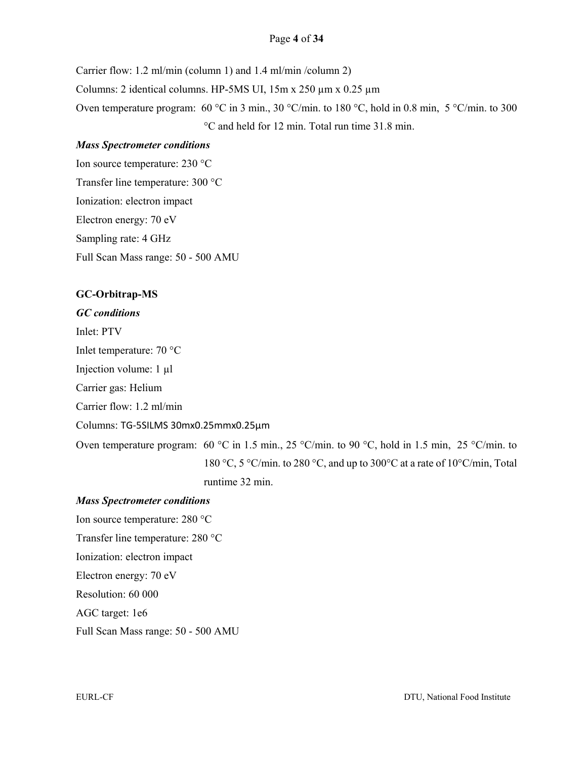#### Page **4** of **34**

Carrier flow: 1.2 ml/min (column 1) and 1.4 ml/min /column 2) Columns: 2 identical columns. HP-5MS UI,  $15m \times 250 \mu m \times 0.25 \mu m$ Oven temperature program: 60 °C in 3 min., 30 °C/min. to 180 °C, hold in 0.8 min, 5 °C/min. to 300 °C and held for 12 min. Total run time 31.8 min.

#### *Mass Spectrometer conditions*

Ion source temperature: 230 °C Transfer line temperature: 300 °C Ionization: electron impact Electron energy: 70 eV Sampling rate: 4 GHz Full Scan Mass range: 50 - 500 AMU

#### **GC-Orbitrap-MS**

*GC conditions*  Inlet: PTV Inlet temperature: 70 °C Injection volume: 1 µl Carrier gas: Helium Carrier flow: 1.2 ml/min Columns: TG‐5SILMS 30mx0.25mmx0.25µm Oven temperature program: 60 °C in 1.5 min., 25 °C/min. to 90 °C, hold in 1.5 min, 25 °C/min. to 180 °C, 5 °C/min. to 280 °C, and up to 300°C at a rate of 10°C/min, Total runtime 32 min.

#### *Mass Spectrometer conditions*

Ion source temperature: 280 °C Transfer line temperature: 280 °C Ionization: electron impact Electron energy: 70 eV Resolution: 60 000 AGC target: 1e6

Full Scan Mass range: 50 - 500 AMU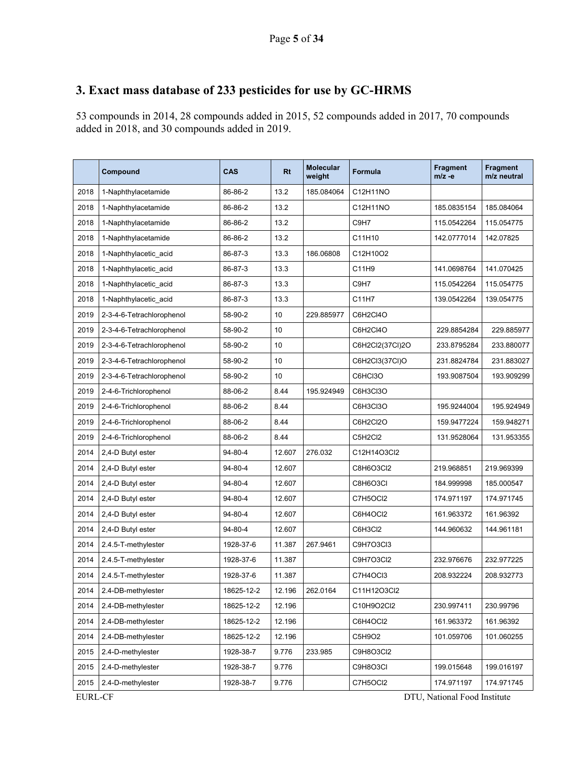# **3. Exact mass database of 233 pesticides for use by GC-HRMS**

53 compounds in 2014, 28 compounds added in 2015, 52 compounds added in 2017, 70 compounds added in 2018, and 30 compounds added in 2019.

|                | Compound                  | CAS        | <b>Rt</b> | <b>Molecular</b><br>weight | <b>Formula</b>  | <b>Fragment</b><br>$m/z -e$  | <b>Fragment</b><br>m/z neutral |
|----------------|---------------------------|------------|-----------|----------------------------|-----------------|------------------------------|--------------------------------|
| 2018           | 1-Naphthylacetamide       | 86-86-2    | 13.2      | 185.084064                 | C12H11NO        |                              |                                |
| 2018           | 1-Naphthylacetamide       | 86-86-2    | 13.2      |                            | C12H11NO        | 185.0835154                  | 185.084064                     |
| 2018           | 1-Naphthylacetamide       | 86-86-2    | 13.2      |                            | C9H7            | 115.0542264                  | 115.054775                     |
| 2018           | 1-Naphthylacetamide       | 86-86-2    | 13.2      |                            | C11H10          | 142.0777014                  | 142.07825                      |
| 2018           | 1-Naphthylacetic acid     | 86-87-3    | 13.3      | 186.06808                  | C12H10O2        |                              |                                |
| 2018           | 1-Naphthylacetic acid     | 86-87-3    | 13.3      |                            | C11H9           | 141.0698764                  | 141.070425                     |
| 2018           | 1-Naphthylacetic acid     | 86-87-3    | 13.3      |                            | C9H7            | 115.0542264                  | 115.054775                     |
| 2018           | 1-Naphthylacetic acid     | 86-87-3    | 13.3      |                            | C11H7           | 139.0542264                  | 139.054775                     |
| 2019           | 2-3-4-6-Tetrachlorophenol | 58-90-2    | 10        | 229.885977                 | C6H2CI4O        |                              |                                |
| 2019           | 2-3-4-6-Tetrachlorophenol | 58-90-2    | 10        |                            | C6H2CI4O        | 229.8854284                  | 229.885977                     |
| 2019           | 2-3-4-6-Tetrachlorophenol | 58-90-2    | 10        |                            | C6H2Cl2(37Cl)2O | 233.8795284                  | 233.880077                     |
| 2019           | 2-3-4-6-Tetrachlorophenol | 58-90-2    | 10        |                            | C6H2Cl3(37Cl)O  | 231.8824784                  | 231.883027                     |
| 2019           | 2-3-4-6-Tetrachlorophenol | 58-90-2    | 10        |                            | C6HCI3O         | 193.9087504                  | 193.909299                     |
| 2019           | 2-4-6-Trichlorophenol     | 88-06-2    | 8.44      | 195.924949                 | C6H3Cl3O        |                              |                                |
| 2019           | 2-4-6-Trichlorophenol     | 88-06-2    | 8.44      |                            | C6H3Cl3O        | 195.9244004                  | 195.924949                     |
| 2019           | 2-4-6-Trichlorophenol     | 88-06-2    | 8.44      |                            | C6H2Cl2O        | 159.9477224                  | 159.948271                     |
| 2019           | 2-4-6-Trichlorophenol     | 88-06-2    | 8.44      |                            | C5H2Cl2         | 131.9528064                  | 131.953355                     |
| 2014           | 2,4-D Butyl ester         | 94-80-4    | 12.607    | 276.032                    | C12H14O3Cl2     |                              |                                |
| 2014           | 2,4-D Butyl ester         | 94-80-4    | 12.607    |                            | C8H6O3Cl2       | 219.968851                   | 219.969399                     |
| 2014           | 2,4-D Butyl ester         | 94-80-4    | 12.607    |                            | C8H6O3CI        | 184.999998                   | 185.000547                     |
| 2014           | 2,4-D Butyl ester         | 94-80-4    | 12.607    |                            | C7H5OCI2        | 174.971197                   | 174.971745                     |
| 2014           | 2,4-D Butyl ester         | 94-80-4    | 12.607    |                            | C6H4OCI2        | 161.963372                   | 161.96392                      |
| 2014           | 2,4-D Butyl ester         | 94-80-4    | 12.607    |                            | C6H3Cl2         | 144.960632                   | 144.961181                     |
| 2014           | 2.4.5-T-methylester       | 1928-37-6  | 11.387    | 267.9461                   | C9H7O3Cl3       |                              |                                |
| 2014           | 2.4.5-T-methylester       | 1928-37-6  | 11.387    |                            | C9H7O3Cl2       | 232.976676                   | 232.977225                     |
| 2014           | 2.4.5-T-methylester       | 1928-37-6  | 11.387    |                            | C7H4OCI3        | 208.932224                   | 208.932773                     |
| 2014           | 2.4-DB-methylester        | 18625-12-2 | 12.196    | 262.0164                   | C11H12O3Cl2     |                              |                                |
| 2014           | 2.4-DB-methylester        | 18625-12-2 | 12.196    |                            | C10H9O2Cl2      | 230.997411                   | 230.99796                      |
| 2014           | 2.4-DB-methylester        | 18625-12-2 | 12.196    |                            | C6H4OCI2        | 161.963372                   | 161.96392                      |
| 2014           | 2.4-DB-methylester        | 18625-12-2 | 12.196    |                            | C5H9O2          | 101.059706                   | 101.060255                     |
| 2015           | 2.4-D-methylester         | 1928-38-7  | 9.776     | 233.985                    | C9H8O3Cl2       |                              |                                |
| 2015           | 2.4-D-methylester         | 1928-38-7  | 9.776     |                            | C9H8O3CI        | 199.015648                   | 199.016197                     |
| 2015           | 2.4-D-methylester         | 1928-38-7  | 9.776     |                            | C7H5OCI2        | 174.971197                   | 174.971745                     |
| <b>EURL-CF</b> |                           |            |           |                            |                 | DTU, National Food Institute |                                |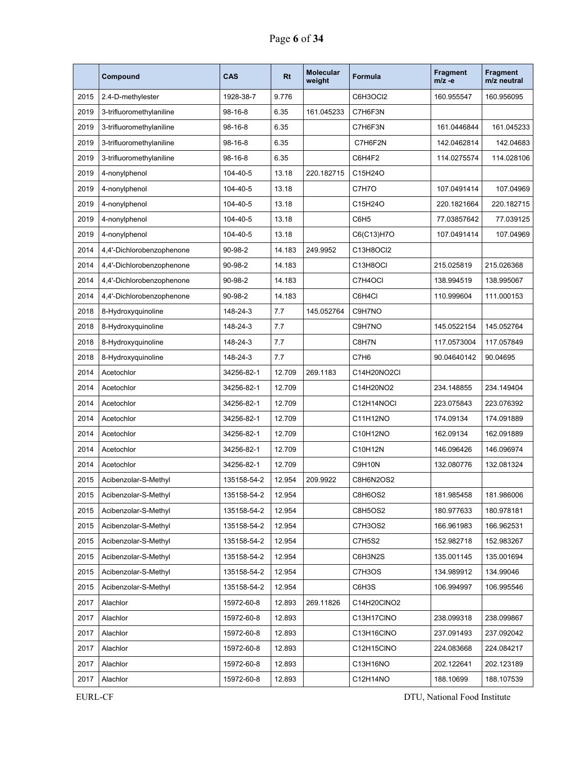|      | Compound                  | CAS           | <b>Rt</b> | <b>Molecular</b><br>weight | <b>Formula</b>   | <b>Fragment</b><br>$m/z -e$ | <b>Fragment</b><br>m/z neutral |
|------|---------------------------|---------------|-----------|----------------------------|------------------|-----------------------------|--------------------------------|
| 2015 | 2.4-D-methylester         | 1928-38-7     | 9.776     |                            | C6H3OCI2         | 160.955547                  | 160.956095                     |
| 2019 | 3-trifluoromethylaniline  | $98 - 16 - 8$ | 6.35      | 161.045233                 | C7H6F3N          |                             |                                |
| 2019 | 3-trifluoromethylaniline  | 98-16-8       | 6.35      |                            | C7H6F3N          | 161.0446844                 | 161.045233                     |
| 2019 | 3-trifluoromethylaniline  | $98 - 16 - 8$ | 6.35      |                            | C7H6F2N          | 142.0462814                 | 142.04683                      |
| 2019 | 3-trifluoromethylaniline  | $98 - 16 - 8$ | 6.35      |                            | C6H4F2           | 114.0275574                 | 114.028106                     |
| 2019 | 4-nonylphenol             | 104-40-5      | 13.18     | 220.182715                 | C15H24O          |                             |                                |
| 2019 | 4-nonylphenol             | 104-40-5      | 13.18     |                            | C7H7O            | 107.0491414                 | 107.04969                      |
| 2019 | 4-nonylphenol             | 104-40-5      | 13.18     |                            | C15H24O          | 220.1821664                 | 220.182715                     |
| 2019 | 4-nonylphenol             | 104-40-5      | 13.18     |                            | C6H <sub>5</sub> | 77.03857642                 | 77.039125                      |
| 2019 | 4-nonylphenol             | 104-40-5      | 13.18     |                            | C6(C13)H7O       | 107.0491414                 | 107.04969                      |
| 2014 | 4,4'-Dichlorobenzophenone | 90-98-2       | 14.183    | 249.9952                   | C13H8OCI2        |                             |                                |
| 2014 | 4,4'-Dichlorobenzophenone | 90-98-2       | 14.183    |                            | C13H8OCI         | 215.025819                  | 215.026368                     |
| 2014 | 4,4'-Dichlorobenzophenone | 90-98-2       | 14.183    |                            | C7H4OCI          | 138.994519                  | 138.995067                     |
| 2014 | 4,4'-Dichlorobenzophenone | 90-98-2       | 14.183    |                            | C6H4Cl           | 110.999604                  | 111.000153                     |
| 2018 | 8-Hydroxyquinoline        | 148-24-3      | 7.7       | 145.052764                 | C9H7NO           |                             |                                |
| 2018 | 8-Hydroxyquinoline        | 148-24-3      | 7.7       |                            | C9H7NO           | 145.0522154                 | 145.052764                     |
| 2018 | 8-Hydroxyquinoline        | 148-24-3      | 7.7       |                            | C8H7N            | 117.0573004                 | 117.057849                     |
| 2018 | 8-Hydroxyquinoline        | 148-24-3      | 7.7       |                            | C7H <sub>6</sub> | 90.04640142                 | 90.04695                       |
| 2014 | Acetochlor                | 34256-82-1    | 12.709    | 269.1183                   | C14H20NO2Cl      |                             |                                |
| 2014 | Acetochlor                | 34256-82-1    | 12.709    |                            | C14H20NO2        | 234.148855                  | 234.149404                     |
| 2014 | Acetochlor                | 34256-82-1    | 12.709    |                            | C12H14NOCI       | 223.075843                  | 223.076392                     |
| 2014 | Acetochlor                | 34256-82-1    | 12.709    |                            | C11H12NO         | 174.09134                   | 174.091889                     |
| 2014 | Acetochlor                | 34256-82-1    | 12.709    |                            | C10H12NO         | 162.09134                   | 162.091889                     |
| 2014 | Acetochlor                | 34256-82-1    | 12.709    |                            | C10H12N          | 146.096426                  | 146.096974                     |
| 2014 | Acetochlor                | 34256-82-1    | 12.709    |                            | C9H10N           | 132.080776                  | 132.081324                     |
| 2015 | Acibenzolar-S-Methyl      | 135158-54-2   | 12.954    | 209.9922                   | C8H6N2OS2        |                             |                                |
| 2015 | Acibenzolar-S-Methyl      | 135158-54-2   | 12.954    |                            | C8H6OS2          | 181.985458                  | 181.986006                     |
| 2015 | Acibenzolar-S-Methyl      | 135158-54-2   | 12.954    |                            | <b>C8H5OS2</b>   | 180.977633                  | 180.978181                     |
| 2015 | Acibenzolar-S-Methyl      | 135158-54-2   | 12.954    |                            | C7H3OS2          | 166.961983                  | 166.962531                     |
| 2015 | Acibenzolar-S-Methyl      | 135158-54-2   | 12.954    |                            | C7H5S2           | 152.982718                  | 152.983267                     |
| 2015 | Acibenzolar-S-Methyl      | 135158-54-2   | 12.954    |                            | C6H3N2S          | 135.001145                  | 135.001694                     |
| 2015 | Acibenzolar-S-Methyl      | 135158-54-2   | 12.954    |                            | C7H3OS           | 134.989912                  | 134.99046                      |
| 2015 | Acibenzolar-S-Methyl      | 135158-54-2   | 12.954    |                            | C6H3S            | 106.994997                  | 106.995546                     |
| 2017 | Alachlor                  | 15972-60-8    | 12.893    | 269.11826                  | C14H20CINO2      |                             |                                |
| 2017 | Alachlor                  | 15972-60-8    | 12.893    |                            | C13H17CINO       | 238.099318                  | 238.099867                     |
| 2017 | Alachlor                  | 15972-60-8    | 12.893    |                            | C13H16CINO       | 237.091493                  | 237.092042                     |
| 2017 | Alachlor                  | 15972-60-8    | 12.893    |                            | C12H15CINO       | 224.083668                  | 224.084217                     |
| 2017 | Alachlor                  | 15972-60-8    | 12.893    |                            | C13H16NO         | 202.122641                  | 202.123189                     |
| 2017 | Alachlor                  | 15972-60-8    | 12.893    |                            | C12H14NO         | 188.10699                   | 188.107539                     |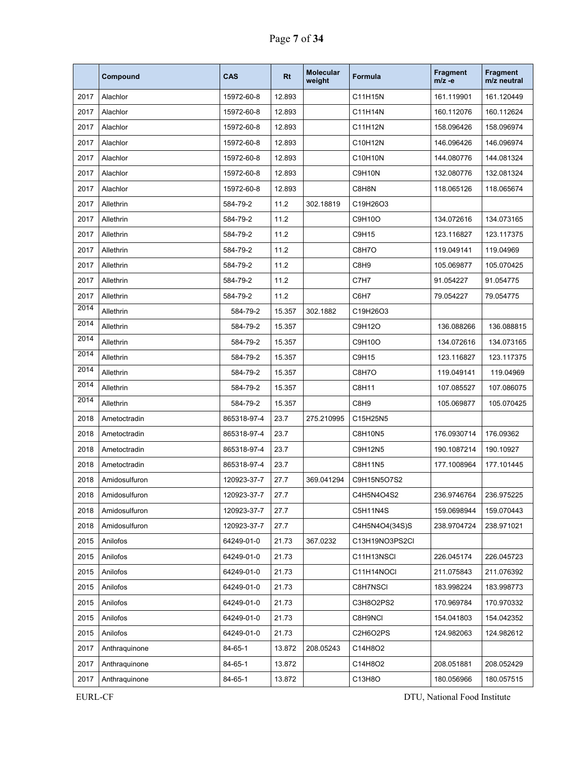|      | Compound      | <b>CAS</b>  | <b>Rt</b> | <b>Molecular</b><br>weight | Formula          | <b>Fragment</b><br>$m/z -e$ | <b>Fragment</b><br>m/z neutral |
|------|---------------|-------------|-----------|----------------------------|------------------|-----------------------------|--------------------------------|
| 2017 | Alachlor      | 15972-60-8  | 12.893    |                            | C11H15N          | 161.119901                  | 161.120449                     |
| 2017 | Alachlor      | 15972-60-8  | 12.893    |                            | C11H14N          | 160.112076                  | 160.112624                     |
| 2017 | Alachlor      | 15972-60-8  | 12.893    |                            | C11H12N          | 158.096426                  | 158.096974                     |
| 2017 | Alachlor      | 15972-60-8  | 12.893    |                            | C10H12N          | 146.096426                  | 146.096974                     |
| 2017 | Alachlor      | 15972-60-8  | 12.893    |                            | C10H10N          | 144.080776                  | 144.081324                     |
| 2017 | Alachlor      | 15972-60-8  | 12.893    |                            | C9H10N           | 132.080776                  | 132.081324                     |
| 2017 | Alachlor      | 15972-60-8  | 12.893    |                            | C8H8N            | 118.065126                  | 118.065674                     |
| 2017 | Allethrin     | 584-79-2    | 11.2      | 302.18819                  | C19H26O3         |                             |                                |
| 2017 | Allethrin     | 584-79-2    | 11.2      |                            | C9H10O           | 134.072616                  | 134.073165                     |
| 2017 | Allethrin     | 584-79-2    | 11.2      |                            | C9H15            | 123.116827                  | 123.117375                     |
| 2017 | Allethrin     | 584-79-2    | 11.2      |                            | C8H7O            | 119.049141                  | 119.04969                      |
| 2017 | Allethrin     | 584-79-2    | 11.2      |                            | C8H <sub>9</sub> | 105.069877                  | 105.070425                     |
| 2017 | Allethrin     | 584-79-2    | 11.2      |                            | C7H7             | 91.054227                   | 91.054775                      |
| 2017 | Allethrin     | 584-79-2    | 11.2      |                            | C6H7             | 79.054227                   | 79.054775                      |
| 2014 | Allethrin     | 584-79-2    | 15.357    | 302.1882                   | C19H26O3         |                             |                                |
| 2014 | Allethrin     | 584-79-2    | 15.357    |                            | C9H12O           | 136.088266                  | 136.088815                     |
| 2014 | Allethrin     | 584-79-2    | 15.357    |                            | C9H10O           | 134.072616                  | 134.073165                     |
| 2014 | Allethrin     | 584-79-2    | 15.357    |                            | C9H15            | 123.116827                  | 123.117375                     |
| 2014 | Allethrin     | 584-79-2    | 15.357    |                            | C8H7O            | 119.049141                  | 119.04969                      |
| 2014 | Allethrin     | 584-79-2    | 15.357    |                            | C8H11            | 107.085527                  | 107.086075                     |
| 2014 | Allethrin     | 584-79-2    | 15.357    |                            | C8H9             | 105.069877                  | 105.070425                     |
| 2018 | Ametoctradin  | 865318-97-4 | 23.7      | 275.210995                 | C15H25N5         |                             |                                |
| 2018 | Ametoctradin  | 865318-97-4 | 23.7      |                            | C8H10N5          | 176.0930714                 | 176.09362                      |
| 2018 | Ametoctradin  | 865318-97-4 | 23.7      |                            | C9H12N5          | 190.1087214                 | 190.10927                      |
| 2018 | Ametoctradin  | 865318-97-4 | 23.7      |                            | C8H11N5          | 177.1008964                 | 177.101445                     |
| 2018 | Amidosulfuron | 120923-37-7 | 27.7      | 369.041294                 | C9H15N5O7S2      |                             |                                |
| 2018 | Amidosulfuron | 120923-37-7 | 27.7      |                            | C4H5N4O4S2       | 236.9746764                 | 236.975225                     |
| 2018 | Amidosulfuron | 120923-37-7 | 27.7      |                            | C5H11N4S         | 159.0698944                 | 159.070443                     |
| 2018 | Amidosulfuron | 120923-37-7 | 27.7      |                            | C4H5N4O4(34S)S   | 238.9704724                 | 238.971021                     |
| 2015 | Anilofos      | 64249-01-0  | 21.73     | 367.0232                   | C13H19NO3PS2CI   |                             |                                |
| 2015 | Anilofos      | 64249-01-0  | 21.73     |                            | C11H13NSCI       | 226.045174                  | 226.045723                     |
| 2015 | Anilofos      | 64249-01-0  | 21.73     |                            | C11H14NOCI       | 211.075843                  | 211.076392                     |
| 2015 | Anilofos      | 64249-01-0  | 21.73     |                            | C8H7NSCI         | 183.998224                  | 183.998773                     |
| 2015 | Anilofos      | 64249-01-0  | 21.73     |                            | C3H8O2PS2        | 170.969784                  | 170.970332                     |
| 2015 | Anilofos      | 64249-01-0  | 21.73     |                            | C8H9NCI          | 154.041803                  | 154.042352                     |
| 2015 | Anilofos      | 64249-01-0  | 21.73     |                            | C2H6O2PS         | 124.982063                  | 124.982612                     |
| 2017 | Anthraquinone | 84-65-1     | 13.872    | 208.05243                  | C14H8O2          |                             |                                |
| 2017 | Anthraquinone | 84-65-1     | 13.872    |                            | C14H8O2          | 208.051881                  | 208.052429                     |
| 2017 | Anthraquinone | 84-65-1     | 13.872    |                            | C13H8O           | 180.056966                  | 180.057515                     |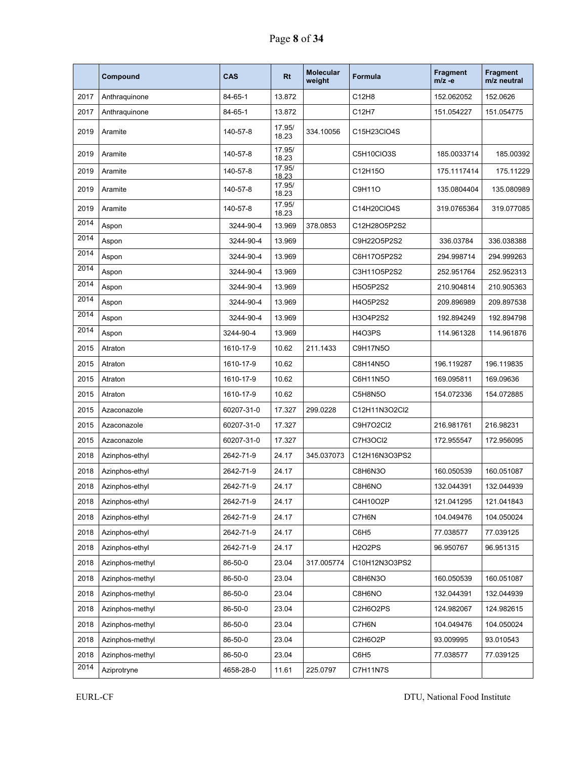|      | Compound        | CAS        | Rt              | <b>Molecular</b><br>weight | <b>Formula</b> | <b>Fragment</b><br>$m/z -e$ | Fragment<br>m/z neutral |
|------|-----------------|------------|-----------------|----------------------------|----------------|-----------------------------|-------------------------|
| 2017 | Anthraquinone   | 84-65-1    | 13.872          |                            | C12H8          | 152.062052                  | 152.0626                |
| 2017 | Anthraguinone   | 84-65-1    | 13.872          |                            | C12H7          | 151.054227                  | 151.054775              |
| 2019 | Aramite         | 140-57-8   | 17.95/<br>18.23 | 334.10056                  | C15H23CIO4S    |                             |                         |
| 2019 | Aramite         | 140-57-8   | 17.95/<br>18.23 |                            | C5H10CIO3S     | 185.0033714                 | 185.00392               |
| 2019 | Aramite         | 140-57-8   | 17.95/<br>18.23 |                            | C12H15O        | 175.1117414                 | 175.11229               |
| 2019 | Aramite         | 140-57-8   | 17.95/<br>18.23 |                            | C9H11O         | 135.0804404                 | 135.080989              |
| 2019 | Aramite         | 140-57-8   | 17.95/<br>18.23 |                            | C14H20ClO4S    | 319.0765364                 | 319.077085              |
| 2014 | Aspon           | 3244-90-4  | 13.969          | 378.0853                   | C12H28O5P2S2   |                             |                         |
| 2014 | Aspon           | 3244-90-4  | 13.969          |                            | C9H22O5P2S2    | 336.03784                   | 336.038388              |
| 2014 | Aspon           | 3244-90-4  | 13.969          |                            | C6H17O5P2S2    | 294.998714                  | 294.999263              |
| 2014 | Aspon           | 3244-90-4  | 13.969          |                            | C3H11O5P2S2    | 252.951764                  | 252.952313              |
| 2014 | Aspon           | 3244-90-4  | 13.969          |                            | H5O5P2S2       | 210.904814                  | 210.905363              |
| 2014 | Aspon           | 3244-90-4  | 13.969          |                            | H4O5P2S2       | 209.896989                  | 209.897538              |
| 2014 | Aspon           | 3244-90-4  | 13.969          |                            | H3O4P2S2       | 192.894249                  | 192.894798              |
| 2014 | Aspon           | 3244-90-4  | 13.969          |                            | H4O3PS         | 114.961328                  | 114.961876              |
| 2015 | Atraton         | 1610-17-9  | 10.62           | 211.1433                   | C9H17N5O       |                             |                         |
| 2015 | Atraton         | 1610-17-9  | 10.62           |                            | C8H14N5O       | 196.119287                  | 196.119835              |
| 2015 | Atraton         | 1610-17-9  | 10.62           |                            | C6H11N5O       | 169.095811                  | 169.09636               |
| 2015 | Atraton         | 1610-17-9  | 10.62           |                            | C5H8N5O        | 154.072336                  | 154.072885              |
| 2015 | Azaconazole     | 60207-31-0 | 17.327          | 299.0228                   | C12H11N3O2Cl2  |                             |                         |
| 2015 | Azaconazole     | 60207-31-0 | 17.327          |                            | C9H7O2Cl2      | 216.981761                  | 216.98231               |
| 2015 | Azaconazole     | 60207-31-0 | 17.327          |                            | C7H3OCI2       | 172.955547                  | 172.956095              |
| 2018 | Azinphos-ethyl  | 2642-71-9  | 24.17           | 345.037073                 | C12H16N3O3PS2  |                             |                         |
| 2018 | Azinphos-ethyl  | 2642-71-9  | 24.17           |                            | C8H6N3O        | 160.050539                  | 160.051087              |
| 2018 | Azinphos-ethyl  | 2642-71-9  | 24.17           |                            | C8H6NO         | 132.044391                  | 132.044939              |
| 2018 | Azinphos-ethyl  | 2642-71-9  | 24.17           |                            | C4H10O2P       | 121.041295                  | 121.041843              |
| 2018 | Azinphos-ethyl  | 2642-71-9  | 24.17           |                            | C7H6N          | 104.049476                  | 104.050024              |
| 2018 | Azinphos-ethyl  | 2642-71-9  | 24.17           |                            | C6H5           | 77.038577                   | 77.039125               |
| 2018 | Azinphos-ethyl  | 2642-71-9  | 24.17           |                            | <b>H2O2PS</b>  | 96.950767                   | 96.951315               |
| 2018 | Azinphos-methyl | 86-50-0    | 23.04           | 317.005774                 | C10H12N3O3PS2  |                             |                         |
| 2018 | Azinphos-methyl | 86-50-0    | 23.04           |                            | C8H6N3O        | 160.050539                  | 160.051087              |
| 2018 | Azinphos-methyl | 86-50-0    | 23.04           |                            | C8H6NO         | 132.044391                  | 132.044939              |
| 2018 | Azinphos-methyl | 86-50-0    | 23.04           |                            | C2H6O2PS       | 124.982067                  | 124.982615              |
| 2018 | Azinphos-methyl | 86-50-0    | 23.04           |                            | C7H6N          | 104.049476                  | 104.050024              |
| 2018 | Azinphos-methyl | 86-50-0    | 23.04           |                            | C2H6O2P        | 93.009995                   | 93.010543               |
| 2018 | Azinphos-methyl | 86-50-0    | 23.04           |                            | C6H5           | 77.038577                   | 77.039125               |
| 2014 | Aziprotryne     | 4658-28-0  | 11.61           | 225.0797                   | C7H11N7S       |                             |                         |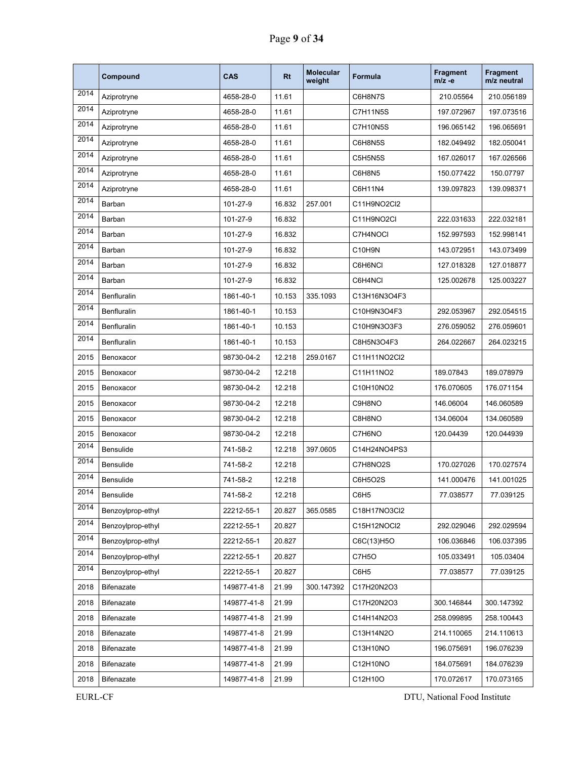|      | Compound           | <b>CAS</b>  | <b>Rt</b> | <b>Molecular</b><br>weight | Formula         | <b>Fragment</b><br>$m/z -e$ | Fragment<br>m/z neutral |
|------|--------------------|-------------|-----------|----------------------------|-----------------|-----------------------------|-------------------------|
| 2014 | Aziprotryne        | 4658-28-0   | 11.61     |                            | C6H8N7S         | 210.05564                   | 210.056189              |
| 2014 | Aziprotryne        | 4658-28-0   | 11.61     |                            | <b>C7H11N5S</b> | 197.072967                  | 197.073516              |
| 2014 | Aziprotryne        | 4658-28-0   | 11.61     |                            | <b>C7H10N5S</b> | 196.065142                  | 196.065691              |
| 2014 | Aziprotryne        | 4658-28-0   | 11.61     |                            | C6H8N5S         | 182.049492                  | 182.050041              |
| 2014 | Aziprotryne        | 4658-28-0   | 11.61     |                            | C5H5N5S         | 167.026017                  | 167.026566              |
| 2014 | Aziprotryne        | 4658-28-0   | 11.61     |                            | C6H8N5          | 150.077422                  | 150.07797               |
| 2014 | Aziprotryne        | 4658-28-0   | 11.61     |                            | C6H11N4         | 139.097823                  | 139.098371              |
| 2014 | Barban             | 101-27-9    | 16.832    | 257.001                    | C11H9NO2Cl2     |                             |                         |
| 2014 | Barban             | 101-27-9    | 16.832    |                            | C11H9NO2CI      | 222.031633                  | 222.032181              |
| 2014 | Barban             | 101-27-9    | 16.832    |                            | C7H4NOCI        | 152.997593                  | 152.998141              |
| 2014 | Barban             | 101-27-9    | 16.832    |                            | C10H9N          | 143.072951                  | 143.073499              |
| 2014 | Barban             | 101-27-9    | 16.832    |                            | C6H6NCI         | 127.018328                  | 127.018877              |
| 2014 | Barban             | 101-27-9    | 16.832    |                            | C6H4NCI         | 125.002678                  | 125.003227              |
| 2014 | Benfluralin        | 1861-40-1   | 10.153    | 335.1093                   | C13H16N3O4F3    |                             |                         |
| 2014 | Benfluralin        | 1861-40-1   | 10.153    |                            | C10H9N3O4F3     | 292.053967                  | 292.054515              |
| 2014 | <b>Benfluralin</b> | 1861-40-1   | 10.153    |                            | C10H9N3O3F3     | 276.059052                  | 276.059601              |
| 2014 | Benfluralin        | 1861-40-1   | 10.153    |                            | C8H5N3O4F3      | 264.022667                  | 264.023215              |
| 2015 | Benoxacor          | 98730-04-2  | 12.218    | 259.0167                   | C11H11NO2Cl2    |                             |                         |
| 2015 | Benoxacor          | 98730-04-2  | 12.218    |                            | C11H11NO2       | 189.07843                   | 189.078979              |
| 2015 | Benoxacor          | 98730-04-2  | 12.218    |                            | C10H10NO2       | 176.070605                  | 176.071154              |
| 2015 | Benoxacor          | 98730-04-2  | 12.218    |                            | C9H8NO          | 146.06004                   | 146.060589              |
| 2015 | Benoxacor          | 98730-04-2  | 12.218    |                            | C8H8NO          | 134.06004                   | 134.060589              |
| 2015 | Benoxacor          | 98730-04-2  | 12.218    |                            | C7H6NO          | 120.04439                   | 120.044939              |
| 2014 | Bensulide          | 741-58-2    | 12.218    | 397.0605                   | C14H24NO4PS3    |                             |                         |
| 2014 | Bensulide          | 741-58-2    | 12.218    |                            | C7H8NO2S        | 170.027026                  | 170.027574              |
| 2014 | Bensulide          | 741-58-2    | 12.218    |                            | C6H5O2S         | 141.000476                  | 141.001025              |
| 2014 | Bensulide          | 741-58-2    | 12.218    |                            | C6H5            | 77.038577                   | 77.039125               |
| 2014 | Benzoylprop-ethyl  | 22212-55-1  | 20.827    | 365.0585                   | C18H17NO3Cl2    |                             |                         |
| 2014 | Benzoylprop-ethyl  | 22212-55-1  | 20.827    |                            | C15H12NOCI2     | 292.029046                  | 292.029594              |
| 2014 | Benzoylprop-ethyl  | 22212-55-1  | 20.827    |                            | C6C(13)H5O      | 106.036846                  | 106.037395              |
| 2014 | Benzoylprop-ethyl  | 22212-55-1  | 20.827    |                            | C7H5O           | 105.033491                  | 105.03404               |
| 2014 | Benzoylprop-ethyl  | 22212-55-1  | 20.827    |                            | C6H5            | 77.038577                   | 77.039125               |
| 2018 | Bifenazate         | 149877-41-8 | 21.99     | 300.147392                 | C17H20N2O3      |                             |                         |
| 2018 | <b>Bifenazate</b>  | 149877-41-8 | 21.99     |                            | C17H20N2O3      | 300.146844                  | 300.147392              |
| 2018 | Bifenazate         | 149877-41-8 | 21.99     |                            | C14H14N2O3      | 258.099895                  | 258.100443              |
| 2018 | Bifenazate         | 149877-41-8 | 21.99     |                            | C13H14N2O       | 214.110065                  | 214.110613              |
| 2018 | Bifenazate         | 149877-41-8 | 21.99     |                            | C13H10NO        | 196.075691                  | 196.076239              |
| 2018 | Bifenazate         | 149877-41-8 | 21.99     |                            | C12H10NO        | 184.075691                  | 184.076239              |
| 2018 | Bifenazate         | 149877-41-8 | 21.99     |                            | C12H10O         | 170.072617                  | 170.073165              |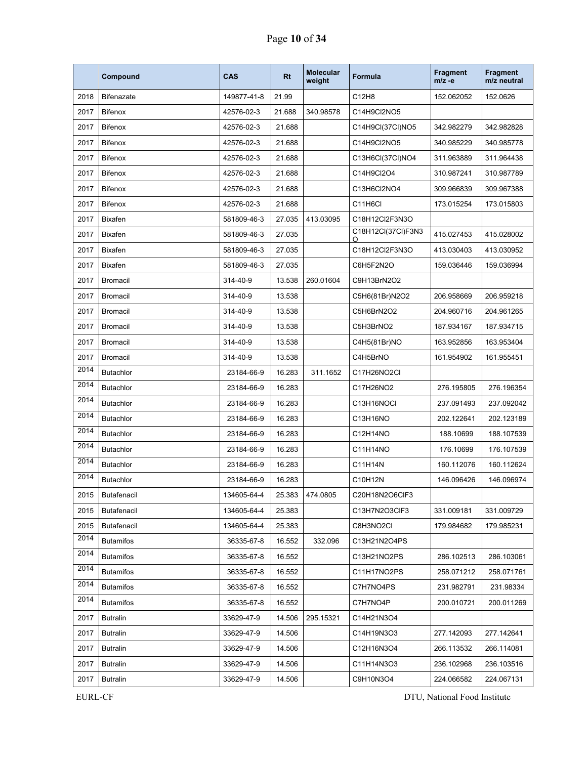|      | Compound           | CAS         | Rt     | <b>Molecular</b><br>weight | Formula                 | <b>Fragment</b><br>m/z -e | <b>Fragment</b><br>m/z neutral |
|------|--------------------|-------------|--------|----------------------------|-------------------------|---------------------------|--------------------------------|
| 2018 | <b>Bifenazate</b>  | 149877-41-8 | 21.99  |                            | C12H8                   | 152.062052                | 152.0626                       |
| 2017 | <b>Bifenox</b>     | 42576-02-3  | 21.688 | 340.98578                  | C14H9Cl2NO5             |                           |                                |
| 2017 | <b>Bifenox</b>     | 42576-02-3  | 21.688 |                            | C14H9Cl(37Cl)NO5        | 342.982279                | 342.982828                     |
| 2017 | <b>Bifenox</b>     | 42576-02-3  | 21.688 |                            | C14H9Cl2NO5             | 340.985229                | 340.985778                     |
| 2017 | <b>Bifenox</b>     | 42576-02-3  | 21.688 |                            | C13H6Cl(37Cl)NO4        | 311.963889                | 311.964438                     |
| 2017 | <b>Bifenox</b>     | 42576-02-3  | 21.688 |                            | C14H9Cl2O4              | 310.987241                | 310.987789                     |
| 2017 | <b>Bifenox</b>     | 42576-02-3  | 21.688 |                            | C13H6Cl2NO4             | 309.966839                | 309.967388                     |
| 2017 | <b>Bifenox</b>     | 42576-02-3  | 21.688 |                            | C11H6Cl                 | 173.015254                | 173.015803                     |
| 2017 | <b>Bixafen</b>     | 581809-46-3 | 27.035 | 413.03095                  | C18H12Cl2F3N3O          |                           |                                |
| 2017 | Bixafen            | 581809-46-3 | 27.035 |                            | C18H12Cl(37Cl)F3N3<br>O | 415.027453                | 415.028002                     |
| 2017 | <b>Bixafen</b>     | 581809-46-3 | 27.035 |                            | C18H12Cl2F3N3O          | 413.030403                | 413.030952                     |
| 2017 | <b>Bixafen</b>     | 581809-46-3 | 27.035 |                            | C6H5F2N2O               | 159.036446                | 159.036994                     |
| 2017 | <b>Bromacil</b>    | 314-40-9    | 13.538 | 260.01604                  | C9H13BrN2O2             |                           |                                |
| 2017 | <b>Bromacil</b>    | 314-40-9    | 13.538 |                            | C5H6(81Br)N2O2          | 206.958669                | 206.959218                     |
| 2017 | <b>Bromacil</b>    | 314-40-9    | 13.538 |                            | C5H6BrN2O2              | 204.960716                | 204.961265                     |
| 2017 | <b>Bromacil</b>    | 314-40-9    | 13.538 |                            | C5H3BrNO2               | 187.934167                | 187.934715                     |
| 2017 | <b>Bromacil</b>    | 314-40-9    | 13.538 |                            | C4H5(81Br)NO            | 163.952856                | 163.953404                     |
| 2017 | <b>Bromacil</b>    | 314-40-9    | 13.538 |                            | C4H5BrNO                | 161.954902                | 161.955451                     |
| 2014 | <b>Butachlor</b>   | 23184-66-9  | 16.283 | 311.1652                   | C17H26NO2Cl             |                           |                                |
| 2014 | <b>Butachlor</b>   | 23184-66-9  | 16.283 |                            | C17H26NO2               | 276.195805                | 276.196354                     |
| 2014 | <b>Butachlor</b>   | 23184-66-9  | 16.283 |                            | C13H16NOCI              | 237.091493                | 237.092042                     |
| 2014 | <b>Butachlor</b>   | 23184-66-9  | 16.283 |                            | C13H16NO                | 202.122641                | 202.123189                     |
| 2014 | <b>Butachlor</b>   | 23184-66-9  | 16.283 |                            | C12H14NO                | 188.10699                 | 188.107539                     |
| 2014 | <b>Butachlor</b>   | 23184-66-9  | 16.283 |                            | C11H14NO                | 176.10699                 | 176.107539                     |
| 2014 | <b>Butachlor</b>   | 23184-66-9  | 16.283 |                            | C11H14N                 | 160.112076                | 160.112624                     |
| 2014 | <b>Butachlor</b>   | 23184-66-9  | 16.283 |                            | C10H12N                 | 146.096426                | 146.096974                     |
| 2015 | Butafenacil        | 134605-64-4 | 25.383 | 474.0805                   | C20H18N2O6CIF3          |                           |                                |
| 2015 | <b>Butafenacil</b> | 134605-64-4 | 25.383 |                            | C13H7N2O3CIF3           | 331.009181                | 331.009729                     |
| 2015 | <b>Butafenacil</b> | 134605-64-4 | 25.383 |                            | C8H3NO2CI               | 179.984682                | 179.985231                     |
| 2014 | <b>Butamifos</b>   | 36335-67-8  | 16.552 | 332.096                    | C13H21N2O4PS            |                           |                                |
| 2014 | <b>Butamifos</b>   | 36335-67-8  | 16.552 |                            | C13H21NO2PS             | 286.102513                | 286.103061                     |
| 2014 | <b>Butamifos</b>   | 36335-67-8  | 16.552 |                            | C11H17NO2PS             | 258.071212                | 258.071761                     |
| 2014 | <b>Butamifos</b>   | 36335-67-8  | 16.552 |                            | C7H7NO4PS               | 231.982791                | 231.98334                      |
| 2014 | <b>Butamifos</b>   | 36335-67-8  | 16.552 |                            | C7H7NO4P                | 200.010721                | 200.011269                     |
| 2017 | Butralin           | 33629-47-9  | 14.506 | 295.15321                  | C14H21N3O4              |                           |                                |
| 2017 | Butralin           | 33629-47-9  | 14.506 |                            | C14H19N3O3              | 277.142093                | 277.142641                     |
| 2017 | Butralin           | 33629-47-9  | 14.506 |                            | C12H16N3O4              | 266.113532                | 266.114081                     |
| 2017 | Butralin           | 33629-47-9  | 14.506 |                            | C11H14N3O3              | 236.102968                | 236.103516                     |
| 2017 | <b>Butralin</b>    | 33629-47-9  | 14.506 |                            | C9H10N3O4               | 224.066582                | 224.067131                     |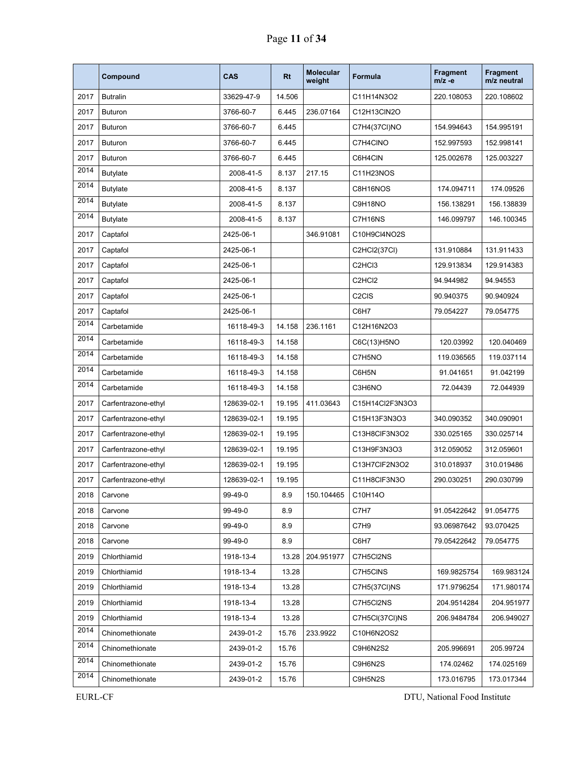|      | Compound            | CAS         | <b>Rt</b> | <b>Molecular</b><br>weight | <b>Formula</b>                  | <b>Fragment</b><br>$m/z -e$ | <b>Fragment</b><br>m/z neutral |
|------|---------------------|-------------|-----------|----------------------------|---------------------------------|-----------------------------|--------------------------------|
| 2017 | <b>Butralin</b>     | 33629-47-9  | 14.506    |                            | C11H14N3O2                      | 220.108053                  | 220.108602                     |
| 2017 | <b>Buturon</b>      | 3766-60-7   | 6.445     | 236.07164                  | C12H13CIN2O                     |                             |                                |
| 2017 | <b>Buturon</b>      | 3766-60-7   | 6.445     |                            | C7H4(37CI)NO                    | 154.994643                  | 154.995191                     |
| 2017 | <b>Buturon</b>      | 3766-60-7   | 6.445     |                            | C7H4CINO                        | 152.997593                  | 152.998141                     |
| 2017 | <b>Buturon</b>      | 3766-60-7   | 6.445     |                            | C6H4CIN                         | 125.002678                  | 125.003227                     |
| 2014 | <b>Butylate</b>     | 2008-41-5   | 8.137     | 217.15                     | C11H23NOS                       |                             |                                |
| 2014 | <b>Butylate</b>     | 2008-41-5   | 8.137     |                            | C8H16NOS                        | 174.094711                  | 174.09526                      |
| 2014 | Butylate            | 2008-41-5   | 8.137     |                            | C9H18NO                         | 156.138291                  | 156.138839                     |
| 2014 | <b>Butylate</b>     | 2008-41-5   | 8.137     |                            | C7H16NS                         | 146.099797                  | 146.100345                     |
| 2017 | Captafol            | 2425-06-1   |           | 346.91081                  | C10H9Cl4NO2S                    |                             |                                |
| 2017 | Captafol            | 2425-06-1   |           |                            | C2HCl2(37Cl)                    | 131.910884                  | 131.911433                     |
| 2017 | Captafol            | 2425-06-1   |           |                            | C <sub>2</sub> HC <sub>13</sub> | 129.913834                  | 129.914383                     |
| 2017 | Captafol            | 2425-06-1   |           |                            | C <sub>2</sub> HC <sub>I2</sub> | 94.944982                   | 94.94553                       |
| 2017 | Captafol            | 2425-06-1   |           |                            | C <sub>2</sub> C <sub>IS</sub>  | 90.940375                   | 90.940924                      |
| 2017 | Captafol            | 2425-06-1   |           |                            | C6H7                            | 79.054227                   | 79.054775                      |
| 2014 | Carbetamide         | 16118-49-3  | 14.158    | 236.1161                   | C12H16N2O3                      |                             |                                |
| 2014 | Carbetamide         | 16118-49-3  | 14.158    |                            | C6C(13)H5NO                     | 120.03992                   | 120.040469                     |
| 2014 | Carbetamide         | 16118-49-3  | 14.158    |                            | C7H5NO                          | 119.036565                  | 119.037114                     |
| 2014 | Carbetamide         | 16118-49-3  | 14.158    |                            | C6H5N                           | 91.041651                   | 91.042199                      |
| 2014 | Carbetamide         | 16118-49-3  | 14.158    |                            | C3H6NO                          | 72.04439                    | 72.044939                      |
| 2017 | Carfentrazone-ethyl | 128639-02-1 | 19.195    | 411.03643                  | C15H14Cl2F3N3O3                 |                             |                                |
| 2017 | Carfentrazone-ethyl | 128639-02-1 | 19.195    |                            | C15H13F3N3O3                    | 340.090352                  | 340.090901                     |
| 2017 | Carfentrazone-ethyl | 128639-02-1 | 19.195    |                            | C13H8CIF3N3O2                   | 330.025165                  | 330.025714                     |
| 2017 | Carfentrazone-ethyl | 128639-02-1 | 19.195    |                            | C13H9F3N3O3                     | 312.059052                  | 312.059601                     |
| 2017 | Carfentrazone-ethyl | 128639-02-1 | 19.195    |                            | C13H7CIF2N3O2                   | 310.018937                  | 310.019486                     |
| 2017 | Carfentrazone-ethyl | 128639-02-1 | 19.195    |                            | C11H8CIF3N3O                    | 290.030251                  | 290.030799                     |
| 2018 | Carvone             | 99-49-0     | 8.9       | 150.104465                 | C10H14O                         |                             |                                |
| 2018 | Carvone             | 99-49-0     | 8.9       |                            | C7H7                            | 91.05422642                 | 91.054775                      |
| 2018 | Carvone             | 99-49-0     | 8.9       |                            | C7H9                            | 93.06987642                 | 93.070425                      |
| 2018 | Carvone             | 99-49-0     | 8.9       |                            | C6H7                            | 79.05422642                 | 79.054775                      |
| 2019 | Chlorthiamid        | 1918-13-4   | 13.28     | 204.951977                 | C7H5Cl2NS                       |                             |                                |
| 2019 | Chlorthiamid        | 1918-13-4   | 13.28     |                            | C7H5CINS                        | 169.9825754                 | 169.983124                     |
| 2019 | Chlorthiamid        | 1918-13-4   | 13.28     |                            | C7H5(37CI)NS                    | 171.9796254                 | 171.980174                     |
| 2019 | Chlorthiamid        | 1918-13-4   | 13.28     |                            | C7H5Cl2NS                       | 204.9514284                 | 204.951977                     |
| 2019 | Chlorthiamid        | 1918-13-4   | 13.28     |                            | C7H5CI(37CI)NS                  | 206.9484784                 | 206.949027                     |
| 2014 | Chinomethionate     | 2439-01-2   | 15.76     | 233.9922                   | C10H6N2OS2                      |                             |                                |
| 2014 | Chinomethionate     | 2439-01-2   | 15.76     |                            | C9H6N2S2                        | 205.996691                  | 205.99724                      |
| 2014 | Chinomethionate     | 2439-01-2   | 15.76     |                            | C9H6N2S                         | 174.02462                   | 174.025169                     |
| 2014 | Chinomethionate     | 2439-01-2   | 15.76     |                            | C9H5N2S                         | 173.016795                  | 173.017344                     |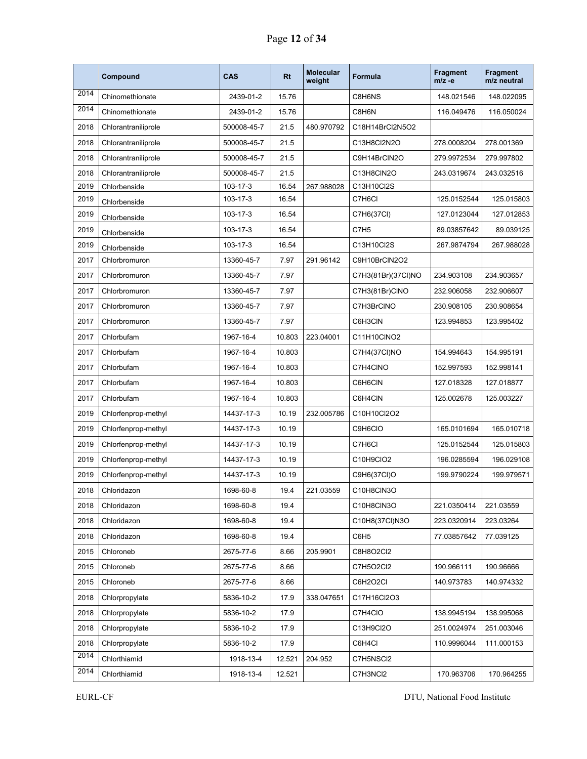|      | Compound            | <b>CAS</b>  | <b>Rt</b> | <b>Molecular</b><br>weight | Formula            | <b>Fragment</b><br>$m/z -e$ | <b>Fragment</b><br>m/z neutral |
|------|---------------------|-------------|-----------|----------------------------|--------------------|-----------------------------|--------------------------------|
| 2014 | Chinomethionate     | 2439-01-2   | 15.76     |                            | C8H6NS             | 148.021546                  | 148.022095                     |
| 2014 | Chinomethionate     | 2439-01-2   | 15.76     |                            | C8H6N              | 116.049476                  | 116.050024                     |
| 2018 | Chlorantraniliprole | 500008-45-7 | 21.5      | 480.970792                 | C18H14BrCl2N5O2    |                             |                                |
| 2018 | Chlorantraniliprole | 500008-45-7 | 21.5      |                            | C13H8Cl2N2O        | 278.0008204                 | 278.001369                     |
| 2018 | Chlorantraniliprole | 500008-45-7 | 21.5      |                            | C9H14BrCIN2O       | 279.9972534                 | 279.997802                     |
| 2018 | Chlorantraniliprole | 500008-45-7 | 21.5      |                            | C13H8CIN2O         | 243.0319674                 | 243.032516                     |
| 2019 | Chlorbenside        | 103-17-3    | 16.54     | 267.988028                 | C13H10Cl2S         |                             |                                |
| 2019 | Chlorbenside        | 103-17-3    | 16.54     |                            | C7H6CI             | 125.0152544                 | 125.015803                     |
| 2019 | Chlorbenside        | 103-17-3    | 16.54     |                            | C7H6(37CI)         | 127.0123044                 | 127.012853                     |
| 2019 | Chlorbenside        | 103-17-3    | 16.54     |                            | C7H <sub>5</sub>   | 89.03857642                 | 89.039125                      |
| 2019 | Chlorbenside        | 103-17-3    | 16.54     |                            | C13H10Cl2S         | 267.9874794                 | 267.988028                     |
| 2017 | Chlorbromuron       | 13360-45-7  | 7.97      | 291.96142                  | C9H10BrCIN2O2      |                             |                                |
| 2017 | Chlorbromuron       | 13360-45-7  | 7.97      |                            | C7H3(81Br)(37Cl)NO | 234.903108                  | 234.903657                     |
| 2017 | Chlorbromuron       | 13360-45-7  | 7.97      |                            | C7H3(81Br)CINO     | 232.906058                  | 232.906607                     |
| 2017 | Chlorbromuron       | 13360-45-7  | 7.97      |                            | C7H3BrCINO         | 230.908105                  | 230.908654                     |
| 2017 | Chlorbromuron       | 13360-45-7  | 7.97      |                            | C6H3CIN            | 123.994853                  | 123.995402                     |
| 2017 | Chlorbufam          | 1967-16-4   | 10.803    | 223.04001                  | C11H10CINO2        |                             |                                |
| 2017 | Chlorbufam          | 1967-16-4   | 10.803    |                            | C7H4(37CI)NO       | 154.994643                  | 154.995191                     |
| 2017 | Chlorbufam          | 1967-16-4   | 10.803    |                            | C7H4CINO           | 152.997593                  | 152.998141                     |
| 2017 | Chlorbufam          | 1967-16-4   | 10.803    |                            | C6H6CIN            | 127.018328                  | 127.018877                     |
| 2017 | Chlorbufam          | 1967-16-4   | 10.803    |                            | C6H4CIN            | 125.002678                  | 125.003227                     |
| 2019 | Chlorfenprop-methyl | 14437-17-3  | 10.19     | 232.005786                 | C10H10Cl2O2        |                             |                                |
| 2019 | Chlorfenprop-methyl | 14437-17-3  | 10.19     |                            | C9H6CIO            | 165.0101694                 | 165.010718                     |
| 2019 | Chlorfenprop-methyl | 14437-17-3  | 10.19     |                            | C7H6CI             | 125.0152544                 | 125.015803                     |
| 2019 | Chlorfenprop-methyl | 14437-17-3  | 10.19     |                            | C10H9CIO2          | 196.0285594                 | 196.029108                     |
| 2019 | Chlorfenprop-methyl | 14437-17-3  | 10.19     |                            | C9H6(37CI)O        | 199.9790224                 | 199.979571                     |
| 2018 | Chloridazon         | 1698-60-8   | 19.4      | 221.03559                  | C10H8CIN3O         |                             |                                |
| 2018 | Chloridazon         | 1698-60-8   | 19.4      |                            | C10H8CIN3O         | 221.0350414                 | 221.03559                      |
| 2018 | Chloridazon         | 1698-60-8   | 19.4      |                            | C10H8(37Cl)N3O     | 223.0320914                 | 223.03264                      |
| 2018 | Chloridazon         | 1698-60-8   | 19.4      |                            | C6H <sub>5</sub>   | 77.03857642                 | 77.039125                      |
| 2015 | Chloroneb           | 2675-77-6   | 8.66      | 205.9901                   | C8H8O2Cl2          |                             |                                |
| 2015 | Chloroneb           | 2675-77-6   | 8.66      |                            | C7H5O2Cl2          | 190.966111                  | 190.96666                      |
| 2015 | Chloroneb           | 2675-77-6   | 8.66      |                            | C6H2O2CI           | 140.973783                  | 140.974332                     |
| 2018 | Chlorpropylate      | 5836-10-2   | 17.9      | 338.047651                 | C17H16Cl2O3        |                             |                                |
| 2018 | Chlorpropylate      | 5836-10-2   | 17.9      |                            | C7H4CIO            | 138.9945194                 | 138.995068                     |
| 2018 | Chlorpropylate      | 5836-10-2   | 17.9      |                            | C13H9Cl2O          | 251.0024974                 | 251.003046                     |
| 2018 | Chlorpropylate      | 5836-10-2   | 17.9      |                            | C6H4Cl             | 110.9996044                 | 111.000153                     |
| 2014 | Chlorthiamid        | 1918-13-4   | 12.521    | 204.952                    | C7H5NSCI2          |                             |                                |
| 2014 | Chlorthiamid        | 1918-13-4   | 12.521    |                            | C7H3NCI2           | 170.963706                  | 170.964255                     |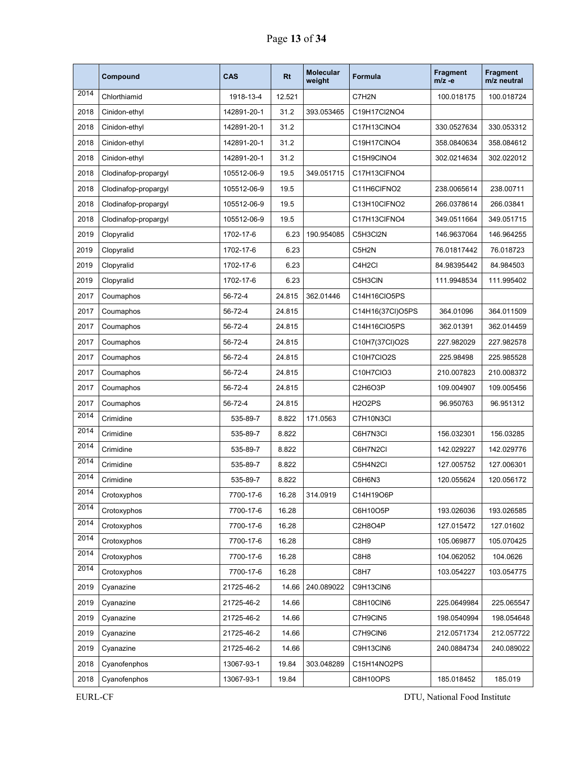|      | Compound             | <b>CAS</b>  | <b>Rt</b> | <b>Molecular</b><br>weight | <b>Formula</b>   | <b>Fragment</b><br>$m/z -e$ | Fragment<br>m/z neutral |
|------|----------------------|-------------|-----------|----------------------------|------------------|-----------------------------|-------------------------|
| 2014 | Chlorthiamid         | 1918-13-4   | 12.521    |                            | C7H2N            | 100.018175                  | 100.018724              |
| 2018 | Cinidon-ethyl        | 142891-20-1 | 31.2      | 393.053465                 | C19H17Cl2NO4     |                             |                         |
| 2018 | Cinidon-ethyl        | 142891-20-1 | 31.2      |                            | C17H13CINO4      | 330.0527634                 | 330.053312              |
| 2018 | Cinidon-ethyl        | 142891-20-1 | 31.2      |                            | C19H17CINO4      | 358.0840634                 | 358.084612              |
| 2018 | Cinidon-ethyl        | 142891-20-1 | 31.2      |                            | C15H9CINO4       | 302.0214634                 | 302.022012              |
| 2018 | Clodinafop-propargyl | 105512-06-9 | 19.5      | 349.051715                 | C17H13CIFNO4     |                             |                         |
| 2018 | Clodinafop-propargyl | 105512-06-9 | 19.5      |                            | C11H6CIFNO2      | 238.0065614                 | 238.00711               |
| 2018 | Clodinafop-propargyl | 105512-06-9 | 19.5      |                            | C13H10CIFNO2     | 266.0378614                 | 266.03841               |
| 2018 | Clodinafop-propargyl | 105512-06-9 | 19.5      |                            | C17H13CIFNO4     | 349.0511664                 | 349.051715              |
| 2019 | Clopyralid           | 1702-17-6   | 6.23      | 190.954085                 | C5H3Cl2N         | 146.9637064                 | 146.964255              |
| 2019 | Clopyralid           | 1702-17-6   | 6.23      |                            | C5H2N            | 76.01817442                 | 76.018723               |
| 2019 | Clopyralid           | 1702-17-6   | 6.23      |                            | C4H2Cl           | 84.98395442                 | 84.984503               |
| 2019 | Clopyralid           | 1702-17-6   | 6.23      |                            | C5H3CIN          | 111.9948534                 | 111.995402              |
| 2017 | Coumaphos            | 56-72-4     | 24.815    | 362.01446                  | C14H16CIO5PS     |                             |                         |
| 2017 | Coumaphos            | 56-72-4     | 24.815    |                            | C14H16(37Cl)O5PS | 364.01096                   | 364.011509              |
| 2017 | Coumaphos            | 56-72-4     | 24.815    |                            | C14H16CIO5PS     | 362.01391                   | 362.014459              |
| 2017 | Coumaphos            | 56-72-4     | 24.815    |                            | C10H7(37CI)O2S   | 227.982029                  | 227.982578              |
| 2017 | Coumaphos            | 56-72-4     | 24.815    |                            | C10H7ClO2S       | 225.98498                   | 225.985528              |
| 2017 | Coumaphos            | 56-72-4     | 24.815    |                            | C10H7CIO3        | 210.007823                  | 210.008372              |
| 2017 | Coumaphos            | 56-72-4     | 24.815    |                            | C2H6O3P          | 109.004907                  | 109.005456              |
| 2017 | Coumaphos            | 56-72-4     | 24.815    |                            | <b>H2O2PS</b>    | 96.950763                   | 96.951312               |
| 2014 | Crimidine            | 535-89-7    | 8.822     | 171.0563                   | C7H10N3CI        |                             |                         |
| 2014 | Crimidine            | 535-89-7    | 8.822     |                            | C6H7N3CI         | 156.032301                  | 156.03285               |
| 2014 | Crimidine            | 535-89-7    | 8.822     |                            | C6H7N2CI         | 142.029227                  | 142.029776              |
| 2014 | Crimidine            | 535-89-7    | 8.822     |                            | C5H4N2CI         | 127.005752                  | 127.006301              |
| 2014 | Crimidine            | 535-89-7    | 8.822     |                            | C6H6N3           | 120.055624                  | 120.056172              |
| 2014 | Crotoxyphos          | 7700-17-6   | 16.28     | 314.0919                   | C14H19O6P        |                             |                         |
| 2014 | Crotoxyphos          | 7700-17-6   | 16.28     |                            | C6H10O5P         | 193.026036                  | 193.026585              |
| 2014 | Crotoxyphos          | 7700-17-6   | 16.28     |                            | C2H8O4P          | 127.015472                  | 127.01602               |
| 2014 | Crotoxyphos          | 7700-17-6   | 16.28     |                            | C8H9             | 105.069877                  | 105.070425              |
| 2014 | Crotoxyphos          | 7700-17-6   | 16.28     |                            | C8H8             | 104.062052                  | 104.0626                |
| 2014 | Crotoxyphos          | 7700-17-6   | 16.28     |                            | C8H7             | 103.054227                  | 103.054775              |
| 2019 | Cyanazine            | 21725-46-2  | 14.66     | 240.089022                 | C9H13CIN6        |                             |                         |
| 2019 | Cyanazine            | 21725-46-2  | 14.66     |                            | C8H10CIN6        | 225.0649984                 | 225.065547              |
| 2019 | Cyanazine            | 21725-46-2  | 14.66     |                            | C7H9CIN5         | 198.0540994                 | 198.054648              |
| 2019 | Cyanazine            | 21725-46-2  | 14.66     |                            | C7H9CIN6         | 212.0571734                 | 212.057722              |
| 2019 | Cyanazine            | 21725-46-2  | 14.66     |                            | C9H13CIN6        | 240.0884734                 | 240.089022              |
| 2018 | Cyanofenphos         | 13067-93-1  | 19.84     | 303.048289                 | C15H14NO2PS      |                             |                         |
| 2018 | Cyanofenphos         | 13067-93-1  | 19.84     |                            | C8H10OPS         | 185.018452                  | 185.019                 |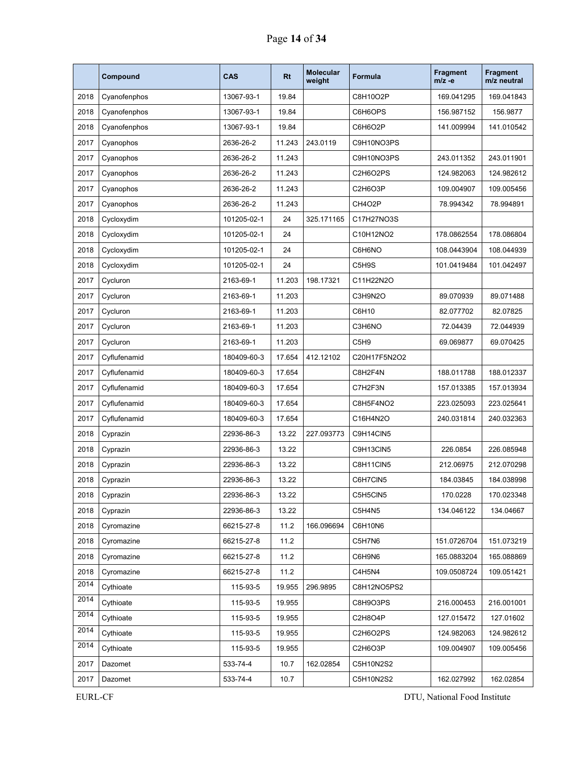|      | Compound     | CAS         | <b>Rt</b> | <b>Molecular</b><br>weight | <b>Formula</b>   | <b>Fragment</b><br>$m/z -e$ | <b>Fragment</b><br>m/z neutral |
|------|--------------|-------------|-----------|----------------------------|------------------|-----------------------------|--------------------------------|
| 2018 | Cyanofenphos | 13067-93-1  | 19.84     |                            | C8H10O2P         | 169.041295                  | 169.041843                     |
| 2018 | Cyanofenphos | 13067-93-1  | 19.84     |                            | C6H6OPS          | 156.987152                  | 156.9877                       |
| 2018 | Cyanofenphos | 13067-93-1  | 19.84     |                            | C6H6O2P          | 141.009994                  | 141.010542                     |
| 2017 | Cyanophos    | 2636-26-2   | 11.243    | 243.0119                   | C9H10NO3PS       |                             |                                |
| 2017 | Cyanophos    | 2636-26-2   | 11.243    |                            | C9H10NO3PS       | 243.011352                  | 243.011901                     |
| 2017 | Cyanophos    | 2636-26-2   | 11.243    |                            | C2H6O2PS         | 124.982063                  | 124.982612                     |
| 2017 | Cyanophos    | 2636-26-2   | 11.243    |                            | C2H6O3P          | 109.004907                  | 109.005456                     |
| 2017 | Cyanophos    | 2636-26-2   | 11.243    |                            | CH4O2P           | 78.994342                   | 78.994891                      |
| 2018 | Cycloxydim   | 101205-02-1 | 24        | 325.171165                 | C17H27NO3S       |                             |                                |
| 2018 | Cycloxydim   | 101205-02-1 | 24        |                            | C10H12NO2        | 178.0862554                 | 178.086804                     |
| 2018 | Cycloxydim   | 101205-02-1 | 24        |                            | C6H6NO           | 108.0443904                 | 108.044939                     |
| 2018 | Cycloxydim   | 101205-02-1 | 24        |                            | C5H9S            | 101.0419484                 | 101.042497                     |
| 2017 | Cycluron     | 2163-69-1   | 11.203    | 198.17321                  | C11H22N2O        |                             |                                |
| 2017 | Cycluron     | 2163-69-1   | 11.203    |                            | C3H9N2O          | 89.070939                   | 89.071488                      |
| 2017 | Cycluron     | 2163-69-1   | 11.203    |                            | C6H10            | 82.077702                   | 82.07825                       |
| 2017 | Cycluron     | 2163-69-1   | 11.203    |                            | C3H6NO           | 72.04439                    | 72.044939                      |
| 2017 | Cycluron     | 2163-69-1   | 11.203    |                            | C5H <sub>9</sub> | 69.069877                   | 69.070425                      |
| 2017 | Cyflufenamid | 180409-60-3 | 17.654    | 412.12102                  | C20H17F5N2O2     |                             |                                |
| 2017 | Cyflufenamid | 180409-60-3 | 17.654    |                            | C8H2F4N          | 188.011788                  | 188.012337                     |
| 2017 | Cyflufenamid | 180409-60-3 | 17.654    |                            | C7H2F3N          | 157.013385                  | 157.013934                     |
| 2017 | Cyflufenamid | 180409-60-3 | 17.654    |                            | C8H5F4NO2        | 223.025093                  | 223.025641                     |
| 2017 | Cyflufenamid | 180409-60-3 | 17.654    |                            | C16H4N2O         | 240.031814                  | 240.032363                     |
| 2018 | Cyprazin     | 22936-86-3  | 13.22     | 227.093773                 | C9H14CIN5        |                             |                                |
| 2018 | Cyprazin     | 22936-86-3  | 13.22     |                            | C9H13CIN5        | 226.0854                    | 226.085948                     |
| 2018 | Cyprazin     | 22936-86-3  | 13.22     |                            | C8H11CIN5        | 212.06975                   | 212.070298                     |
| 2018 | Cyprazin     | 22936-86-3  | 13.22     |                            | C6H7CIN5         | 184.03845                   | 184.038998                     |
| 2018 | Cyprazin     | 22936-86-3  | 13.22     |                            | C5H5CIN5         | 170.0228                    | 170.023348                     |
| 2018 | Cyprazin     | 22936-86-3  | 13.22     |                            | C5H4N5           | 134.046122                  | 134.04667                      |
| 2018 | Cyromazine   | 66215-27-8  | 11.2      | 166.096694                 | C6H10N6          |                             |                                |
| 2018 | Cyromazine   | 66215-27-8  | 11.2      |                            | C5H7N6           | 151.0726704                 | 151.073219                     |
| 2018 | Cyromazine   | 66215-27-8  | 11.2      |                            | C6H9N6           | 165.0883204                 | 165.088869                     |
| 2018 | Cyromazine   | 66215-27-8  | 11.2      |                            | C4H5N4           | 109.0508724                 | 109.051421                     |
| 2014 | Cythioate    | 115-93-5    | 19.955    | 296.9895                   | C8H12NO5PS2      |                             |                                |
| 2014 | Cythioate    | 115-93-5    | 19.955    |                            | C8H9O3PS         | 216.000453                  | 216.001001                     |
| 2014 | Cythioate    | 115-93-5    | 19.955    |                            | C2H8O4P          | 127.015472                  | 127.01602                      |
| 2014 | Cythioate    | 115-93-5    | 19.955    |                            | C2H6O2PS         | 124.982063                  | 124.982612                     |
| 2014 | Cythioate    | 115-93-5    | 19.955    |                            | C2H6O3P          | 109.004907                  | 109.005456                     |
| 2017 | Dazomet      | 533-74-4    | 10.7      | 162.02854                  | C5H10N2S2        |                             |                                |
| 2017 | Dazomet      | 533-74-4    | 10.7      |                            | C5H10N2S2        | 162.027992                  | 162.02854                      |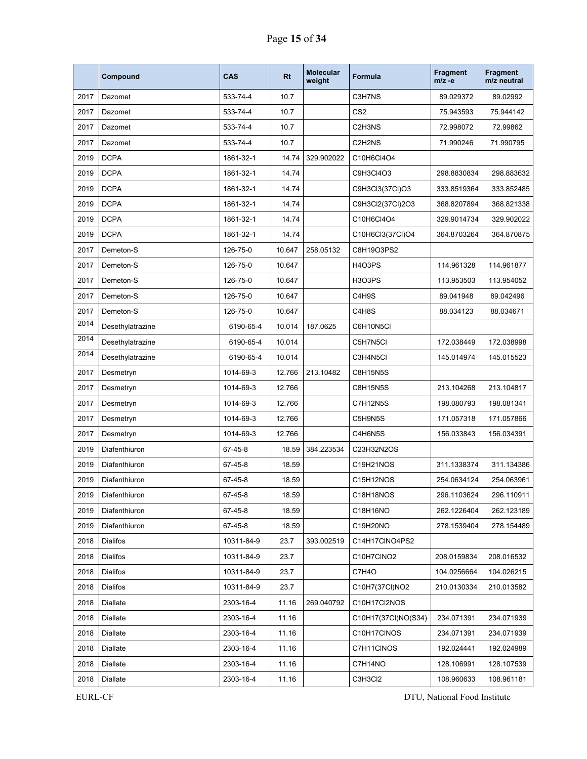|      | Compound         | <b>CAS</b> | Rt     | <b>Molecular</b><br>weight | Formula             | <b>Fragment</b><br>m/z -e | <b>Fragment</b><br>m/z neutral |
|------|------------------|------------|--------|----------------------------|---------------------|---------------------------|--------------------------------|
| 2017 | Dazomet          | 533-74-4   | 10.7   |                            | C3H7NS              | 89.029372                 | 89.02992                       |
| 2017 | Dazomet          | 533-74-4   | 10.7   |                            | CS <sub>2</sub>     | 75.943593                 | 75.944142                      |
| 2017 | Dazomet          | 533-74-4   | 10.7   |                            | C2H3NS              | 72.998072                 | 72.99862                       |
| 2017 | Dazomet          | 533-74-4   | 10.7   |                            | C2H2NS              | 71.990246                 | 71.990795                      |
| 2019 | <b>DCPA</b>      | 1861-32-1  | 14.74  | 329.902022                 | C10H6Cl4O4          |                           |                                |
| 2019 | <b>DCPA</b>      | 1861-32-1  | 14.74  |                            | C9H3CI4O3           | 298.8830834               | 298.883632                     |
| 2019 | <b>DCPA</b>      | 1861-32-1  | 14.74  |                            | C9H3Cl3(37Cl)O3     | 333.8519364               | 333.852485                     |
| 2019 | <b>DCPA</b>      | 1861-32-1  | 14.74  |                            | C9H3Cl2(37Cl)2O3    | 368.8207894               | 368.821338                     |
| 2019 | <b>DCPA</b>      | 1861-32-1  | 14.74  |                            | C10H6Cl4O4          | 329.9014734               | 329.902022                     |
| 2019 | <b>DCPA</b>      | 1861-32-1  | 14.74  |                            | C10H6Cl3(37Cl)O4    | 364.8703264               | 364.870875                     |
| 2017 | Demeton-S        | 126-75-0   | 10.647 | 258.05132                  | C8H19O3PS2          |                           |                                |
| 2017 | Demeton-S        | 126-75-0   | 10.647 |                            | H4O3PS              | 114.961328                | 114.961877                     |
| 2017 | Demeton-S        | 126-75-0   | 10.647 |                            | H3O3PS              | 113.953503                | 113.954052                     |
| 2017 | Demeton-S        | 126-75-0   | 10.647 |                            | C4H9S               | 89.041948                 | 89.042496                      |
| 2017 | Demeton-S        | 126-75-0   | 10.647 |                            | C4H8S               | 88.034123                 | 88.034671                      |
| 2014 | Desethylatrazine | 6190-65-4  | 10.014 | 187.0625                   | C6H10N5CI           |                           |                                |
| 2014 | Desethylatrazine | 6190-65-4  | 10.014 |                            | C5H7N5CI            | 172.038449                | 172.038998                     |
| 2014 | Desethylatrazine | 6190-65-4  | 10.014 |                            | C3H4N5Cl            | 145.014974                | 145.015523                     |
| 2017 | Desmetryn        | 1014-69-3  | 12.766 | 213.10482                  | <b>C8H15N5S</b>     |                           |                                |
| 2017 | Desmetryn        | 1014-69-3  | 12.766 |                            | C8H15N5S            | 213.104268                | 213.104817                     |
| 2017 | Desmetryn        | 1014-69-3  | 12.766 |                            | <b>C7H12N5S</b>     | 198.080793                | 198.081341                     |
| 2017 | Desmetryn        | 1014-69-3  | 12.766 |                            | C5H9N5S             | 171.057318                | 171.057866                     |
| 2017 | Desmetryn        | 1014-69-3  | 12.766 |                            | C4H6N5S             | 156.033843                | 156.034391                     |
| 2019 | Diafenthiuron    | 67-45-8    | 18.59  | 384.223534                 | C23H32N2OS          |                           |                                |
| 2019 | Diafenthiuron    | 67-45-8    | 18.59  |                            | C19H21NOS           | 311.1338374               | 311.134386                     |
| 2019 | Diafenthiuron    | 67-45-8    | 18.59  |                            | C15H12NOS           | 254.0634124               | 254.063961                     |
| 2019 | Diafenthiuron    | 67-45-8    | 18.59  |                            | C18H18NOS           | 296.1103624               | 296.110911                     |
| 2019 | Diafenthiuron    | 67-45-8    | 18.59  |                            | C18H16NO            | 262.1226404               | 262.123189                     |
| 2019 | Diafenthiuron    | 67-45-8    | 18.59  |                            | C19H20NO            | 278.1539404               | 278.154489                     |
| 2018 | Dialifos         | 10311-84-9 | 23.7   | 393.002519                 | C14H17CINO4PS2      |                           |                                |
| 2018 | <b>Dialifos</b>  | 10311-84-9 | 23.7   |                            | C10H7CINO2          | 208.0159834               | 208.016532                     |
| 2018 | Dialifos         | 10311-84-9 | 23.7   |                            | C7H4O               | 104.0256664               | 104.026215                     |
| 2018 | Dialifos         | 10311-84-9 | 23.7   |                            | C10H7(37Cl)NO2      | 210.0130334               | 210.013582                     |
| 2018 | Diallate         | 2303-16-4  | 11.16  | 269.040792                 | C10H17Cl2NOS        |                           |                                |
| 2018 | Diallate         | 2303-16-4  | 11.16  |                            | C10H17(37Cl)NO(S34) | 234.071391                | 234.071939                     |
| 2018 | Diallate         | 2303-16-4  | 11.16  |                            | C10H17CINOS         | 234.071391                | 234.071939                     |
| 2018 | Diallate         | 2303-16-4  | 11.16  |                            | C7H11CINOS          | 192.024441                | 192.024989                     |
| 2018 | Diallate         | 2303-16-4  | 11.16  |                            | C7H14NO             | 128.106991                | 128.107539                     |
| 2018 | Diallate         | 2303-16-4  | 11.16  |                            | C3H3Cl2             | 108.960633                | 108.961181                     |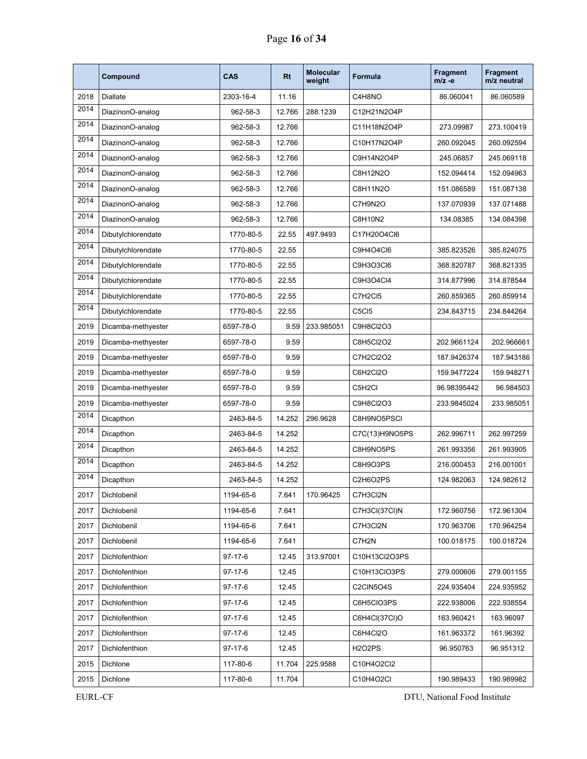|      | Compound           | <b>CAS</b>    | <b>Rt</b> | <b>Molecular</b><br>weight | <b>Formula</b> | <b>Fragment</b><br>$m/z -e$ | <b>Fragment</b><br>m/z neutral |
|------|--------------------|---------------|-----------|----------------------------|----------------|-----------------------------|--------------------------------|
| 2018 | <b>Diallate</b>    | 2303-16-4     | 11.16     |                            | C4H8NO         | 86.060041                   | 86.060589                      |
| 2014 | DiazinonO-analog   | 962-58-3      | 12.766    | 288.1239                   | C12H21N2O4P    |                             |                                |
| 2014 | DiazinonO-analog   | 962-58-3      | 12.766    |                            | C11H18N2O4P    | 273.09987                   | 273.100419                     |
| 2014 | DiazinonO-analog   | 962-58-3      | 12.766    |                            | C10H17N2O4P    | 260.092045                  | 260.092594                     |
| 2014 | DiazinonO-analog   | 962-58-3      | 12.766    |                            | C9H14N2O4P     | 245.06857                   | 245.069118                     |
| 2014 | DiazinonO-analog   | 962-58-3      | 12.766    |                            | C8H12N2O       | 152.094414                  | 152.094963                     |
| 2014 | DiazinonO-analog   | 962-58-3      | 12.766    |                            | C8H11N2O       | 151.086589                  | 151.087138                     |
| 2014 | DiazinonO-analog   | 962-58-3      | 12.766    |                            | C7H9N2O        | 137.070939                  | 137.071488                     |
| 2014 | DiazinonO-analog   | 962-58-3      | 12.766    |                            | C8H10N2        | 134.08385                   | 134.084398                     |
| 2014 | Dibutylchlorendate | 1770-80-5     | 22.55     | 497.9493                   | C17H20O4Cl6    |                             |                                |
| 2014 | Dibutylchlorendate | 1770-80-5     | 22.55     |                            | C9H4O4Cl6      | 385.823526                  | 385.824075                     |
| 2014 | Dibutylchlorendate | 1770-80-5     | 22.55     |                            | C9H3O3Cl6      | 368.820787                  | 368.821335                     |
| 2014 | Dibutylchlorendate | 1770-80-5     | 22.55     |                            | C9H3O4Cl4      | 314.877996                  | 314.878544                     |
| 2014 | Dibutylchlorendate | 1770-80-5     | 22.55     |                            | C7H2CI5        | 260.859365                  | 260.859914                     |
| 2014 | Dibutylchlorendate | 1770-80-5     | 22.55     |                            | C5CI5          | 234.843715                  | 234.844264                     |
| 2019 | Dicamba-methyester | 6597-78-0     | 9.59      | 233.985051                 | C9H8Cl2O3      |                             |                                |
| 2019 | Dicamba-methyester | 6597-78-0     | 9.59      |                            | C8H5Cl2O2      | 202.9661124                 | 202.966661                     |
| 2019 | Dicamba-methyester | 6597-78-0     | 9.59      |                            | C7H2Cl2O2      | 187.9426374                 | 187.943186                     |
| 2019 | Dicamba-methyester | 6597-78-0     | 9.59      |                            | C6H2Cl2O       | 159.9477224                 | 159.948271                     |
| 2019 | Dicamba-methyester | 6597-78-0     | 9.59      |                            | C5H2Cl         | 96.98395442                 | 96.984503                      |
| 2019 | Dicamba-methyester | 6597-78-0     | 9.59      |                            | C9H8Cl2O3      | 233.9845024                 | 233.985051                     |
| 2014 | Dicapthon          | 2463-84-5     | 14.252    | 296.9628                   | C8H9NO5PSCI    |                             |                                |
| 2014 | Dicapthon          | 2463-84-5     | 14.252    |                            | C7C(13)H9NO5PS | 262.996711                  | 262.997259                     |
| 2014 | Dicapthon          | 2463-84-5     | 14.252    |                            | C8H9NO5PS      | 261.993356                  | 261.993905                     |
| 2014 | Dicapthon          | 2463-84-5     | 14.252    |                            | C8H9O3PS       | 216.000453                  | 216.001001                     |
| 2014 | Dicapthon          | 2463-84-5     | 14.252    |                            | C2H6O2PS       | 124.982063                  | 124.982612                     |
| 2017 | Dichlobenil        | 1194-65-6     | 7.641     | 170.96425                  | C7H3Cl2N       |                             |                                |
| 2017 | Dichlobenil        | 1194-65-6     | 7.641     |                            | C7H3Cl(37Cl)N  | 172.960756                  | 172.961304                     |
| 2017 | Dichlobenil        | 1194-65-6     | 7.641     |                            | C7H3Cl2N       | 170.963706                  | 170.964254                     |
| 2017 | Dichlobenil        | 1194-65-6     | 7.641     |                            | C7H2N          | 100.018175                  | 100.018724                     |
| 2017 | Dichlofenthion     | $97-17-6$     | 12.45     | 313.97001                  | C10H13Cl2O3PS  |                             |                                |
| 2017 | Dichlofenthion     | $97 - 17 - 6$ | 12.45     |                            | C10H13ClO3PS   | 279.000606                  | 279.001155                     |
| 2017 | Dichlofenthion     | $97 - 17 - 6$ | 12.45     |                            | C2CIN5O4S      | 224.935404                  | 224.935952                     |
| 2017 | Dichlofenthion     | $97-17-6$     | 12.45     |                            | C6H5CIO3PS     | 222.938006                  | 222.938554                     |
| 2017 | Dichlofenthion     | 97-17-6       | 12.45     |                            | C6H4Cl(37Cl)O  | 163.960421                  | 163.96097                      |
| 2017 | Dichlofenthion     | $97 - 17 - 6$ | 12.45     |                            | C6H4Cl2O       | 161.963372                  | 161.96392                      |
| 2017 | Dichlofenthion     | $97-17-6$     | 12.45     |                            | <b>H2O2PS</b>  | 96.950763                   | 96.951312                      |
| 2015 | Dichlone           | 117-80-6      | 11.704    | 225.9588                   | C10H4O2Cl2     |                             |                                |
| 2015 | Dichlone           | 117-80-6      | 11.704    |                            | C10H4O2Cl      | 190.989433                  | 190.989982                     |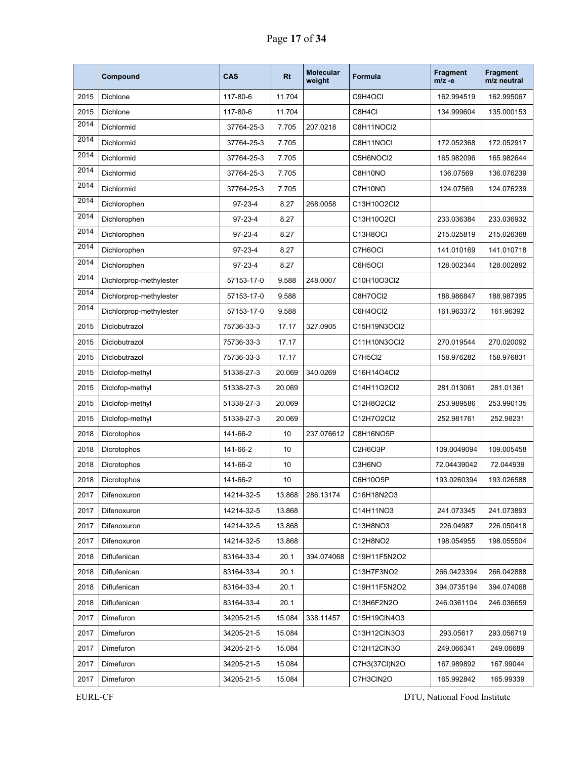|      | Compound                | <b>CAS</b>    | <b>Rt</b> | <b>Molecular</b><br>weight | <b>Formula</b> | <b>Fragment</b><br>$m/z -e$ | Fragment<br>m/z neutral |
|------|-------------------------|---------------|-----------|----------------------------|----------------|-----------------------------|-------------------------|
| 2015 | Dichlone                | 117-80-6      | 11.704    |                            | C9H4OCI        | 162.994519                  | 162.995067              |
| 2015 | Dichlone                | 117-80-6      | 11.704    |                            | C8H4Cl         | 134.999604                  | 135.000153              |
| 2014 | Dichlormid              | 37764-25-3    | 7.705     | 207.0218                   | C8H11NOCI2     |                             |                         |
| 2014 | Dichlormid              | 37764-25-3    | 7.705     |                            | C8H11NOCI      | 172.052368                  | 172.052917              |
| 2014 | Dichlormid              | 37764-25-3    | 7.705     |                            | C5H6NOCI2      | 165.982096                  | 165.982644              |
| 2014 | Dichlormid              | 37764-25-3    | 7.705     |                            | C8H10NO        | 136.07569                   | 136.076239              |
| 2014 | Dichlormid              | 37764-25-3    | 7.705     |                            | C7H10NO        | 124.07569                   | 124.076239              |
| 2014 | Dichlorophen            | $97-23-4$     | 8.27      | 268.0058                   | C13H10O2Cl2    |                             |                         |
| 2014 | Dichlorophen            | $97-23-4$     | 8.27      |                            | C13H10O2CI     | 233.036384                  | 233.036932              |
| 2014 | Dichlorophen            | $97-23-4$     | 8.27      |                            | C13H8OCI       | 215.025819                  | 215.026368              |
| 2014 | Dichlorophen            | $97 - 23 - 4$ | 8.27      |                            | C7H6OCI        | 141.010169                  | 141.010718              |
| 2014 | Dichlorophen            | $97-23-4$     | 8.27      |                            | C6H5OCI        | 128.002344                  | 128.002892              |
| 2014 | Dichlorprop-methylester | 57153-17-0    | 9.588     | 248.0007                   | C10H10O3Cl2    |                             |                         |
| 2014 | Dichlorprop-methylester | 57153-17-0    | 9.588     |                            | C8H7OCI2       | 188.986847                  | 188.987395              |
| 2014 | Dichlorprop-methylester | 57153-17-0    | 9.588     |                            | C6H4OCI2       | 161.963372                  | 161.96392               |
| 2015 | Diclobutrazol           | 75736-33-3    | 17.17     | 327.0905                   | C15H19N3OCI2   |                             |                         |
| 2015 | Diclobutrazol           | 75736-33-3    | 17.17     |                            | C11H10N3OCI2   | 270.019544                  | 270.020092              |
| 2015 | Diclobutrazol           | 75736-33-3    | 17.17     |                            | C7H5Cl2        | 158.976282                  | 158.976831              |
| 2015 | Diclofop-methyl         | 51338-27-3    | 20.069    | 340.0269                   | C16H14O4Cl2    |                             |                         |
| 2015 | Diclofop-methyl         | 51338-27-3    | 20.069    |                            | C14H11O2Cl2    | 281.013061                  | 281.01361               |
| 2015 | Diclofop-methyl         | 51338-27-3    | 20.069    |                            | C12H8O2Cl2     | 253.989586                  | 253.990135              |
| 2015 | Diclofop-methyl         | 51338-27-3    | 20.069    |                            | C12H7O2Cl2     | 252.981761                  | 252.98231               |
| 2018 | Dicrotophos             | 141-66-2      | 10        | 237.076612                 | C8H16NO5P      |                             |                         |
| 2018 | Dicrotophos             | 141-66-2      | 10        |                            | C2H6O3P        | 109.0049094                 | 109.005458              |
| 2018 | Dicrotophos             | 141-66-2      | 10        |                            | C3H6NO         | 72.04439042                 | 72.044939               |
| 2018 | Dicrotophos             | 141-66-2      | 10        |                            | C6H10O5P       | 193.0260394                 | 193.026588              |
| 2017 | Difenoxuron             | 14214-32-5    | 13.868    | 286.13174                  | C16H18N2O3     |                             |                         |
| 2017 | Difenoxuron             | 14214-32-5    | 13.868    |                            | C14H11NO3      | 241.073345                  | 241.073893              |
| 2017 | Difenoxuron             | 14214-32-5    | 13.868    |                            | C13H8NO3       | 226.04987                   | 226.050418              |
| 2017 | Difenoxuron             | 14214-32-5    | 13.868    |                            | C12H8NO2       | 198.054955                  | 198.055504              |
| 2018 | Diflufenican            | 83164-33-4    | 20.1      | 394.074068                 | C19H11F5N2O2   |                             |                         |
| 2018 | Diflufenican            | 83164-33-4    | 20.1      |                            | C13H7F3NO2     | 266.0423394                 | 266.042888              |
| 2018 | Diflufenican            | 83164-33-4    | 20.1      |                            | C19H11F5N2O2   | 394.0735194                 | 394.074068              |
| 2018 | Diflufenican            | 83164-33-4    | 20.1      |                            | C13H6F2N2O     | 246.0361104                 | 246.036659              |
| 2017 | Dimefuron               | 34205-21-5    | 15.084    | 338.11457                  | C15H19CIN4O3   |                             |                         |
| 2017 | Dimefuron               | 34205-21-5    | 15.084    |                            | C13H12CIN3O3   | 293.05617                   | 293.056719              |
| 2017 | Dimefuron               | 34205-21-5    | 15.084    |                            | C12H12CIN3O    | 249.066341                  | 249.06689               |
| 2017 | Dimefuron               | 34205-21-5    | 15.084    |                            | C7H3(37CI)N2O  | 167.989892                  | 167.99044               |
| 2017 | Dimefuron               | 34205-21-5    | 15.084    |                            | C7H3CIN2O      | 165.992842                  | 165.99339               |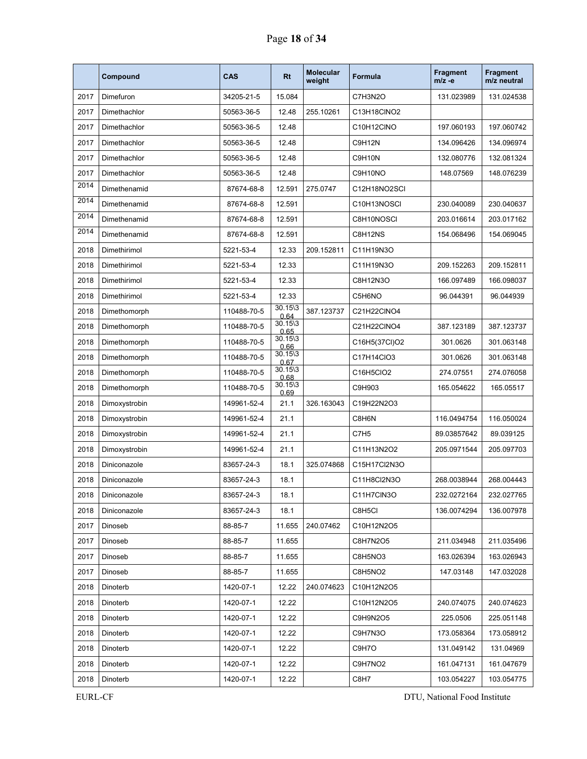|      | Compound      | <b>CAS</b>  | <b>Rt</b>                  | <b>Molecular</b><br>weight | Formula          | <b>Fragment</b><br>$m/z -e$ | <b>Fragment</b><br>m/z neutral |
|------|---------------|-------------|----------------------------|----------------------------|------------------|-----------------------------|--------------------------------|
| 2017 | Dimefuron     | 34205-21-5  | 15.084                     |                            | C7H3N2O          | 131.023989                  | 131.024538                     |
| 2017 | Dimethachlor  | 50563-36-5  | 12.48                      | 255.10261                  | C13H18CINO2      |                             |                                |
| 2017 | Dimethachlor  | 50563-36-5  | 12.48                      |                            | C10H12CINO       | 197.060193                  | 197.060742                     |
| 2017 | Dimethachlor  | 50563-36-5  | 12.48                      |                            | C9H12N           | 134.096426                  | 134.096974                     |
| 2017 | Dimethachlor  | 50563-36-5  | 12.48                      |                            | C9H10N           | 132.080776                  | 132.081324                     |
| 2017 | Dimethachlor  | 50563-36-5  | 12.48                      |                            | C9H10NO          | 148.07569                   | 148.076239                     |
| 2014 | Dimethenamid  | 87674-68-8  | 12.591                     | 275.0747                   | C12H18NO2SCI     |                             |                                |
| 2014 | Dimethenamid  | 87674-68-8  | 12.591                     |                            | C10H13NOSCI      | 230.040089                  | 230.040637                     |
| 2014 | Dimethenamid  | 87674-68-8  | 12.591                     |                            | C8H10NOSCI       | 203.016614                  | 203.017162                     |
| 2014 | Dimethenamid  | 87674-68-8  | 12.591                     |                            | C8H12NS          | 154.068496                  | 154.069045                     |
| 2018 | Dimethirimol  | 5221-53-4   | 12.33                      | 209.152811                 | C11H19N3O        |                             |                                |
| 2018 | Dimethirimol  | 5221-53-4   | 12.33                      |                            | C11H19N3O        | 209.152263                  | 209.152811                     |
| 2018 | Dimethirimol  | 5221-53-4   | 12.33                      |                            | C8H12N3O         | 166.097489                  | 166.098037                     |
| 2018 | Dimethirimol  | 5221-53-4   | 12.33                      |                            | C5H6NO           | 96.044391                   | 96.044939                      |
| 2018 | Dimethomorph  | 110488-70-5 | $30.15\frac{3}{3}$<br>0.64 | 387.123737                 | C21H22CINO4      |                             |                                |
| 2018 | Dimethomorph  | 110488-70-5 | $30.15\frac{3}{3}$<br>0.65 |                            | C21H22CINO4      | 387.123189                  | 387.123737                     |
| 2018 | Dimethomorph  | 110488-70-5 | $30.15\frac{3}{3}$<br>0.66 |                            | C16H5(37CI)O2    | 301.0626                    | 301.063148                     |
| 2018 | Dimethomorph  | 110488-70-5 | $30.15\frac{3}{2}$<br>0.67 |                            | C17H14CIO3       | 301.0626                    | 301.063148                     |
| 2018 | Dimethomorph  | 110488-70-5 | $30.15\frac{3}{3}$<br>0.68 |                            | C16H5CIO2        | 274.07551                   | 274.076058                     |
| 2018 | Dimethomorph  | 110488-70-5 | $30.15\frac{3}{3}$<br>0.69 |                            | C9H903           | 165.054622                  | 165.05517                      |
| 2018 | Dimoxystrobin | 149961-52-4 | 21.1                       | 326.163043                 | C19H22N2O3       |                             |                                |
| 2018 | Dimoxystrobin | 149961-52-4 | 21.1                       |                            | C8H6N            | 116.0494754                 | 116.050024                     |
| 2018 | Dimoxystrobin | 149961-52-4 | 21.1                       |                            | C7H <sub>5</sub> | 89.03857642                 | 89.039125                      |
| 2018 | Dimoxystrobin | 149961-52-4 | 21.1                       |                            | C11H13N2O2       | 205.0971544                 | 205.097703                     |
| 2018 | Diniconazole  | 83657-24-3  | 18.1                       | 325.074868                 | C15H17Cl2N3O     |                             |                                |
| 2018 | Diniconazole  | 83657-24-3  | 18.1                       |                            | C11H8Cl2N3O      | 268.0038944                 | 268.004443                     |
| 2018 | Diniconazole  | 83657-24-3  | 18.1                       |                            | C11H7CIN3O       | 232.0272164                 | 232.027765                     |
| 2018 | Diniconazole  | 83657-24-3  | 18.1                       |                            | C8H5Cl           | 136.0074294                 | 136.007978                     |
| 2017 | Dinoseb       | 88-85-7     | 11.655                     | 240.07462                  | C10H12N2O5       |                             |                                |
| 2017 | Dinoseb       | 88-85-7     | 11.655                     |                            | C8H7N2O5         | 211.034948                  | 211.035496                     |
| 2017 | Dinoseb       | 88-85-7     | 11.655                     |                            | C8H5NO3          | 163.026394                  | 163.026943                     |
| 2017 | Dinoseb       | 88-85-7     | 11.655                     |                            | C8H5NO2          | 147.03148                   | 147.032028                     |
| 2018 | Dinoterb      | 1420-07-1   | 12.22                      | 240.074623                 | C10H12N2O5       |                             |                                |
| 2018 | Dinoterb      | 1420-07-1   | 12.22                      |                            | C10H12N2O5       | 240.074075                  | 240.074623                     |
| 2018 | Dinoterb      | 1420-07-1   | 12.22                      |                            | C9H9N2O5         | 225.0506                    | 225.051148                     |
| 2018 | Dinoterb      | 1420-07-1   | 12.22                      |                            | C9H7N3O          | 173.058364                  | 173.058912                     |
| 2018 | Dinoterb      | 1420-07-1   | 12.22                      |                            | C9H7O            | 131.049142                  | 131.04969                      |
| 2018 | Dinoterb      | 1420-07-1   | 12.22                      |                            | C9H7NO2          | 161.047131                  | 161.047679                     |
| 2018 | Dinoterb      | 1420-07-1   | 12.22                      |                            | C8H7             | 103.054227                  | 103.054775                     |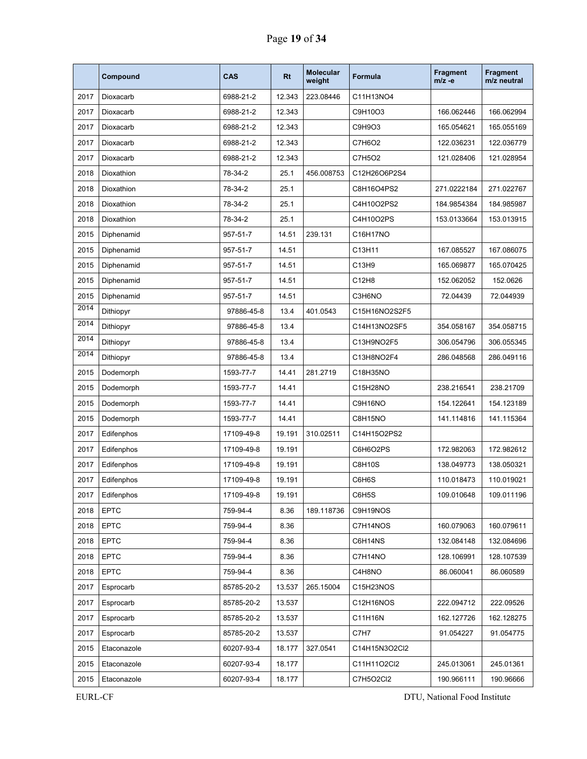|      | Compound    | <b>CAS</b> | <b>Rt</b> | <b>Molecular</b><br>weight | Formula       | <b>Fragment</b><br>$m/z -e$ | <b>Fragment</b><br>m/z neutral |
|------|-------------|------------|-----------|----------------------------|---------------|-----------------------------|--------------------------------|
| 2017 | Dioxacarb   | 6988-21-2  | 12.343    | 223.08446                  | C11H13NO4     |                             |                                |
| 2017 | Dioxacarb   | 6988-21-2  | 12.343    |                            | C9H10O3       | 166.062446                  | 166.062994                     |
| 2017 | Dioxacarb   | 6988-21-2  | 12.343    |                            | C9H9O3        | 165.054621                  | 165.055169                     |
| 2017 | Dioxacarb   | 6988-21-2  | 12.343    |                            | C7H6O2        | 122.036231                  | 122.036779                     |
| 2017 | Dioxacarb   | 6988-21-2  | 12.343    |                            | C7H5O2        | 121.028406                  | 121.028954                     |
| 2018 | Dioxathion  | 78-34-2    | 25.1      | 456.008753                 | C12H26O6P2S4  |                             |                                |
| 2018 | Dioxathion  | 78-34-2    | 25.1      |                            | C8H16O4PS2    | 271.0222184                 | 271.022767                     |
| 2018 | Dioxathion  | 78-34-2    | 25.1      |                            | C4H10O2PS2    | 184.9854384                 | 184.985987                     |
| 2018 | Dioxathion  | 78-34-2    | 25.1      |                            | C4H10O2PS     | 153.0133664                 | 153.013915                     |
| 2015 | Diphenamid  | 957-51-7   | 14.51     | 239.131                    | C16H17NO      |                             |                                |
| 2015 | Diphenamid  | 957-51-7   | 14.51     |                            | C13H11        | 167.085527                  | 167.086075                     |
| 2015 | Diphenamid  | 957-51-7   | 14.51     |                            | C13H9         | 165.069877                  | 165.070425                     |
| 2015 | Diphenamid  | 957-51-7   | 14.51     |                            | C12H8         | 152.062052                  | 152.0626                       |
| 2015 | Diphenamid  | 957-51-7   | 14.51     |                            | C3H6NO        | 72.04439                    | 72.044939                      |
| 2014 | Dithiopyr   | 97886-45-8 | 13.4      | 401.0543                   | C15H16NO2S2F5 |                             |                                |
| 2014 | Dithiopyr   | 97886-45-8 | 13.4      |                            | C14H13NO2SF5  | 354.058167                  | 354.058715                     |
| 2014 | Dithiopyr   | 97886-45-8 | 13.4      |                            | C13H9NO2F5    | 306.054796                  | 306.055345                     |
| 2014 | Dithiopyr   | 97886-45-8 | 13.4      |                            | C13H8NO2F4    | 286.048568                  | 286.049116                     |
| 2015 | Dodemorph   | 1593-77-7  | 14.41     | 281.2719                   | C18H35NO      |                             |                                |
| 2015 | Dodemorph   | 1593-77-7  | 14.41     |                            | C15H28NO      | 238.216541                  | 238.21709                      |
| 2015 | Dodemorph   | 1593-77-7  | 14.41     |                            | C9H16NO       | 154.122641                  | 154.123189                     |
| 2015 | Dodemorph   | 1593-77-7  | 14.41     |                            | C8H15NO       | 141.114816                  | 141.115364                     |
| 2017 | Edifenphos  | 17109-49-8 | 19.191    | 310.02511                  | C14H15O2PS2   |                             |                                |
| 2017 | Edifenphos  | 17109-49-8 | 19.191    |                            | C6H6O2PS      | 172.982063                  | 172.982612                     |
| 2017 | Edifenphos  | 17109-49-8 | 19.191    |                            | C8H10S        | 138.049773                  | 138.050321                     |
| 2017 | Edifenphos  | 17109-49-8 | 19.191    |                            | C6H6S         | 110.018473                  | 110.019021                     |
| 2017 | Edifenphos  | 17109-49-8 | 19.191    |                            | C6H5S         | 109.010648                  | 109.011196                     |
| 2018 | <b>EPTC</b> | 759-94-4   | 8.36      | 189.118736                 | C9H19NOS      |                             |                                |
| 2018 | <b>EPTC</b> | 759-94-4   | 8.36      |                            | C7H14NOS      | 160.079063                  | 160.079611                     |
| 2018 | <b>EPTC</b> | 759-94-4   | 8.36      |                            | C6H14NS       | 132.084148                  | 132.084696                     |
| 2018 | <b>EPTC</b> | 759-94-4   | 8.36      |                            | C7H14NO       | 128.106991                  | 128.107539                     |
| 2018 | <b>EPTC</b> | 759-94-4   | 8.36      |                            | C4H8NO        | 86.060041                   | 86.060589                      |
| 2017 | Esprocarb   | 85785-20-2 | 13.537    | 265.15004                  | C15H23NOS     |                             |                                |
| 2017 | Esprocarb   | 85785-20-2 | 13.537    |                            | C12H16NOS     | 222.094712                  | 222.09526                      |
| 2017 | Esprocarb   | 85785-20-2 | 13.537    |                            | C11H16N       | 162.127726                  | 162.128275                     |
| 2017 | Esprocarb   | 85785-20-2 | 13.537    |                            | C7H7          | 91.054227                   | 91.054775                      |
| 2015 | Etaconazole | 60207-93-4 | 18.177    | 327.0541                   | C14H15N3O2Cl2 |                             |                                |
| 2015 | Etaconazole | 60207-93-4 | 18.177    |                            | C11H11O2Cl2   | 245.013061                  | 245.01361                      |
| 2015 | Etaconazole | 60207-93-4 | 18.177    |                            | C7H5O2Cl2     | 190.966111                  | 190.96666                      |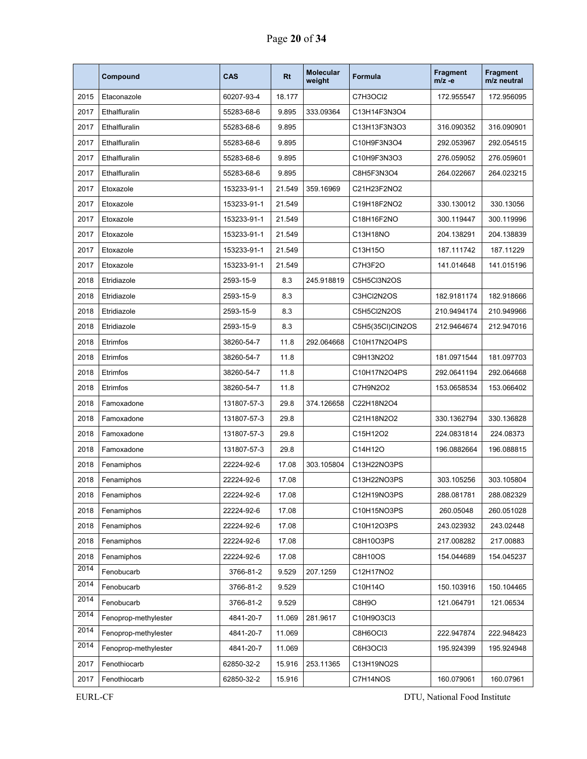|      | Compound             | <b>CAS</b>  | Rt     | <b>Molecular</b><br>weight | <b>Formula</b>   | <b>Fragment</b><br>$m/z -e$ | <b>Fragment</b><br>m/z neutral |
|------|----------------------|-------------|--------|----------------------------|------------------|-----------------------------|--------------------------------|
| 2015 | Etaconazole          | 60207-93-4  | 18.177 |                            | C7H3OCI2         | 172.955547                  | 172.956095                     |
| 2017 | Ethalfluralin        | 55283-68-6  | 9.895  | 333.09364                  | C13H14F3N3O4     |                             |                                |
| 2017 | Ethalfluralin        | 55283-68-6  | 9.895  |                            | C13H13F3N3O3     | 316.090352                  | 316.090901                     |
| 2017 | Ethalfluralin        | 55283-68-6  | 9.895  |                            | C10H9F3N3O4      | 292.053967                  | 292.054515                     |
| 2017 | Ethalfluralin        | 55283-68-6  | 9.895  |                            | C10H9F3N3O3      | 276.059052                  | 276.059601                     |
| 2017 | Ethalfluralin        | 55283-68-6  | 9.895  |                            | C8H5F3N3O4       | 264.022667                  | 264.023215                     |
| 2017 | Etoxazole            | 153233-91-1 | 21.549 | 359.16969                  | C21H23F2NO2      |                             |                                |
| 2017 | Etoxazole            | 153233-91-1 | 21.549 |                            | C19H18F2NO2      | 330.130012                  | 330.13056                      |
| 2017 | Etoxazole            | 153233-91-1 | 21.549 |                            | C18H16F2NO       | 300.119447                  | 300.119996                     |
| 2017 | Etoxazole            | 153233-91-1 | 21.549 |                            | C13H18NO         | 204.138291                  | 204.138839                     |
| 2017 | Etoxazole            | 153233-91-1 | 21.549 |                            | C13H15O          | 187.111742                  | 187.11229                      |
| 2017 | Etoxazole            | 153233-91-1 | 21.549 |                            | C7H3F2O          | 141.014648                  | 141.015196                     |
| 2018 | Etridiazole          | 2593-15-9   | 8.3    | 245.918819                 | C5H5Cl3N2OS      |                             |                                |
| 2018 | Etridiazole          | 2593-15-9   | 8.3    |                            | C3HCI2N2OS       | 182.9181174                 | 182.918666                     |
| 2018 | Etridiazole          | 2593-15-9   | 8.3    |                            | C5H5Cl2N2OS      | 210.9494174                 | 210.949966                     |
| 2018 | Etridiazole          | 2593-15-9   | 8.3    |                            | C5H5(35CI)CIN2OS | 212.9464674                 | 212.947016                     |
| 2018 | Etrimfos             | 38260-54-7  | 11.8   | 292.064668                 | C10H17N2O4PS     |                             |                                |
| 2018 | Etrimfos             | 38260-54-7  | 11.8   |                            | C9H13N2O2        | 181.0971544                 | 181.097703                     |
| 2018 | Etrimfos             | 38260-54-7  | 11.8   |                            | C10H17N2O4PS     | 292.0641194                 | 292.064668                     |
| 2018 | Etrimfos             | 38260-54-7  | 11.8   |                            | C7H9N2O2         | 153.0658534                 | 153.066402                     |
| 2018 | Famoxadone           | 131807-57-3 | 29.8   | 374.126658                 | C22H18N2O4       |                             |                                |
| 2018 | Famoxadone           | 131807-57-3 | 29.8   |                            | C21H18N2O2       | 330.1362794                 | 330.136828                     |
| 2018 | Famoxadone           | 131807-57-3 | 29.8   |                            | C15H12O2         | 224.0831814                 | 224.08373                      |
| 2018 | Famoxadone           | 131807-57-3 | 29.8   |                            | C14H12O          | 196.0882664                 | 196.088815                     |
| 2018 | Fenamiphos           | 22224-92-6  | 17.08  | 303.105804                 | C13H22NO3PS      |                             |                                |
| 2018 | Fenamiphos           | 22224-92-6  | 17.08  |                            | C13H22NO3PS      | 303.105256                  | 303.105804                     |
| 2018 | Fenamiphos           | 22224-92-6  | 17.08  |                            | C12H19NO3PS      | 288.081781                  | 288.082329                     |
| 2018 | Fenamiphos           | 22224-92-6  | 17.08  |                            | C10H15NO3PS      | 260.05048                   | 260.051028                     |
| 2018 | Fenamiphos           | 22224-92-6  | 17.08  |                            | C10H12O3PS       | 243.023932                  | 243.02448                      |
| 2018 | Fenamiphos           | 22224-92-6  | 17.08  |                            | C8H10O3PS        | 217.008282                  | 217.00883                      |
| 2018 | Fenamiphos           | 22224-92-6  | 17.08  |                            | C8H10OS          | 154.044689                  | 154.045237                     |
| 2014 | Fenobucarb           | 3766-81-2   | 9.529  | 207.1259                   | C12H17NO2        |                             |                                |
| 2014 | Fenobucarb           | 3766-81-2   | 9.529  |                            | C10H14O          | 150.103916                  | 150.104465                     |
| 2014 | Fenobucarb           | 3766-81-2   | 9.529  |                            | C8H9O            | 121.064791                  | 121.06534                      |
| 2014 | Fenoprop-methylester | 4841-20-7   | 11.069 | 281.9617                   | C10H9O3Cl3       |                             |                                |
| 2014 | Fenoprop-methylester | 4841-20-7   | 11.069 |                            | C8H6OCI3         | 222.947874                  | 222.948423                     |
| 2014 | Fenoprop-methylester | 4841-20-7   | 11.069 |                            | C6H3OCI3         | 195.924399                  | 195.924948                     |
| 2017 | Fenothiocarb         | 62850-32-2  | 15.916 | 253.11365                  | C13H19NO2S       |                             |                                |
| 2017 | Fenothiocarb         | 62850-32-2  | 15.916 |                            | C7H14NOS         | 160.079061                  | 160.07961                      |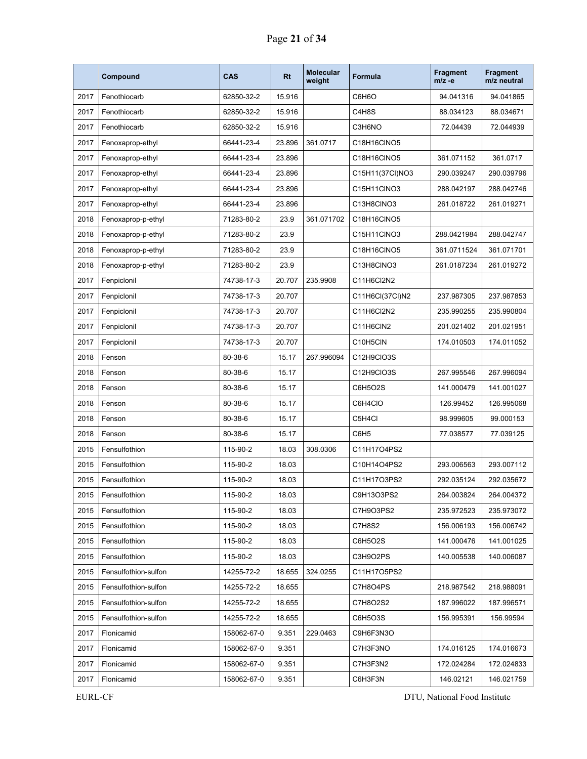|      | Compound             | CAS         | <b>Rt</b> | <b>Molecular</b><br>weight | <b>Formula</b>   | <b>Fragment</b><br>$m/z -e$ | <b>Fragment</b><br>m/z neutral |
|------|----------------------|-------------|-----------|----------------------------|------------------|-----------------------------|--------------------------------|
| 2017 | Fenothiocarb         | 62850-32-2  | 15.916    |                            | C6H6O            | 94.041316                   | 94.041865                      |
| 2017 | Fenothiocarb         | 62850-32-2  | 15.916    |                            | C4H8S            | 88.034123                   | 88.034671                      |
| 2017 | Fenothiocarb         | 62850-32-2  | 15.916    |                            | C3H6NO           | 72.04439                    | 72.044939                      |
| 2017 | Fenoxaprop-ethyl     | 66441-23-4  | 23.896    | 361.0717                   | C18H16CINO5      |                             |                                |
| 2017 | Fenoxaprop-ethyl     | 66441-23-4  | 23.896    |                            | C18H16CINO5      | 361.071152                  | 361.0717                       |
| 2017 | Fenoxaprop-ethyl     | 66441-23-4  | 23.896    |                            | C15H11(37Cl)NO3  | 290.039247                  | 290.039796                     |
| 2017 | Fenoxaprop-ethyl     | 66441-23-4  | 23.896    |                            | C15H11CINO3      | 288.042197                  | 288.042746                     |
| 2017 | Fenoxaprop-ethyl     | 66441-23-4  | 23.896    |                            | C13H8CINO3       | 261.018722                  | 261.019271                     |
| 2018 | Fenoxaprop-p-ethyl   | 71283-80-2  | 23.9      | 361.071702                 | C18H16CINO5      |                             |                                |
| 2018 | Fenoxaprop-p-ethyl   | 71283-80-2  | 23.9      |                            | C15H11CINO3      | 288.0421984                 | 288.042747                     |
| 2018 | Fenoxaprop-p-ethyl   | 71283-80-2  | 23.9      |                            | C18H16CINO5      | 361.0711524                 | 361.071701                     |
| 2018 | Fenoxaprop-p-ethyl   | 71283-80-2  | 23.9      |                            | C13H8CINO3       | 261.0187234                 | 261.019272                     |
| 2017 | Fenpiclonil          | 74738-17-3  | 20.707    | 235.9908                   | C11H6Cl2N2       |                             |                                |
| 2017 | Fenpiclonil          | 74738-17-3  | 20.707    |                            | C11H6Cl(37Cl)N2  | 237.987305                  | 237.987853                     |
| 2017 | Fenpiclonil          | 74738-17-3  | 20.707    |                            | C11H6Cl2N2       | 235.990255                  | 235.990804                     |
| 2017 | Fenpiclonil          | 74738-17-3  | 20.707    |                            | C11H6CIN2        | 201.021402                  | 201.021951                     |
| 2017 | Fenpiclonil          | 74738-17-3  | 20.707    |                            | C10H5CIN         | 174.010503                  | 174.011052                     |
| 2018 | Fenson               | 80-38-6     | 15.17     | 267.996094                 | C12H9CIO3S       |                             |                                |
| 2018 | Fenson               | 80-38-6     | 15.17     |                            | C12H9CIO3S       | 267.995546                  | 267.996094                     |
| 2018 | Fenson               | 80-38-6     | 15.17     |                            | C6H5O2S          | 141.000479                  | 141.001027                     |
| 2018 | Fenson               | 80-38-6     | 15.17     |                            | C6H4CIO          | 126.99452                   | 126.995068                     |
| 2018 | Fenson               | 80-38-6     | 15.17     |                            | C5H4Cl           | 98.999605                   | 99.000153                      |
| 2018 | Fenson               | 80-38-6     | 15.17     |                            | C6H <sub>5</sub> | 77.038577                   | 77.039125                      |
| 2015 | Fensulfothion        | 115-90-2    | 18.03     | 308.0306                   | C11H17O4PS2      |                             |                                |
| 2015 | Fensulfothion        | 115-90-2    | 18.03     |                            | C10H14O4PS2      | 293.006563                  | 293.007112                     |
| 2015 | Fensulfothion        | 115-90-2    | 18.03     |                            | C11H17O3PS2      | 292.035124                  | 292.035672                     |
| 2015 | Fensulfothion        | 115-90-2    | 18.03     |                            | C9H13O3PS2       | 264.003824                  | 264.004372                     |
| 2015 | Fensulfothion        | 115-90-2    | 18.03     |                            | C7H9O3PS2        | 235.972523                  | 235.973072                     |
| 2015 | Fensulfothion        | 115-90-2    | 18.03     |                            | C7H8S2           | 156.006193                  | 156.006742                     |
| 2015 | Fensulfothion        | 115-90-2    | 18.03     |                            | C6H5O2S          | 141.000476                  | 141.001025                     |
| 2015 | Fensulfothion        | 115-90-2    | 18.03     |                            | C3H9O2PS         | 140.005538                  | 140.006087                     |
| 2015 | Fensulfothion-sulfon | 14255-72-2  | 18.655    | 324.0255                   | C11H17O5PS2      |                             |                                |
| 2015 | Fensulfothion-sulfon | 14255-72-2  | 18.655    |                            | C7H8O4PS         | 218.987542                  | 218.988091                     |
| 2015 | Fensulfothion-sulfon | 14255-72-2  | 18.655    |                            | C7H8O2S2         | 187.996022                  | 187.996571                     |
| 2015 | Fensulfothion-sulfon | 14255-72-2  | 18.655    |                            | C6H5O3S          | 156.995391                  | 156.99594                      |
| 2017 | Flonicamid           | 158062-67-0 | 9.351     | 229.0463                   | C9H6F3N3O        |                             |                                |
| 2017 | Flonicamid           | 158062-67-0 | 9.351     |                            | C7H3F3NO         | 174.016125                  | 174.016673                     |
| 2017 | Flonicamid           | 158062-67-0 | 9.351     |                            | C7H3F3N2         | 172.024284                  | 172.024833                     |
| 2017 | Flonicamid           | 158062-67-0 | 9.351     |                            | C6H3F3N          | 146.02121                   | 146.021759                     |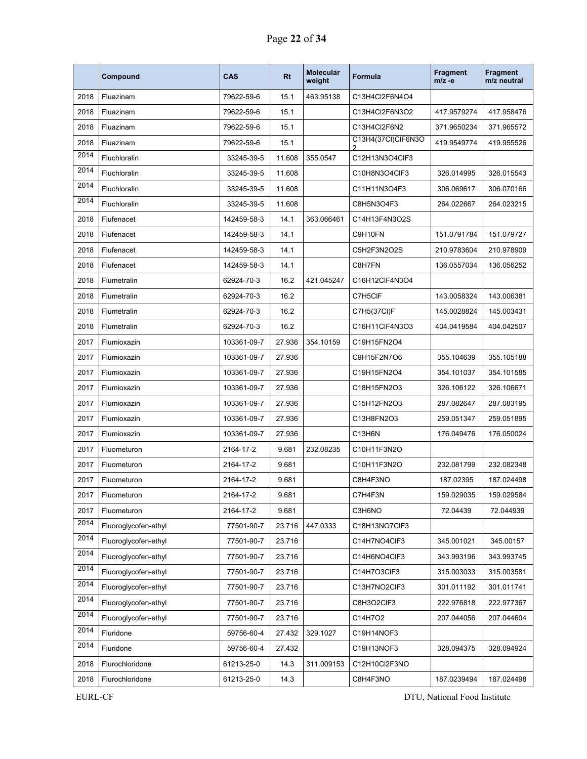|      | Compound             | <b>CAS</b>  | <b>Rt</b> | <b>Molecular</b><br>weight | Formula            | <b>Fragment</b><br>$m/z -e$ | <b>Fragment</b><br>m/z neutral |
|------|----------------------|-------------|-----------|----------------------------|--------------------|-----------------------------|--------------------------------|
| 2018 | Fluazinam            | 79622-59-6  | 15.1      | 463.95138                  | C13H4Cl2F6N4O4     |                             |                                |
| 2018 | Fluazinam            | 79622-59-6  | 15.1      |                            | C13H4Cl2F6N3O2     | 417.9579274                 | 417.958476                     |
| 2018 | Fluazinam            | 79622-59-6  | 15.1      |                            | C13H4Cl2F6N2       | 371.9650234                 | 371.965572                     |
| 2018 | Fluazinam            | 79622-59-6  | 15.1      |                            | C13H4(37Cl)ClF6N3O | 419.9549774                 | 419.955526                     |
| 2014 | Fluchloralin         | 33245-39-5  | 11.608    | 355.0547                   | C12H13N3O4ClF3     |                             |                                |
| 2014 | Fluchloralin         | 33245-39-5  | 11.608    |                            | C10H8N3O4CIF3      | 326.014995                  | 326.015543                     |
| 2014 | Fluchloralin         | 33245-39-5  | 11.608    |                            | C11H11N3O4F3       | 306.069617                  | 306.070166                     |
| 2014 | Fluchloralin         | 33245-39-5  | 11.608    |                            | C8H5N3O4F3         | 264.022667                  | 264.023215                     |
| 2018 | Flufenacet           | 142459-58-3 | 14.1      | 363.066461                 | C14H13F4N3O2S      |                             |                                |
| 2018 | Flufenacet           | 142459-58-3 | 14.1      |                            | C9H10FN            | 151.0791784                 | 151.079727                     |
| 2018 | Flufenacet           | 142459-58-3 | 14.1      |                            | C5H2F3N2O2S        | 210.9783604                 | 210.978909                     |
| 2018 | Flufenacet           | 142459-58-3 | 14.1      |                            | C8H7FN             | 136.0557034                 | 136.056252                     |
| 2018 | Flumetralin          | 62924-70-3  | 16.2      | 421.045247                 | C16H12ClF4N3O4     |                             |                                |
| 2018 | Flumetralin          | 62924-70-3  | 16.2      |                            | C7H5CIF            | 143.0058324                 | 143.006381                     |
| 2018 | Flumetralin          | 62924-70-3  | 16.2      |                            | C7H5(37CI)F        | 145.0028824                 | 145.003431                     |
| 2018 | Flumetralin          | 62924-70-3  | 16.2      |                            | C16H11ClF4N3O3     | 404.0419584                 | 404.042507                     |
| 2017 | Flumioxazin          | 103361-09-7 | 27.936    | 354.10159                  | C19H15FN2O4        |                             |                                |
| 2017 | Flumioxazin          | 103361-09-7 | 27.936    |                            | C9H15F2N7O6        | 355.104639                  | 355.105188                     |
| 2017 | Flumioxazin          | 103361-09-7 | 27.936    |                            | C19H15FN2O4        | 354.101037                  | 354.101585                     |
| 2017 | Flumioxazin          | 103361-09-7 | 27.936    |                            | C18H15FN2O3        | 326.106122                  | 326.106671                     |
| 2017 | Flumioxazin          | 103361-09-7 | 27.936    |                            | C15H12FN2O3        | 287.082647                  | 287.083195                     |
| 2017 | Flumioxazin          | 103361-09-7 | 27.936    |                            | C13H8FN2O3         | 259.051347                  | 259.051895                     |
| 2017 | Flumioxazin          | 103361-09-7 | 27.936    |                            | C13H6N             | 176.049476                  | 176.050024                     |
| 2017 | Fluometuron          | 2164-17-2   | 9.681     | 232.08235                  | C10H11F3N2O        |                             |                                |
| 2017 | Fluometuron          | 2164-17-2   | 9.681     |                            | C10H11F3N2O        | 232.081799                  | 232.082348                     |
| 2017 | Fluometuron          | 2164-17-2   | 9.681     |                            | C8H4F3NO           | 187.02395                   | 187.024498                     |
| 2017 | Fluometuron          | 2164-17-2   | 9.681     |                            | C7H4F3N            | 159.029035                  | 159.029584                     |
| 2017 | Fluometuron          | 2164-17-2   | 9.681     |                            | C3H6NO             | 72.04439                    | 72.044939                      |
| 2014 | Fluoroglycofen-ethyl | 77501-90-7  | 23.716    | 447.0333                   | C18H13NO7CIF3      |                             |                                |
| 2014 | Fluoroglycofen-ethyl | 77501-90-7  | 23.716    |                            | C14H7NO4CIF3       | 345.001021                  | 345.00157                      |
| 2014 | Fluoroglycofen-ethyl | 77501-90-7  | 23.716    |                            | C14H6NO4CIF3       | 343.993196                  | 343.993745                     |
| 2014 | Fluoroglycofen-ethyl | 77501-90-7  | 23.716    |                            | C14H7O3CIF3        | 315.003033                  | 315.003581                     |
| 2014 | Fluoroglycofen-ethyl | 77501-90-7  | 23.716    |                            | C13H7NO2CIF3       | 301.011192                  | 301.011741                     |
| 2014 | Fluoroglycofen-ethyl | 77501-90-7  | 23.716    |                            | C8H3O2CIF3         | 222.976818                  | 222.977367                     |
| 2014 | Fluoroglycofen-ethyl | 77501-90-7  | 23.716    |                            | C14H7O2            | 207.044056                  | 207.044604                     |
| 2014 | Fluridone            | 59756-60-4  | 27.432    | 329.1027                   | C19H14NOF3         |                             |                                |
| 2014 | Fluridone            | 59756-60-4  | 27.432    |                            | C19H13NOF3         | 328.094375                  | 328.094924                     |
| 2018 | Flurochloridone      | 61213-25-0  | 14.3      | 311.009153                 | C12H10Cl2F3NO      |                             |                                |
| 2018 | Flurochloridone      | 61213-25-0  | 14.3      |                            | C8H4F3NO           | 187.0239494                 | 187.024498                     |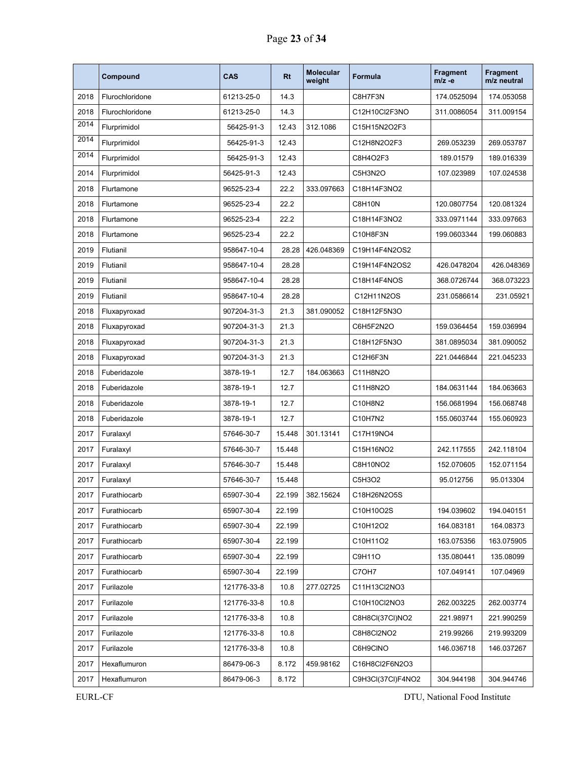|      | Compound        | <b>CAS</b>  | <b>Rt</b> | <b>Molecular</b><br>weight | <b>Formula</b>    | <b>Fragment</b><br>$m/z -e$ | <b>Fragment</b><br>m/z neutral |
|------|-----------------|-------------|-----------|----------------------------|-------------------|-----------------------------|--------------------------------|
| 2018 | Flurochloridone | 61213-25-0  | 14.3      |                            | C8H7F3N           | 174.0525094                 | 174.053058                     |
| 2018 | Flurochloridone | 61213-25-0  | 14.3      |                            | C12H10Cl2F3NO     | 311.0086054                 | 311.009154                     |
| 2014 | Flurprimidol    | 56425-91-3  | 12.43     | 312.1086                   | C15H15N2O2F3      |                             |                                |
| 2014 | Flurprimidol    | 56425-91-3  | 12.43     |                            | C12H8N2O2F3       | 269.053239                  | 269.053787                     |
| 2014 | Flurprimidol    | 56425-91-3  | 12.43     |                            | C8H4O2F3          | 189.01579                   | 189.016339                     |
| 2014 | Flurprimidol    | 56425-91-3  | 12.43     |                            | C5H3N2O           | 107.023989                  | 107.024538                     |
| 2018 | Flurtamone      | 96525-23-4  | 22.2      | 333.097663                 | C18H14F3NO2       |                             |                                |
| 2018 | Flurtamone      | 96525-23-4  | 22.2      |                            | C8H10N            | 120.0807754                 | 120.081324                     |
| 2018 | Flurtamone      | 96525-23-4  | 22.2      |                            | C18H14F3NO2       | 333.0971144                 | 333.097663                     |
| 2018 | Flurtamone      | 96525-23-4  | 22.2      |                            | C10H8F3N          | 199.0603344                 | 199.060883                     |
| 2019 | Flutianil       | 958647-10-4 | 28.28     | 426.048369                 | C19H14F4N2OS2     |                             |                                |
| 2019 | Flutianil       | 958647-10-4 | 28.28     |                            | C19H14F4N2OS2     | 426.0478204                 | 426.048369                     |
| 2019 | Flutianil       | 958647-10-4 | 28.28     |                            | C18H14F4NOS       | 368.0726744                 | 368.073223                     |
| 2019 | Flutianil       | 958647-10-4 | 28.28     |                            | C12H11N2OS        | 231.0586614                 | 231.05921                      |
| 2018 | Fluxapyroxad    | 907204-31-3 | 21.3      | 381.090052                 | C18H12F5N3O       |                             |                                |
| 2018 | Fluxapyroxad    | 907204-31-3 | 21.3      |                            | C6H5F2N2O         | 159.0364454                 | 159.036994                     |
| 2018 | Fluxapyroxad    | 907204-31-3 | 21.3      |                            | C18H12F5N3O       | 381.0895034                 | 381.090052                     |
| 2018 | Fluxapyroxad    | 907204-31-3 | 21.3      |                            | C12H6F3N          | 221.0446844                 | 221.045233                     |
| 2018 | Fuberidazole    | 3878-19-1   | 12.7      | 184.063663                 | C11H8N2O          |                             |                                |
| 2018 | Fuberidazole    | 3878-19-1   | 12.7      |                            | C11H8N2O          | 184.0631144                 | 184.063663                     |
| 2018 | Fuberidazole    | 3878-19-1   | 12.7      |                            | C10H8N2           | 156.0681994                 | 156.068748                     |
| 2018 | Fuberidazole    | 3878-19-1   | 12.7      |                            | C10H7N2           | 155.0603744                 | 155.060923                     |
| 2017 | Furalaxyl       | 57646-30-7  | 15.448    | 301.13141                  | C17H19NO4         |                             |                                |
| 2017 | Furalaxyl       | 57646-30-7  | 15.448    |                            | C15H16NO2         | 242.117555                  | 242.118104                     |
| 2017 | Furalaxyl       | 57646-30-7  | 15.448    |                            | C8H10NO2          | 152.070605                  | 152.071154                     |
| 2017 | Furalaxyl       | 57646-30-7  | 15.448    |                            | C5H3O2            | 95.012756                   | 95.013304                      |
| 2017 | Furathiocarb    | 65907-30-4  | 22.199    | 382.15624                  | C18H26N2O5S       |                             |                                |
| 2017 | Furathiocarb    | 65907-30-4  | 22.199    |                            | C10H10O2S         | 194.039602                  | 194.040151                     |
| 2017 | Furathiocarb    | 65907-30-4  | 22.199    |                            | C10H12O2          | 164.083181                  | 164.08373                      |
| 2017 | Furathiocarb    | 65907-30-4  | 22.199    |                            | C10H11O2          | 163.075356                  | 163.075905                     |
| 2017 | Furathiocarb    | 65907-30-4  | 22.199    |                            | C9H11O            | 135.080441                  | 135.08099                      |
| 2017 | Furathiocarb    | 65907-30-4  | 22.199    |                            | C7OH7             | 107.049141                  | 107.04969                      |
| 2017 | Furilazole      | 121776-33-8 | 10.8      | 277.02725                  | C11H13Cl2NO3      |                             |                                |
| 2017 | Furilazole      | 121776-33-8 | 10.8      |                            | C10H10Cl2NO3      | 262.003225                  | 262.003774                     |
| 2017 | Furilazole      | 121776-33-8 | 10.8      |                            | C8H8CI(37CI)NO2   | 221.98971                   | 221.990259                     |
| 2017 | Furilazole      | 121776-33-8 | 10.8      |                            | C8H8Cl2NO2        | 219.99266                   | 219.993209                     |
| 2017 | Furilazole      | 121776-33-8 | 10.8      |                            | C6H9CINO          | 146.036718                  | 146.037267                     |
| 2017 | Hexaflumuron    | 86479-06-3  | 8.172     | 459.98162                  | C16H8Cl2F6N2O3    |                             |                                |
| 2017 | Hexaflumuron    | 86479-06-3  | 8.172     |                            | C9H3Cl(37Cl)F4NO2 | 304.944198                  | 304.944746                     |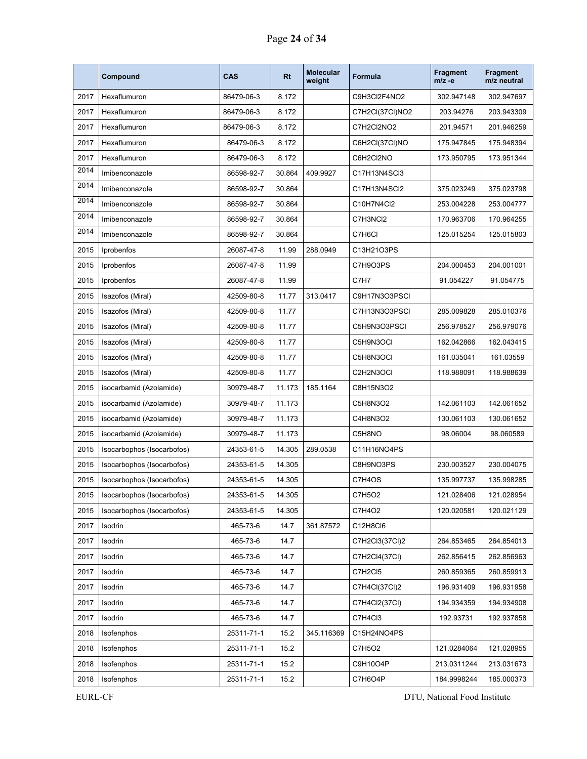|      | Compound                   | <b>CAS</b> | <b>Rt</b> | <b>Molecular</b><br>weight | Formula         | <b>Fragment</b><br>$m/z -e$ | <b>Fragment</b><br>m/z neutral |
|------|----------------------------|------------|-----------|----------------------------|-----------------|-----------------------------|--------------------------------|
| 2017 | Hexaflumuron               | 86479-06-3 | 8.172     |                            | C9H3Cl2F4NO2    | 302.947148                  | 302.947697                     |
| 2017 | Hexaflumuron               | 86479-06-3 | 8.172     |                            | C7H2CI(37CI)NO2 | 203.94276                   | 203.943309                     |
| 2017 | Hexaflumuron               | 86479-06-3 | 8.172     |                            | C7H2Cl2NO2      | 201.94571                   | 201.946259                     |
| 2017 | Hexaflumuron               | 86479-06-3 | 8.172     |                            | C6H2CI(37CI)NO  | 175.947845                  | 175.948394                     |
| 2017 | Hexaflumuron               | 86479-06-3 | 8.172     |                            | C6H2Cl2NO       | 173.950795                  | 173.951344                     |
| 2014 | Imibenconazole             | 86598-92-7 | 30.864    | 409.9927                   | C17H13N4SCl3    |                             |                                |
| 2014 | Imibenconazole             | 86598-92-7 | 30.864    |                            | C17H13N4SCl2    | 375.023249                  | 375.023798                     |
| 2014 | Imibenconazole             | 86598-92-7 | 30.864    |                            | C10H7N4Cl2      | 253.004228                  | 253.004777                     |
| 2014 | Imibenconazole             | 86598-92-7 | 30.864    |                            | C7H3NCI2        | 170.963706                  | 170.964255                     |
| 2014 | Imibenconazole             | 86598-92-7 | 30.864    |                            | C7H6CI          | 125.015254                  | 125.015803                     |
| 2015 | Iprobenfos                 | 26087-47-8 | 11.99     | 288.0949                   | C13H21O3PS      |                             |                                |
| 2015 | Iprobenfos                 | 26087-47-8 | 11.99     |                            | C7H9O3PS        | 204.000453                  | 204.001001                     |
| 2015 | Iprobenfos                 | 26087-47-8 | 11.99     |                            | C7H7            | 91.054227                   | 91.054775                      |
| 2015 | Isazofos (Miral)           | 42509-80-8 | 11.77     | 313.0417                   | C9H17N3O3PSCI   |                             |                                |
| 2015 | Isazofos (Miral)           | 42509-80-8 | 11.77     |                            | C7H13N3O3PSCI   | 285.009828                  | 285.010376                     |
| 2015 | Isazofos (Miral)           | 42509-80-8 | 11.77     |                            | C5H9N3O3PSCI    | 256.978527                  | 256.979076                     |
| 2015 | Isazofos (Miral)           | 42509-80-8 | 11.77     |                            | C5H9N3OCI       | 162.042866                  | 162.043415                     |
| 2015 | Isazofos (Miral)           | 42509-80-8 | 11.77     |                            | C5H8N3OCI       | 161.035041                  | 161.03559                      |
| 2015 | Isazofos (Miral)           | 42509-80-8 | 11.77     |                            | C2H2N3OCI       | 118.988091                  | 118.988639                     |
| 2015 | isocarbamid (Azolamide)    | 30979-48-7 | 11.173    | 185.1164                   | C8H15N3O2       |                             |                                |
| 2015 | isocarbamid (Azolamide)    | 30979-48-7 | 11.173    |                            | C5H8N3O2        | 142.061103                  | 142.061652                     |
| 2015 | isocarbamid (Azolamide)    | 30979-48-7 | 11.173    |                            | C4H8N3O2        | 130.061103                  | 130.061652                     |
| 2015 | isocarbamid (Azolamide)    | 30979-48-7 | 11.173    |                            | C5H8NO          | 98.06004                    | 98.060589                      |
| 2015 | Isocarbophos (Isocarbofos) | 24353-61-5 | 14.305    | 289.0538                   | C11H16NO4PS     |                             |                                |
| 2015 | Isocarbophos (Isocarbofos) | 24353-61-5 | 14.305    |                            | C8H9NO3PS       | 230.003527                  | 230.004075                     |
| 2015 | Isocarbophos (Isocarbofos) | 24353-61-5 | 14.305    |                            | C7H4OS          | 135.997737                  | 135.998285                     |
| 2015 | Isocarbophos (Isocarbofos) | 24353-61-5 | 14.305    |                            | C7H5O2          | 121.028406                  | 121.028954                     |
| 2015 | Isocarbophos (Isocarbofos) | 24353-61-5 | 14.305    |                            | C7H4O2          | 120.020581                  | 120.021129                     |
| 2017 | Isodrin                    | 465-73-6   | 14.7      | 361.87572                  | C12H8Cl6        |                             |                                |
| 2017 | Isodrin                    | 465-73-6   | 14.7      |                            | C7H2Cl3(37Cl)2  | 264.853465                  | 264.854013                     |
| 2017 | Isodrin                    | 465-73-6   | 14.7      |                            | C7H2Cl4(37Cl)   | 262.856415                  | 262.856963                     |
| 2017 | Isodrin                    | 465-73-6   | 14.7      |                            | C7H2Cl5         | 260.859365                  | 260.859913                     |
| 2017 | Isodrin                    | 465-73-6   | 14.7      |                            | C7H4Cl(37Cl)2   | 196.931409                  | 196.931958                     |
| 2017 | Isodrin                    | 465-73-6   | 14.7      |                            | C7H4Cl2(37Cl)   | 194.934359                  | 194.934908                     |
| 2017 | Isodrin                    | 465-73-6   | 14.7      |                            | C7H4Cl3         | 192.93731                   | 192.937858                     |
| 2018 | Isofenphos                 | 25311-71-1 | 15.2      | 345.116369                 | C15H24NO4PS     |                             |                                |
| 2018 | Isofenphos                 | 25311-71-1 | 15.2      |                            | C7H5O2          | 121.0284064                 | 121.028955                     |
| 2018 | Isofenphos                 | 25311-71-1 | 15.2      |                            | C9H10O4P        | 213.0311244                 | 213.031673                     |
| 2018 | Isofenphos                 | 25311-71-1 | 15.2      |                            | C7H6O4P         | 184.9998244                 | 185.000373                     |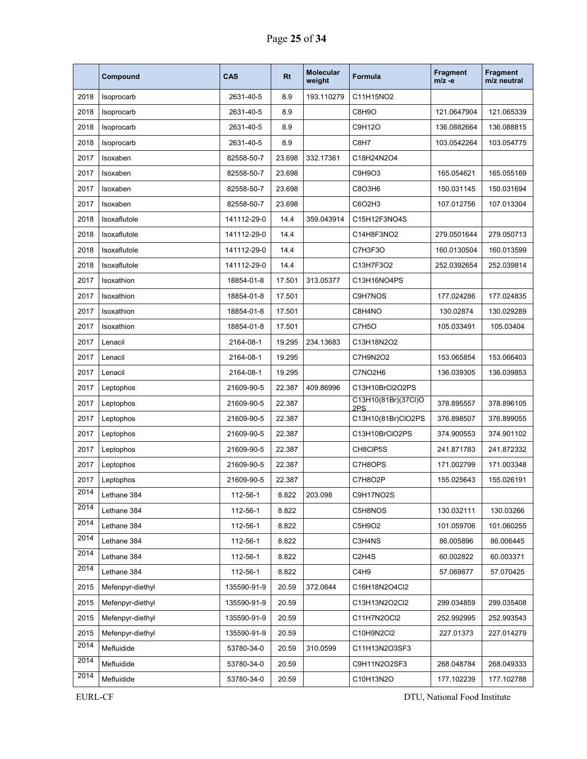|      | Compound         | <b>CAS</b>  | <b>Rt</b> | <b>Molecular</b><br>weight | Formula                         | <b>Fragment</b><br>$m/z -e$ | <b>Fragment</b><br>m/z neutral |
|------|------------------|-------------|-----------|----------------------------|---------------------------------|-----------------------------|--------------------------------|
| 2018 | Isoprocarb       | 2631-40-5   | 8.9       | 193.110279                 | C11H15NO2                       |                             |                                |
| 2018 | Isoprocarb       | 2631-40-5   | 8.9       |                            | C8H9O                           | 121.0647904                 | 121.065339                     |
| 2018 | Isoprocarb       | 2631-40-5   | 8.9       |                            | C9H12O                          | 136.0882664                 | 136.088815                     |
| 2018 | Isoprocarb       | 2631-40-5   | 8.9       |                            | C8H7                            | 103.0542264                 | 103.054775                     |
| 2017 | Isoxaben         | 82558-50-7  | 23.698    | 332.17361                  | C18H24N2O4                      |                             |                                |
| 2017 | Isoxaben         | 82558-50-7  | 23.698    |                            | C9H9O3                          | 165.054621                  | 165.055169                     |
| 2017 | Isoxaben         | 82558-50-7  | 23.698    |                            | C8O3H6                          | 150.031145                  | 150.031694                     |
| 2017 | Isoxaben         | 82558-50-7  | 23.698    |                            | C6O2H3                          | 107.012756                  | 107.013304                     |
| 2018 | Isoxaflutole     | 141112-29-0 | 14.4      | 359.043914                 | C15H12F3NO4S                    |                             |                                |
| 2018 | Isoxaflutole     | 141112-29-0 | 14.4      |                            | C14H8F3NO2                      | 279.0501644                 | 279.050713                     |
| 2018 | Isoxaflutole     | 141112-29-0 | 14.4      |                            | C7H3F3O                         | 160.0130504                 | 160.013599                     |
| 2018 | Isoxaflutole     | 141112-29-0 | 14.4      |                            | C13H7F3O2                       | 252.0392654                 | 252.039814                     |
| 2017 | Isoxathion       | 18854-01-8  | 17.501    | 313.05377                  | C13H16NO4PS                     |                             |                                |
| 2017 | Isoxathion       | 18854-01-8  | 17.501    |                            | C9H7NOS                         | 177.024286                  | 177.024835                     |
| 2017 | Isoxathion       | 18854-01-8  | 17.501    |                            | C8H4NO                          | 130.02874                   | 130.029289                     |
| 2017 | Isoxathion       | 18854-01-8  | 17.501    |                            | C7H5O                           | 105.033491                  | 105.03404                      |
| 2017 | Lenacil          | 2164-08-1   | 19.295    | 234.13683                  | C13H18N2O2                      |                             |                                |
| 2017 | Lenacil          | 2164-08-1   | 19.295    |                            | C7H9N2O2                        | 153.065854                  | 153.066403                     |
| 2017 | Lenacil          | 2164-08-1   | 19.295    |                            | C7NO2H6                         | 136.039305                  | 136.039853                     |
| 2017 | Leptophos        | 21609-90-5  | 22.387    | 409.86996                  | C13H10BrCl2O2PS                 |                             |                                |
| 2017 | Leptophos        | 21609-90-5  | 22.387    |                            | C13H10(81Br)(37Cl)O<br>2PS      | 378.895557                  | 378.896105                     |
| 2017 | Leptophos        | 21609-90-5  | 22.387    |                            | C13H10(81Br)ClO2PS              | 376.898507                  | 376.899055                     |
| 2017 | Leptophos        | 21609-90-5  | 22.387    |                            | C13H10BrCIO2PS                  | 374.900553                  | 374.901102                     |
| 2017 | Leptophos        | 21609-90-5  | 22.387    |                            | CH8CIP5S                        | 241.871783                  | 241.872332                     |
| 2017 | Leptophos        | 21609-90-5  | 22.387    |                            | C7H8OPS                         | 171.002799                  | 171.003348                     |
| 2017 | Leptophos        | 21609-90-5  | 22.387    |                            | C7H8O2P                         | 155.025643                  | 155.026191                     |
| 2014 | Lethane 384      | 112-56-1    | 8.822     | 203.098                    | C9H17NO2S                       |                             |                                |
| 2014 | Lethane 384      | 112-56-1    | 8.822     |                            | C5H8NOS                         | 130.032111                  | 130.03266                      |
| 2014 | Lethane 384      | 112-56-1    | 8.822     |                            | C5H9O2                          | 101.059706                  | 101.060255                     |
| 2014 | Lethane 384      | 112-56-1    | 8.822     |                            | C3H4NS                          | 86.005896                   | 86.006445                      |
| 2014 | Lethane 384      | 112-56-1    | 8.822     |                            | C <sub>2</sub> H <sub>4</sub> S | 60.002822                   | 60.003371                      |
| 2014 | Lethane 384      | 112-56-1    | 8.822     |                            | C4H9                            | 57.069877                   | 57.070425                      |
| 2015 | Mefenpyr-diethyl | 135590-91-9 | 20.59     | 372.0644                   | C16H18N2O4Cl2                   |                             |                                |
| 2015 | Mefenpyr-diethyl | 135590-91-9 | 20.59     |                            | C13H13N2O2Cl2                   | 299.034859                  | 299.035408                     |
| 2015 | Mefenpyr-diethyl | 135590-91-9 | 20.59     |                            | C11H7N2OCI2                     | 252.992995                  | 252.993543                     |
| 2015 | Mefenpyr-diethyl | 135590-91-9 | 20.59     |                            | C10H9N2Cl2                      | 227.01373                   | 227.014279                     |
| 2014 | Mefluidide       | 53780-34-0  | 20.59     | 310.0599                   | C11H13N2O3SF3                   |                             |                                |
| 2014 | Mefluidide       | 53780-34-0  | 20.59     |                            | C9H11N2O2SF3                    | 268.048784                  | 268.049333                     |
| 2014 | Mefluidide       | 53780-34-0  | 20.59     |                            | C10H13N2O                       | 177.102239                  | 177.102788                     |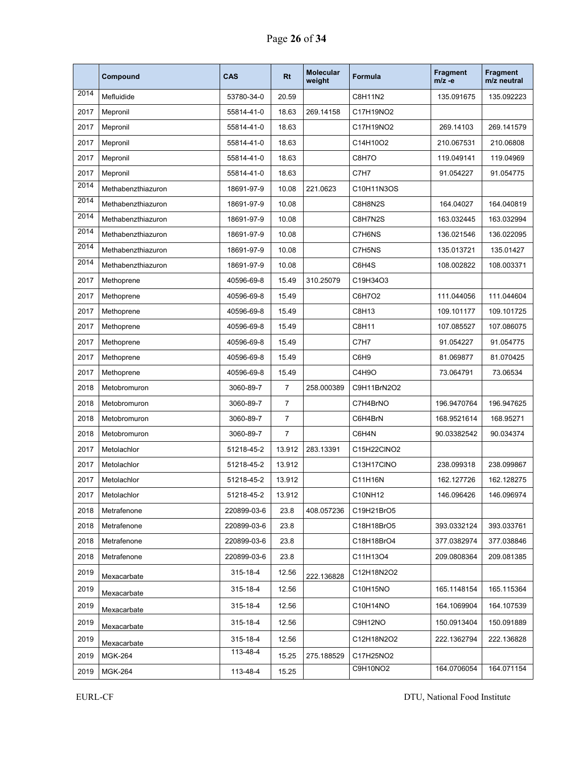|      | Compound           | <b>CAS</b>  | <b>Rt</b>      | <b>Molecular</b><br>weight | <b>Formula</b> | <b>Fragment</b><br>$m/z -e$ | Fragment<br>m/z neutral |
|------|--------------------|-------------|----------------|----------------------------|----------------|-----------------------------|-------------------------|
| 2014 | Mefluidide         | 53780-34-0  | 20.59          |                            | C8H11N2        | 135.091675                  | 135.092223              |
| 2017 | Mepronil           | 55814-41-0  | 18.63          | 269.14158                  | C17H19NO2      |                             |                         |
| 2017 | Mepronil           | 55814-41-0  | 18.63          |                            | C17H19NO2      | 269.14103                   | 269.141579              |
| 2017 | Mepronil           | 55814-41-0  | 18.63          |                            | C14H10O2       | 210.067531                  | 210.06808               |
| 2017 | Mepronil           | 55814-41-0  | 18.63          |                            | C8H7O          | 119.049141                  | 119.04969               |
| 2017 | Mepronil           | 55814-41-0  | 18.63          |                            | C7H7           | 91.054227                   | 91.054775               |
| 2014 | Methabenzthiazuron | 18691-97-9  | 10.08          | 221.0623                   | C10H11N3OS     |                             |                         |
| 2014 | Methabenzthiazuron | 18691-97-9  | 10.08          |                            | C8H8N2S        | 164.04027                   | 164.040819              |
| 2014 | Methabenzthiazuron | 18691-97-9  | 10.08          |                            | C8H7N2S        | 163.032445                  | 163.032994              |
| 2014 | Methabenzthiazuron | 18691-97-9  | 10.08          |                            | C7H6NS         | 136.021546                  | 136.022095              |
| 2014 | Methabenzthiazuron | 18691-97-9  | 10.08          |                            | C7H5NS         | 135.013721                  | 135.01427               |
| 2014 | Methabenzthiazuron | 18691-97-9  | 10.08          |                            | C6H4S          | 108.002822                  | 108.003371              |
| 2017 | Methoprene         | 40596-69-8  | 15.49          | 310.25079                  | C19H34O3       |                             |                         |
| 2017 | Methoprene         | 40596-69-8  | 15.49          |                            | C6H7O2         | 111.044056                  | 111.044604              |
| 2017 | Methoprene         | 40596-69-8  | 15.49          |                            | C8H13          | 109.101177                  | 109.101725              |
| 2017 | Methoprene         | 40596-69-8  | 15.49          |                            | C8H11          | 107.085527                  | 107.086075              |
| 2017 | Methoprene         | 40596-69-8  | 15.49          |                            | C7H7           | 91.054227                   | 91.054775               |
| 2017 | Methoprene         | 40596-69-8  | 15.49          |                            | C6H9           | 81.069877                   | 81.070425               |
| 2017 | Methoprene         | 40596-69-8  | 15.49          |                            | C4H9O          | 73.064791                   | 73.06534                |
| 2018 | Metobromuron       | 3060-89-7   | $\overline{7}$ | 258.000389                 | C9H11BrN2O2    |                             |                         |
| 2018 | Metobromuron       | 3060-89-7   | $\overline{7}$ |                            | C7H4BrNO       | 196.9470764                 | 196.947625              |
| 2018 | Metobromuron       | 3060-89-7   | $\overline{7}$ |                            | C6H4BrN        | 168.9521614                 | 168.95271               |
| 2018 | Metobromuron       | 3060-89-7   | $\overline{7}$ |                            | C6H4N          | 90.03382542                 | 90.034374               |
| 2017 | Metolachlor        | 51218-45-2  | 13.912         | 283.13391                  | C15H22CINO2    |                             |                         |
| 2017 | Metolachlor        | 51218-45-2  | 13.912         |                            | C13H17CINO     | 238.099318                  | 238.099867              |
| 2017 | Metolachlor        | 51218-45-2  | 13.912         |                            | C11H16N        | 162.127726                  | 162.128275              |
| 2017 | Metolachlor        | 51218-45-2  | 13.912         |                            | C10NH12        | 146.096426                  | 146.096974              |
| 2018 | Metrafenone        | 220899-03-6 | 23.8           | 408.057236                 | C19H21BrO5     |                             |                         |
| 2018 | Metrafenone        | 220899-03-6 | 23.8           |                            | C18H18BrO5     | 393.0332124                 | 393.033761              |
| 2018 | Metrafenone        | 220899-03-6 | 23.8           |                            | C18H18BrO4     | 377.0382974                 | 377.038846              |
| 2018 | Metrafenone        | 220899-03-6 | 23.8           |                            | C11H13O4       | 209.0808364                 | 209.081385              |
| 2019 | Mexacarbate        | 315-18-4    | 12.56          | 222.136828                 | C12H18N2O2     |                             |                         |
| 2019 | Mexacarbate        | 315-18-4    | 12.56          |                            | C10H15NO       | 165.1148154                 | 165.115364              |
| 2019 | Mexacarbate        | 315-18-4    | 12.56          |                            | C10H14NO       | 164.1069904                 | 164.107539              |
| 2019 | Mexacarbate        | 315-18-4    | 12.56          |                            | C9H12NO        | 150.0913404                 | 150.091889              |
| 2019 | Mexacarbate        | 315-18-4    | 12.56          |                            | C12H18N2O2     | 222.1362794                 | 222.136828              |
| 2019 | <b>MGK-264</b>     | 113-48-4    | 15.25          | 275.188529                 | C17H25NO2      |                             |                         |
| 2019 | <b>MGK-264</b>     | 113-48-4    | 15.25          |                            | C9H10NO2       | 164.0706054                 | 164.071154              |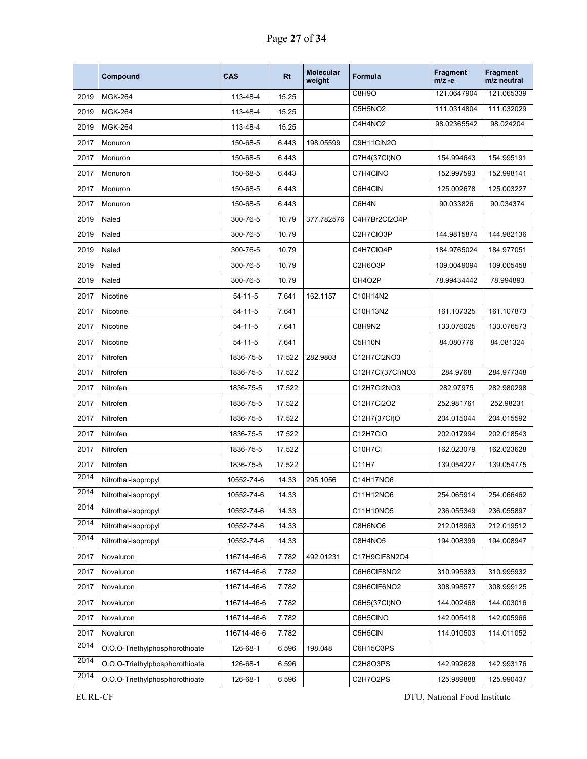|      | Compound                       | CAS           | <b>Rt</b> | <b>Molecular</b><br>weight | <b>Formula</b>   | <b>Fragment</b><br>$m/z -e$ | Fragment<br>m/z neutral |
|------|--------------------------------|---------------|-----------|----------------------------|------------------|-----------------------------|-------------------------|
| 2019 | <b>MGK-264</b>                 | 113-48-4      | 15.25     |                            | C8H9O            | 121.0647904                 | 121.065339              |
| 2019 | <b>MGK-264</b>                 | 113-48-4      | 15.25     |                            | C5H5NO2          | 111.0314804                 | 111.032029              |
| 2019 | <b>MGK-264</b>                 | 113-48-4      | 15.25     |                            | C4H4NO2          | 98.02365542                 | 98.024204               |
| 2017 | Monuron                        | 150-68-5      | 6.443     | 198.05599                  | C9H11CIN2O       |                             |                         |
| 2017 | Monuron                        | 150-68-5      | 6.443     |                            | C7H4(37CI)NO     | 154.994643                  | 154.995191              |
| 2017 | Monuron                        | 150-68-5      | 6.443     |                            | C7H4CINO         | 152.997593                  | 152.998141              |
| 2017 | Monuron                        | 150-68-5      | 6.443     |                            | C6H4CIN          | 125.002678                  | 125.003227              |
| 2017 | Monuron                        | 150-68-5      | 6.443     |                            | C6H4N            | 90.033826                   | 90.034374               |
| 2019 | Naled                          | 300-76-5      | 10.79     | 377.782576                 | C4H7Br2Cl2O4P    |                             |                         |
| 2019 | Naled                          | 300-76-5      | 10.79     |                            | C2H7CIO3P        | 144.9815874                 | 144.982136              |
| 2019 | Naled                          | 300-76-5      | 10.79     |                            | C4H7CIO4P        | 184.9765024                 | 184.977051              |
| 2019 | Naled                          | 300-76-5      | 10.79     |                            | C2H6O3P          | 109.0049094                 | 109.005458              |
| 2019 | Naled                          | 300-76-5      | 10.79     |                            | CH4O2P           | 78.99434442                 | 78.994893               |
| 2017 | Nicotine                       | $54 - 11 - 5$ | 7.641     | 162.1157                   | C10H14N2         |                             |                         |
| 2017 | Nicotine                       | $54 - 11 - 5$ | 7.641     |                            | C10H13N2         | 161.107325                  | 161.107873              |
| 2017 | Nicotine                       | $54 - 11 - 5$ | 7.641     |                            | C8H9N2           | 133.076025                  | 133.076573              |
| 2017 | Nicotine                       | $54 - 11 - 5$ | 7.641     |                            | C5H10N           | 84.080776                   | 84.081324               |
| 2017 | Nitrofen                       | 1836-75-5     | 17.522    | 282.9803                   | C12H7Cl2NO3      |                             |                         |
| 2017 | Nitrofen                       | 1836-75-5     | 17.522    |                            | C12H7Cl(37Cl)NO3 | 284.9768                    | 284.977348              |
| 2017 | Nitrofen                       | 1836-75-5     | 17.522    |                            | C12H7Cl2NO3      | 282.97975                   | 282.980298              |
| 2017 | Nitrofen                       | 1836-75-5     | 17.522    |                            | C12H7Cl2O2       | 252.981761                  | 252.98231               |
| 2017 | Nitrofen                       | 1836-75-5     | 17.522    |                            | C12H7(37Cl)O     | 204.015044                  | 204.015592              |
| 2017 | Nitrofen                       | 1836-75-5     | 17.522    |                            | C12H7CIO         | 202.017994                  | 202.018543              |
| 2017 | Nitrofen                       | 1836-75-5     | 17.522    |                            | C10H7Cl          | 162.023079                  | 162.023628              |
| 2017 | Nitrofen                       | 1836-75-5     | 17.522    |                            | C11H7            | 139.054227                  | 139.054775              |
| 2014 | Nitrothal-isopropyl            | 10552-74-6    | 14.33     | 295.1056                   | C14H17NO6        |                             |                         |
| 2014 | Nitrothal-isopropyl            | 10552-74-6    | 14.33     |                            | C11H12NO6        | 254.065914                  | 254.066462              |
| 2014 | Nitrothal-isopropyl            | 10552-74-6    | 14.33     |                            | C11H10NO5        | 236.055349                  | 236.055897              |
| 2014 | Nitrothal-isopropyl            | 10552-74-6    | 14.33     |                            | C8H6NO6          | 212.018963                  | 212.019512              |
| 2014 | Nitrothal-isopropyl            | 10552-74-6    | 14.33     |                            | C8H4NO5          | 194.008399                  | 194.008947              |
| 2017 | Novaluron                      | 116714-46-6   | 7.782     | 492.01231                  | C17H9CIF8N2O4    |                             |                         |
| 2017 | Novaluron                      | 116714-46-6   | 7.782     |                            | C6H6CIF8NO2      | 310.995383                  | 310.995932              |
| 2017 | Novaluron                      | 116714-46-6   | 7.782     |                            | C9H6CIF6NO2      | 308.998577                  | 308.999125              |
| 2017 | Novaluron                      | 116714-46-6   | 7.782     |                            | C6H5(37CI)NO     | 144.002468                  | 144.003016              |
| 2017 | Novaluron                      | 116714-46-6   | 7.782     |                            | C6H5CINO         | 142.005418                  | 142.005966              |
| 2017 | Novaluron                      | 116714-46-6   | 7.782     |                            | C5H5CIN          | 114.010503                  | 114.011052              |
| 2014 | O.O.O-Triethylphosphorothioate | 126-68-1      | 6.596     | 198.048                    | C6H15O3PS        |                             |                         |
| 2014 | O.O.O-Triethylphosphorothioate | 126-68-1      | 6.596     |                            | C2H8O3PS         | 142.992628                  | 142.993176              |
| 2014 | O.O.O-Triethylphosphorothioate | 126-68-1      | 6.596     |                            | C2H7O2PS         | 125.989888                  | 125.990437              |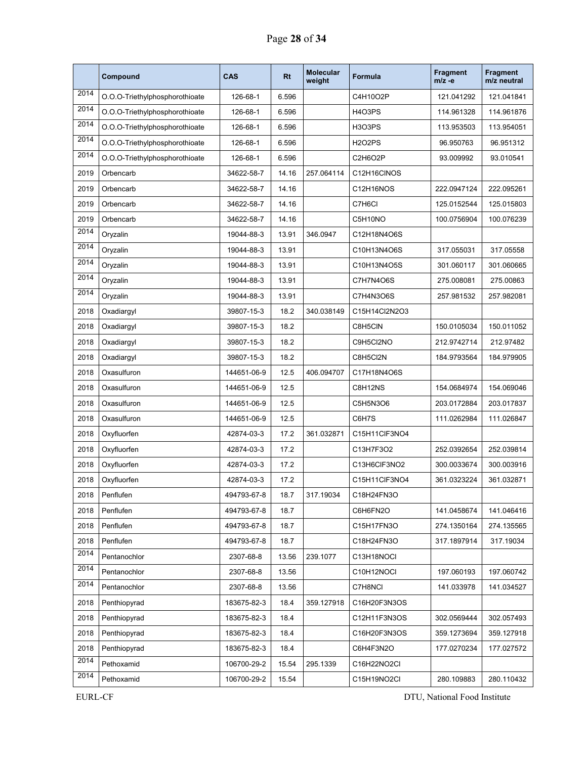|      | Compound                       | CAS         | <b>Rt</b> | <b>Molecular</b><br>weight | Formula       | <b>Fragment</b><br>m/z -e | <b>Fragment</b><br>m/z neutral |
|------|--------------------------------|-------------|-----------|----------------------------|---------------|---------------------------|--------------------------------|
| 2014 | O.O.O-Triethylphosphorothioate | 126-68-1    | 6.596     |                            | C4H10O2P      | 121.041292                | 121.041841                     |
| 2014 | O.O.O-Triethylphosphorothioate | 126-68-1    | 6.596     |                            | H4O3PS        | 114.961328                | 114.961876                     |
| 2014 | O.O.O-Triethylphosphorothioate | 126-68-1    | 6.596     |                            | H3O3PS        | 113.953503                | 113.954051                     |
| 2014 | O.O.O-Triethylphosphorothioate | 126-68-1    | 6.596     |                            | <b>H2O2PS</b> | 96.950763                 | 96.951312                      |
| 2014 | O.O.O-Triethylphosphorothioate | 126-68-1    | 6.596     |                            | C2H6O2P       | 93.009992                 | 93.010541                      |
| 2019 | Orbencarb                      | 34622-58-7  | 14.16     | 257.064114                 | C12H16CINOS   |                           |                                |
| 2019 | Orbencarb                      | 34622-58-7  | 14.16     |                            | C12H16NOS     | 222.0947124               | 222.095261                     |
| 2019 | Orbencarb                      | 34622-58-7  | 14.16     |                            | C7H6CI        | 125.0152544               | 125.015803                     |
| 2019 | Orbencarb                      | 34622-58-7  | 14.16     |                            | C5H10NO       | 100.0756904               | 100.076239                     |
| 2014 | Oryzalin                       | 19044-88-3  | 13.91     | 346.0947                   | C12H18N4O6S   |                           |                                |
| 2014 | Oryzalin                       | 19044-88-3  | 13.91     |                            | C10H13N4O6S   | 317.055031                | 317.05558                      |
| 2014 | Oryzalin                       | 19044-88-3  | 13.91     |                            | C10H13N4O5S   | 301.060117                | 301.060665                     |
| 2014 | Oryzalin                       | 19044-88-3  | 13.91     |                            | C7H7N4O6S     | 275.008081                | 275.00863                      |
| 2014 | Oryzalin                       | 19044-88-3  | 13.91     |                            | C7H4N3O6S     | 257.981532                | 257.982081                     |
| 2018 | Oxadiargyl                     | 39807-15-3  | 18.2      | 340.038149                 | C15H14Cl2N2O3 |                           |                                |
| 2018 | Oxadiargyl                     | 39807-15-3  | 18.2      |                            | C8H5CIN       | 150.0105034               | 150.011052                     |
| 2018 | Oxadiargyl                     | 39807-15-3  | 18.2      |                            | C9H5Cl2NO     | 212.9742714               | 212.97482                      |
| 2018 | Oxadiargyl                     | 39807-15-3  | 18.2      |                            | C8H5Cl2N      | 184.9793564               | 184.979905                     |
| 2018 | Oxasulfuron                    | 144651-06-9 | 12.5      | 406.094707                 | C17H18N4O6S   |                           |                                |
| 2018 | Oxasulfuron                    | 144651-06-9 | 12.5      |                            | C8H12NS       | 154.0684974               | 154.069046                     |
| 2018 | Oxasulfuron                    | 144651-06-9 | 12.5      |                            | C5H5N3O6      | 203.0172884               | 203.017837                     |
| 2018 | Oxasulfuron                    | 144651-06-9 | 12.5      |                            | C6H7S         | 111.0262984               | 111.026847                     |
| 2018 | Oxyfluorfen                    | 42874-03-3  | 17.2      | 361.032871                 | C15H11ClF3NO4 |                           |                                |
| 2018 | Oxyfluorfen                    | 42874-03-3  | 17.2      |                            | C13H7F3O2     | 252.0392654               | 252.039814                     |
| 2018 | Oxyfluorfen                    | 42874-03-3  | 17.2      |                            | C13H6CIF3NO2  | 300.0033674               | 300.003916                     |
| 2018 | Oxyfluorfen                    | 42874-03-3  | 17.2      |                            | C15H11CIF3NO4 | 361.0323224               | 361.032871                     |
| 2018 | Penflufen                      | 494793-67-8 | 18.7      | 317.19034                  | C18H24FN3O    |                           |                                |
| 2018 | Penflufen                      | 494793-67-8 | 18.7      |                            | C6H6FN2O      | 141.0458674               | 141.046416                     |
| 2018 | Penflufen                      | 494793-67-8 | 18.7      |                            | C15H17FN3O    | 274.1350164               | 274.135565                     |
| 2018 | Penflufen                      | 494793-67-8 | 18.7      |                            | C18H24FN3O    | 317.1897914               | 317.19034                      |
| 2014 | Pentanochlor                   | 2307-68-8   | 13.56     | 239.1077                   | C13H18NOCI    |                           |                                |
| 2014 | Pentanochlor                   | 2307-68-8   | 13.56     |                            | C10H12NOCI    | 197.060193                | 197.060742                     |
| 2014 | Pentanochlor                   | 2307-68-8   | 13.56     |                            | C7H8NCI       | 141.033978                | 141.034527                     |
| 2018 | Penthiopyrad                   | 183675-82-3 | 18.4      | 359.127918                 | C16H20F3N3OS  |                           |                                |
| 2018 | Penthiopyrad                   | 183675-82-3 | 18.4      |                            | C12H11F3N3OS  | 302.0569444               | 302.057493                     |
| 2018 | Penthiopyrad                   | 183675-82-3 | 18.4      |                            | C16H20F3N3OS  | 359.1273694               | 359.127918                     |
| 2018 | Penthiopyrad                   | 183675-82-3 | 18.4      |                            | C6H4F3N2O     | 177.0270234               | 177.027572                     |
| 2014 | Pethoxamid                     | 106700-29-2 | 15.54     | 295.1339                   | C16H22NO2Cl   |                           |                                |
| 2014 | Pethoxamid                     | 106700-29-2 | 15.54     |                            | C15H19NO2CI   | 280.109883                | 280.110432                     |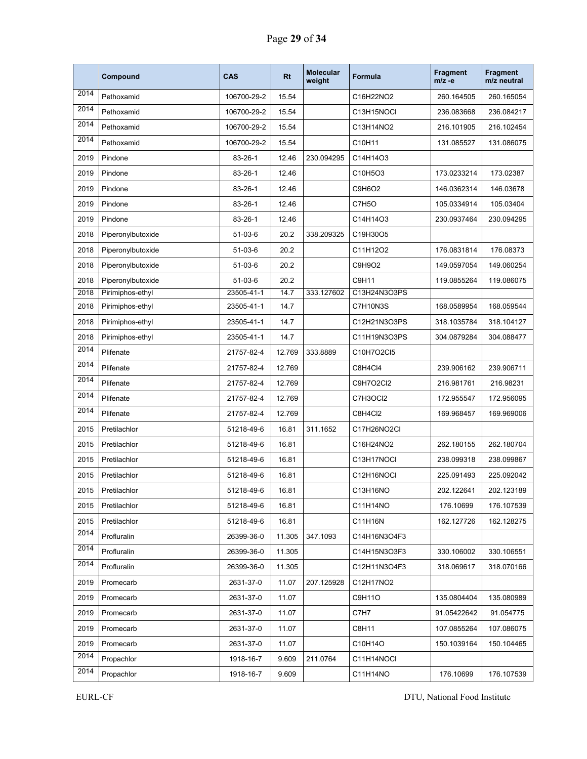|      | Compound          | <b>CAS</b>  | <b>Rt</b> | <b>Molecular</b><br>weight | <b>Formula</b> | <b>Fragment</b><br>$m/z -e$ | Fragment<br>m/z neutral |
|------|-------------------|-------------|-----------|----------------------------|----------------|-----------------------------|-------------------------|
| 2014 | Pethoxamid        | 106700-29-2 | 15.54     |                            | C16H22NO2      | 260.164505                  | 260.165054              |
| 2014 | Pethoxamid        | 106700-29-2 | 15.54     |                            | C13H15NOCI     | 236.083668                  | 236.084217              |
| 2014 | Pethoxamid        | 106700-29-2 | 15.54     |                            | C13H14NO2      | 216.101905                  | 216.102454              |
| 2014 | Pethoxamid        | 106700-29-2 | 15.54     |                            | C10H11         | 131.085527                  | 131.086075              |
| 2019 | Pindone           | 83-26-1     | 12.46     | 230.094295                 | C14H14O3       |                             |                         |
| 2019 | Pindone           | 83-26-1     | 12.46     |                            | C10H5O3        | 173.0233214                 | 173.02387               |
| 2019 | Pindone           | 83-26-1     | 12.46     |                            | C9H6O2         | 146.0362314                 | 146.03678               |
| 2019 | Pindone           | 83-26-1     | 12.46     |                            | C7H5O          | 105.0334914                 | 105.03404               |
| 2019 | Pindone           | 83-26-1     | 12.46     |                            | C14H14O3       | 230.0937464                 | 230.094295              |
| 2018 | Piperonylbutoxide | 51-03-6     | 20.2      | 338.209325                 | C19H30O5       |                             |                         |
| 2018 | Piperonylbutoxide | 51-03-6     | 20.2      |                            | C11H12O2       | 176.0831814                 | 176.08373               |
| 2018 | Piperonylbutoxide | 51-03-6     | 20.2      |                            | C9H9O2         | 149.0597054                 | 149.060254              |
| 2018 | Piperonylbutoxide | 51-03-6     | 20.2      |                            | C9H11          | 119.0855264                 | 119.086075              |
| 2018 | Pirimiphos-ethyl  | 23505-41-1  | 14.7      | 333.127602                 | C13H24N3O3PS   |                             |                         |
| 2018 | Pirimiphos-ethyl  | 23505-41-1  | 14.7      |                            | C7H10N3S       | 168.0589954                 | 168.059544              |
| 2018 | Pirimiphos-ethyl  | 23505-41-1  | 14.7      |                            | C12H21N3O3PS   | 318.1035784                 | 318.104127              |
| 2018 | Pirimiphos-ethyl  | 23505-41-1  | 14.7      |                            | C11H19N3O3PS   | 304.0879284                 | 304.088477              |
| 2014 | Plifenate         | 21757-82-4  | 12.769    | 333.8889                   | C10H7O2Cl5     |                             |                         |
| 2014 | Plifenate         | 21757-82-4  | 12.769    |                            | C8H4Cl4        | 239.906162                  | 239.906711              |
| 2014 | Plifenate         | 21757-82-4  | 12.769    |                            | C9H7O2Cl2      | 216.981761                  | 216.98231               |
| 2014 | Plifenate         | 21757-82-4  | 12.769    |                            | C7H3OCI2       | 172.955547                  | 172.956095              |
| 2014 | Plifenate         | 21757-82-4  | 12.769    |                            | C8H4Cl2        | 169.968457                  | 169.969006              |
| 2015 | Pretilachlor      | 51218-49-6  | 16.81     | 311.1652                   | C17H26NO2Cl    |                             |                         |
| 2015 | Pretilachlor      | 51218-49-6  | 16.81     |                            | C16H24NO2      | 262.180155                  | 262.180704              |
| 2015 | Pretilachlor      | 51218-49-6  | 16.81     |                            | C13H17NOCI     | 238.099318                  | 238.099867              |
| 2015 | Pretilachlor      | 51218-49-6  | 16.81     |                            | C12H16NOCI     | 225.091493                  | 225.092042              |
| 2015 | Pretilachlor      | 51218-49-6  | 16.81     |                            | C13H16NO       | 202.122641                  | 202.123189              |
| 2015 | Pretilachlor      | 51218-49-6  | 16.81     |                            | C11H14NO       | 176.10699                   | 176.107539              |
| 2015 | Pretilachlor      | 51218-49-6  | 16.81     |                            | C11H16N        | 162.127726                  | 162.128275              |
| 2014 | Profluralin       | 26399-36-0  | 11.305    | 347.1093                   | C14H16N3O4F3   |                             |                         |
| 2014 | Profluralin       | 26399-36-0  | 11.305    |                            | C14H15N3O3F3   | 330.106002                  | 330.106551              |
| 2014 | Profluralin       | 26399-36-0  | 11.305    |                            | C12H11N3O4F3   | 318.069617                  | 318.070166              |
| 2019 | Promecarb         | 2631-37-0   | 11.07     | 207.125928                 | C12H17NO2      |                             |                         |
| 2019 | Promecarb         | 2631-37-0   | 11.07     |                            | C9H11O         | 135.0804404                 | 135.080989              |
| 2019 | Promecarb         | 2631-37-0   | 11.07     |                            | C7H7           | 91.05422642                 | 91.054775               |
| 2019 | Promecarb         | 2631-37-0   | 11.07     |                            | C8H11          | 107.0855264                 | 107.086075              |
| 2019 | Promecarb         | 2631-37-0   | 11.07     |                            | C10H14O        | 150.1039164                 | 150.104465              |
| 2014 | Propachlor        | 1918-16-7   | 9.609     | 211.0764                   | C11H14NOCI     |                             |                         |
| 2014 | Propachlor        | 1918-16-7   | 9.609     |                            | C11H14NO       | 176.10699                   | 176.107539              |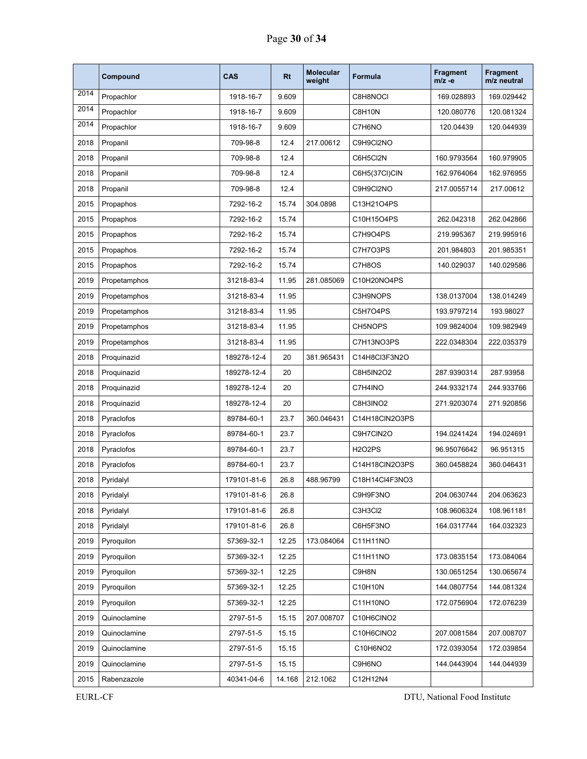|      | Compound     | <b>CAS</b>  | <b>Rt</b> | <b>Molecular</b><br>weight | Formula        | <b>Fragment</b><br>$m/z -e$ | Fragment<br>m/z neutral |
|------|--------------|-------------|-----------|----------------------------|----------------|-----------------------------|-------------------------|
| 2014 | Propachlor   | 1918-16-7   | 9.609     |                            | C8H8NOCI       | 169.028893                  | 169.029442              |
| 2014 | Propachlor   | 1918-16-7   | 9.609     |                            | C8H10N         | 120.080776                  | 120.081324              |
| 2014 | Propachlor   | 1918-16-7   | 9.609     |                            | C7H6NO         | 120.04439                   | 120.044939              |
| 2018 | Propanil     | 709-98-8    | 12.4      | 217.00612                  | C9H9Cl2NO      |                             |                         |
| 2018 | Propanil     | 709-98-8    | 12.4      |                            | C6H5Cl2N       | 160.9793564                 | 160.979905              |
| 2018 | Propanil     | 709-98-8    | 12.4      |                            | C6H5(37CI)CIN  | 162.9764064                 | 162.976955              |
| 2018 | Propanil     | 709-98-8    | 12.4      |                            | C9H9Cl2NO      | 217.0055714                 | 217.00612               |
| 2015 | Propaphos    | 7292-16-2   | 15.74     | 304.0898                   | C13H21O4PS     |                             |                         |
| 2015 | Propaphos    | 7292-16-2   | 15.74     |                            | C10H15O4PS     | 262.042318                  | 262.042866              |
| 2015 | Propaphos    | 7292-16-2   | 15.74     |                            | C7H9O4PS       | 219.995367                  | 219.995916              |
| 2015 | Propaphos    | 7292-16-2   | 15.74     |                            | C7H7O3PS       | 201.984803                  | 201.985351              |
| 2015 | Propaphos    | 7292-16-2   | 15.74     |                            | C7H8OS         | 140.029037                  | 140.029586              |
| 2019 | Propetamphos | 31218-83-4  | 11.95     | 281.085069                 | C10H20NO4PS    |                             |                         |
| 2019 | Propetamphos | 31218-83-4  | 11.95     |                            | C3H9NOPS       | 138.0137004                 | 138.014249              |
| 2019 | Propetamphos | 31218-83-4  | 11.95     |                            | C5H7O4PS       | 193.9797214                 | 193.98027               |
| 2019 | Propetamphos | 31218-83-4  | 11.95     |                            | CH5NOPS        | 109.9824004                 | 109.982949              |
| 2019 | Propetamphos | 31218-83-4  | 11.95     |                            | C7H13NO3PS     | 222.0348304                 | 222.035379              |
| 2018 | Proquinazid  | 189278-12-4 | 20        | 381.965431                 | C14H8Cl3F3N2O  |                             |                         |
| 2018 | Proquinazid  | 189278-12-4 | 20        |                            | C8H5IN2O2      | 287.9390314                 | 287.93958               |
| 2018 | Proquinazid  | 189278-12-4 | 20        |                            | C7H4INO        | 244.9332174                 | 244.933766              |
| 2018 | Proquinazid  | 189278-12-4 | 20        |                            | C8H3INO2       | 271.9203074                 | 271.920856              |
| 2018 | Pyraclofos   | 89784-60-1  | 23.7      | 360.046431                 | C14H18CIN2O3PS |                             |                         |
| 2018 | Pyraclofos   | 89784-60-1  | 23.7      |                            | C9H7CIN2O      | 194.0241424                 | 194.024691              |
| 2018 | Pyraclofos   | 89784-60-1  | 23.7      |                            | <b>H2O2PS</b>  | 96.95076642                 | 96.951315               |
| 2018 | Pyraclofos   | 89784-60-1  | 23.7      |                            | C14H18CIN2O3PS | 360.0458824                 | 360.046431              |
| 2018 | Pyridalyl    | 179101-81-6 | 26.8      | 488.96799                  | C18H14Cl4F3NO3 |                             |                         |
| 2018 | Pyridalyl    | 179101-81-6 | 26.8      |                            | C9H9F3NO       | 204.0630744                 | 204.063623              |
| 2018 | Pyridalyl    | 179101-81-6 | 26.8      |                            | C3H3Cl2        | 108.9606324                 | 108.961181              |
| 2018 | Pyridalyl    | 179101-81-6 | 26.8      |                            | C6H5F3NO       | 164.0317744                 | 164.032323              |
| 2019 | Pyroquilon   | 57369-32-1  | 12.25     | 173.084064                 | C11H11NO       |                             |                         |
| 2019 | Pyroquilon   | 57369-32-1  | 12.25     |                            | C11H11NO       | 173.0835154                 | 173.084064              |
| 2019 | Pyroquilon   | 57369-32-1  | 12.25     |                            | C9H8N          | 130.0651254                 | 130.065674              |
| 2019 | Pyroquilon   | 57369-32-1  | 12.25     |                            | C10H10N        | 144.0807754                 | 144.081324              |
| 2019 | Pyroquilon   | 57369-32-1  | 12.25     |                            | C11H10NO       | 172.0756904                 | 172.076239              |
| 2019 | Quinoclamine | 2797-51-5   | 15.15     | 207.008707                 | C10H6CINO2     |                             |                         |
| 2019 | Quinoclamine | 2797-51-5   | 15.15     |                            | C10H6CINO2     | 207.0081584                 | 207.008707              |
| 2019 | Quinoclamine | 2797-51-5   | 15.15     |                            | C10H6NO2       | 172.0393054                 | 172.039854              |
| 2019 | Quinoclamine | 2797-51-5   | 15.15     |                            | C9H6NO         | 144.0443904                 | 144.044939              |
| 2015 | Rabenzazole  | 40341-04-6  | 14.168    | 212.1062                   | C12H12N4       |                             |                         |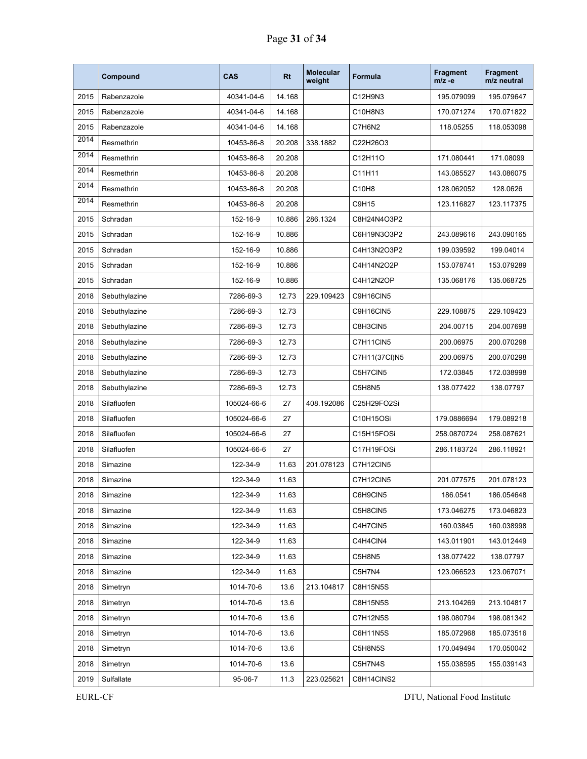|      | Compound      | CAS         | <b>Rt</b> | <b>Molecular</b><br>weight | Formula       | <b>Fragment</b><br>$m/z -e$ | <b>Fragment</b><br>m/z neutral |
|------|---------------|-------------|-----------|----------------------------|---------------|-----------------------------|--------------------------------|
| 2015 | Rabenzazole   | 40341-04-6  | 14.168    |                            | C12H9N3       | 195.079099                  | 195.079647                     |
| 2015 | Rabenzazole   | 40341-04-6  | 14.168    |                            | C10H8N3       | 170.071274                  | 170.071822                     |
| 2015 | Rabenzazole   | 40341-04-6  | 14.168    |                            | C7H6N2        | 118.05255                   | 118.053098                     |
| 2014 | Resmethrin    | 10453-86-8  | 20.208    | 338.1882                   | C22H26O3      |                             |                                |
| 2014 | Resmethrin    | 10453-86-8  | 20.208    |                            | C12H11O       | 171.080441                  | 171.08099                      |
| 2014 | Resmethrin    | 10453-86-8  | 20.208    |                            | C11H11        | 143.085527                  | 143.086075                     |
| 2014 | Resmethrin    | 10453-86-8  | 20.208    |                            | C10H8         | 128.062052                  | 128.0626                       |
| 2014 | Resmethrin    | 10453-86-8  | 20.208    |                            | C9H15         | 123.116827                  | 123.117375                     |
| 2015 | Schradan      | 152-16-9    | 10.886    | 286.1324                   | C8H24N4O3P2   |                             |                                |
| 2015 | Schradan      | 152-16-9    | 10.886    |                            | C6H19N3O3P2   | 243.089616                  | 243.090165                     |
| 2015 | Schradan      | 152-16-9    | 10.886    |                            | C4H13N2O3P2   | 199.039592                  | 199.04014                      |
| 2015 | Schradan      | 152-16-9    | 10.886    |                            | C4H14N2O2P    | 153.078741                  | 153.079289                     |
| 2015 | Schradan      | 152-16-9    | 10.886    |                            | C4H12N2OP     | 135.068176                  | 135.068725                     |
| 2018 | Sebuthylazine | 7286-69-3   | 12.73     | 229.109423                 | C9H16CIN5     |                             |                                |
| 2018 | Sebuthylazine | 7286-69-3   | 12.73     |                            | C9H16CIN5     | 229.108875                  | 229.109423                     |
| 2018 | Sebuthylazine | 7286-69-3   | 12.73     |                            | C8H3CIN5      | 204.00715                   | 204.007698                     |
| 2018 | Sebuthylazine | 7286-69-3   | 12.73     |                            | C7H11CIN5     | 200.06975                   | 200.070298                     |
| 2018 | Sebuthylazine | 7286-69-3   | 12.73     |                            | C7H11(37Cl)N5 | 200.06975                   | 200.070298                     |
| 2018 | Sebuthylazine | 7286-69-3   | 12.73     |                            | C5H7CIN5      | 172.03845                   | 172.038998                     |
| 2018 | Sebuthylazine | 7286-69-3   | 12.73     |                            | C5H8N5        | 138.077422                  | 138.07797                      |
| 2018 | Silafluofen   | 105024-66-6 | 27        | 408.192086                 | C25H29FO2Si   |                             |                                |
| 2018 | Silafluofen   | 105024-66-6 | 27        |                            | C10H15OSi     | 179.0886694                 | 179.089218                     |
| 2018 | Silafluofen   | 105024-66-6 | 27        |                            | C15H15FOSi    | 258.0870724                 | 258.087621                     |
| 2018 | Silafluofen   | 105024-66-6 | 27        |                            | C17H19FOSi    | 286.1183724                 | 286.118921                     |
| 2018 | Simazine      | 122-34-9    | 11.63     | 201.078123                 | C7H12CIN5     |                             |                                |
| 2018 | Simazine      | 122-34-9    | 11.63     |                            | C7H12CIN5     | 201.077575                  | 201.078123                     |
| 2018 | Simazine      | 122-34-9    | 11.63     |                            | C6H9CIN5      | 186.0541                    | 186.054648                     |
| 2018 | Simazine      | 122-34-9    | 11.63     |                            | C5H8CIN5      | 173.046275                  | 173.046823                     |
| 2018 | Simazine      | 122-34-9    | 11.63     |                            | C4H7CIN5      | 160.03845                   | 160.038998                     |
| 2018 | Simazine      | 122-34-9    | 11.63     |                            | C4H4CIN4      | 143.011901                  | 143.012449                     |
| 2018 | Simazine      | 122-34-9    | 11.63     |                            | C5H8N5        | 138.077422                  | 138.07797                      |
| 2018 | Simazine      | 122-34-9    | 11.63     |                            | C5H7N4        | 123.066523                  | 123.067071                     |
| 2018 | Simetryn      | 1014-70-6   | 13.6      | 213.104817                 | C8H15N5S      |                             |                                |
| 2018 | Simetryn      | 1014-70-6   | 13.6      |                            | C8H15N5S      | 213.104269                  | 213.104817                     |
| 2018 | Simetryn      | 1014-70-6   | 13.6      |                            | C7H12N5S      | 198.080794                  | 198.081342                     |
| 2018 | Simetryn      | 1014-70-6   | 13.6      |                            | C6H11N5S      | 185.072968                  | 185.073516                     |
| 2018 | Simetryn      | 1014-70-6   | 13.6      |                            | C5H8N5S       | 170.049494                  | 170.050042                     |
| 2018 | Simetryn      | 1014-70-6   | 13.6      |                            | C5H7N4S       | 155.038595                  | 155.039143                     |
| 2019 | Sulfallate    | 95-06-7     | 11.3      | 223.025621                 | C8H14CINS2    |                             |                                |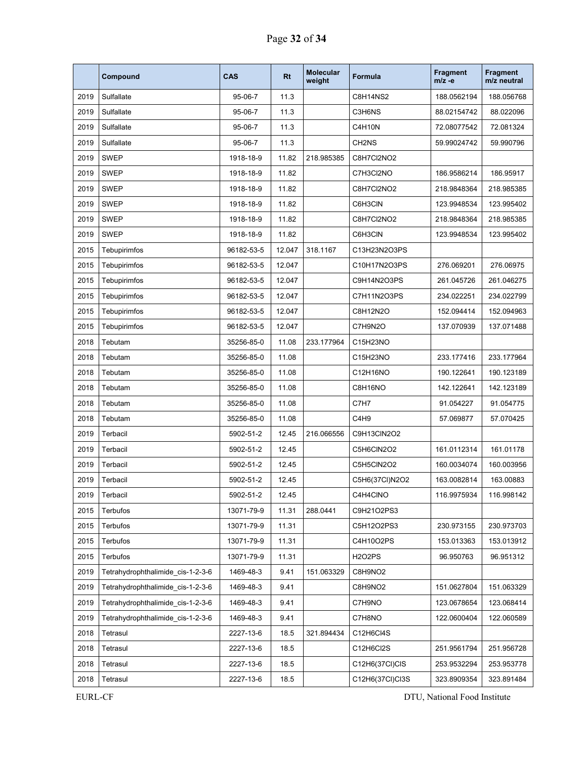|      | Compound                          | <b>CAS</b>    | Rt     | <b>Molecular</b><br>weight | Formula           | <b>Fragment</b><br>m/z -e | <b>Fragment</b><br>m/z neutral |
|------|-----------------------------------|---------------|--------|----------------------------|-------------------|---------------------------|--------------------------------|
| 2019 | Sulfallate                        | $95 - 06 - 7$ | 11.3   |                            | <b>C8H14NS2</b>   | 188.0562194               | 188.056768                     |
| 2019 | Sulfallate                        | $95 - 06 - 7$ | 11.3   |                            | C3H6NS            | 88.02154742               | 88.022096                      |
| 2019 | Sulfallate                        | 95-06-7       | 11.3   |                            | C4H10N            | 72.08077542               | 72.081324                      |
| 2019 | Sulfallate                        | $95 - 06 - 7$ | 11.3   |                            | CH <sub>2NS</sub> | 59.99024742               | 59.990796                      |
| 2019 | <b>SWEP</b>                       | 1918-18-9     | 11.82  | 218.985385                 | C8H7Cl2NO2        |                           |                                |
| 2019 | <b>SWEP</b>                       | 1918-18-9     | 11.82  |                            | C7H3Cl2NO         | 186.9586214               | 186.95917                      |
| 2019 | <b>SWEP</b>                       | 1918-18-9     | 11.82  |                            | C8H7Cl2NO2        | 218.9848364               | 218.985385                     |
| 2019 | <b>SWEP</b>                       | 1918-18-9     | 11.82  |                            | C6H3CIN           | 123.9948534               | 123.995402                     |
| 2019 | <b>SWEP</b>                       | 1918-18-9     | 11.82  |                            | C8H7Cl2NO2        | 218.9848364               | 218.985385                     |
| 2019 | <b>SWEP</b>                       | 1918-18-9     | 11.82  |                            | C6H3CIN           | 123.9948534               | 123.995402                     |
| 2015 | Tebupirimfos                      | 96182-53-5    | 12.047 | 318.1167                   | C13H23N2O3PS      |                           |                                |
| 2015 | Tebupirimfos                      | 96182-53-5    | 12.047 |                            | C10H17N2O3PS      | 276.069201                | 276.06975                      |
| 2015 | Tebupirimfos                      | 96182-53-5    | 12.047 |                            | C9H14N2O3PS       | 261.045726                | 261.046275                     |
| 2015 | Tebupirimfos                      | 96182-53-5    | 12.047 |                            | C7H11N2O3PS       | 234.022251                | 234.022799                     |
| 2015 | Tebupirimfos                      | 96182-53-5    | 12.047 |                            | C8H12N2O          | 152.094414                | 152.094963                     |
| 2015 | Tebupirimfos                      | 96182-53-5    | 12.047 |                            | C7H9N2O           | 137.070939                | 137.071488                     |
| 2018 | Tebutam                           | 35256-85-0    | 11.08  | 233.177964                 | C15H23NO          |                           |                                |
| 2018 | Tebutam                           | 35256-85-0    | 11.08  |                            | C15H23NO          | 233.177416                | 233.177964                     |
| 2018 | Tebutam                           | 35256-85-0    | 11.08  |                            | C12H16NO          | 190.122641                | 190.123189                     |
| 2018 | Tebutam                           | 35256-85-0    | 11.08  |                            | C8H16NO           | 142.122641                | 142.123189                     |
| 2018 | Tebutam                           | 35256-85-0    | 11.08  |                            | C7H7              | 91.054227                 | 91.054775                      |
| 2018 | Tebutam                           | 35256-85-0    | 11.08  |                            | C4H9              | 57.069877                 | 57.070425                      |
| 2019 | Terbacil                          | 5902-51-2     | 12.45  | 216.066556                 | C9H13CIN2O2       |                           |                                |
| 2019 | Terbacil                          | 5902-51-2     | 12.45  |                            | C5H6CIN2O2        | 161.0112314               | 161.01178                      |
| 2019 | Terbacil                          | 5902-51-2     | 12.45  |                            | C5H5CIN2O2        | 160.0034074               | 160.003956                     |
| 2019 | Terbacil                          | 5902-51-2     | 12.45  |                            | C5H6(37Cl)N2O2    | 163.0082814               | 163.00883                      |
| 2019 | Terbacil                          | 5902-51-2     | 12.45  |                            | C4H4CINO          | 116.9975934               | 116.998142                     |
| 2015 | Terbufos                          | 13071-79-9    | 11.31  | 288.0441                   | C9H21O2PS3        |                           |                                |
| 2015 | Terbufos                          | 13071-79-9    | 11.31  |                            | C5H12O2PS3        | 230.973155                | 230.973703                     |
| 2015 | Terbufos                          | 13071-79-9    | 11.31  |                            | C4H10O2PS         | 153.013363                | 153.013912                     |
| 2015 | Terbufos                          | 13071-79-9    | 11.31  |                            | <b>H2O2PS</b>     | 96.950763                 | 96.951312                      |
| 2019 | Tetrahydrophthalimide cis-1-2-3-6 | 1469-48-3     | 9.41   | 151.063329                 | C8H9NO2           |                           |                                |
| 2019 | Tetrahydrophthalimide_cis-1-2-3-6 | 1469-48-3     | 9.41   |                            | C8H9NO2           | 151.0627804               | 151.063329                     |
| 2019 | Tetrahydrophthalimide_cis-1-2-3-6 | 1469-48-3     | 9.41   |                            | C7H9NO            | 123.0678654               | 123.068414                     |
| 2019 | Tetrahydrophthalimide_cis-1-2-3-6 | 1469-48-3     | 9.41   |                            | C7H8NO            | 122.0600404               | 122.060589                     |
| 2018 | Tetrasul                          | 2227-13-6     | 18.5   | 321.894434                 | C12H6Cl4S         |                           |                                |
| 2018 | Tetrasul                          | 2227-13-6     | 18.5   |                            | C12H6Cl2S         | 251.9561794               | 251.956728                     |
| 2018 | Tetrasul                          | 2227-13-6     | 18.5   |                            | C12H6(37CI)CIS    | 253.9532294               | 253.953778                     |
| 2018 | Tetrasul                          | 2227-13-6     | 18.5   |                            | C12H6(37CI)Cl3S   | 323.8909354               | 323.891484                     |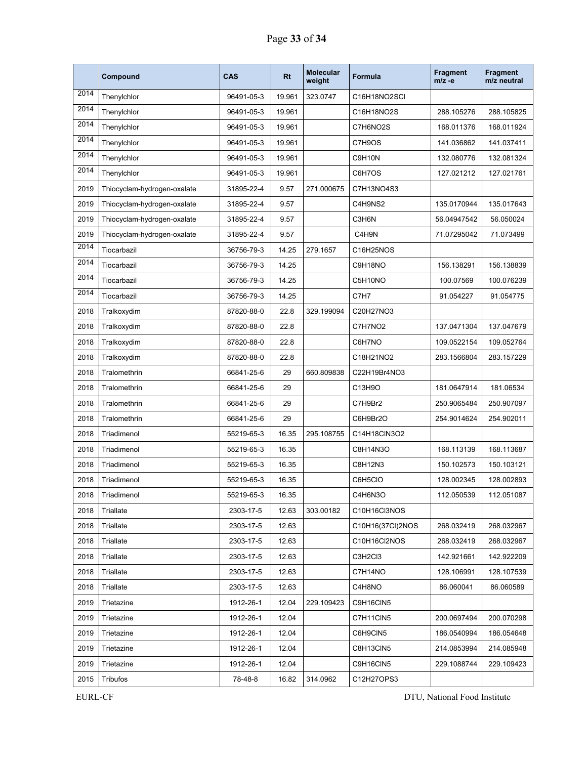|      | Compound                    | <b>CAS</b> | <b>Rt</b> | <b>Molecular</b><br>weight | Formula                          | <b>Fragment</b><br>$m/z -e$ | <b>Fragment</b><br>m/z neutral |
|------|-----------------------------|------------|-----------|----------------------------|----------------------------------|-----------------------------|--------------------------------|
| 2014 | Thenylchlor                 | 96491-05-3 | 19.961    | 323.0747                   | C16H18NO2SCI                     |                             |                                |
| 2014 | Thenylchlor                 | 96491-05-3 | 19.961    |                            | C16H18NO2S                       | 288.105276                  | 288.105825                     |
| 2014 | Thenylchlor                 | 96491-05-3 | 19.961    |                            | C7H6NO2S                         | 168.011376                  | 168.011924                     |
| 2014 | Thenylchlor                 | 96491-05-3 | 19.961    |                            | C7H9OS                           | 141.036862                  | 141.037411                     |
| 2014 | Thenylchlor                 | 96491-05-3 | 19.961    |                            | C9H10N                           | 132.080776                  | 132.081324                     |
| 2014 | Thenylchlor                 | 96491-05-3 | 19.961    |                            | C6H7OS                           | 127.021212                  | 127.021761                     |
| 2019 | Thiocyclam-hydrogen-oxalate | 31895-22-4 | 9.57      | 271.000675                 | C7H13NO4S3                       |                             |                                |
| 2019 | Thiocyclam-hydrogen-oxalate | 31895-22-4 | 9.57      |                            | C4H9NS2                          | 135.0170944                 | 135.017643                     |
| 2019 | Thiocyclam-hydrogen-oxalate | 31895-22-4 | 9.57      |                            | C3H6N                            | 56.04947542                 | 56.050024                      |
| 2019 | Thiocyclam-hydrogen-oxalate | 31895-22-4 | 9.57      |                            | C4H9N                            | 71.07295042                 | 71.073499                      |
| 2014 | Tiocarbazil                 | 36756-79-3 | 14.25     | 279.1657                   | C16H25NOS                        |                             |                                |
| 2014 | Tiocarbazil                 | 36756-79-3 | 14.25     |                            | C9H18NO                          | 156.138291                  | 156.138839                     |
| 2014 | Tiocarbazil                 | 36756-79-3 | 14.25     |                            | C5H10NO                          | 100.07569                   | 100.076239                     |
| 2014 | Tiocarbazil                 | 36756-79-3 | 14.25     |                            | C7H7                             | 91.054227                   | 91.054775                      |
| 2018 | Tralkoxydim                 | 87820-88-0 | 22.8      | 329.199094                 | C20H27NO3                        |                             |                                |
| 2018 | Tralkoxydim                 | 87820-88-0 | 22.8      |                            | C7H7NO2                          | 137.0471304                 | 137.047679                     |
| 2018 | Tralkoxydim                 | 87820-88-0 | 22.8      |                            | C6H7NO                           | 109.0522154                 | 109.052764                     |
| 2018 | Tralkoxydim                 | 87820-88-0 | 22.8      |                            | C18H21NO2                        | 283.1566804                 | 283.157229                     |
| 2018 | Tralomethrin                | 66841-25-6 | 29        | 660.809838                 | C22H19Br4NO3                     |                             |                                |
| 2018 | Tralomethrin                | 66841-25-6 | 29        |                            | C13H9O                           | 181.0647914                 | 181.06534                      |
| 2018 | Tralomethrin                | 66841-25-6 | 29        |                            | C7H9Br2                          | 250.9065484                 | 250.907097                     |
| 2018 | Tralomethrin                | 66841-25-6 | 29        |                            | C6H9Br2O                         | 254.9014624                 | 254.902011                     |
| 2018 | Triadimenol                 | 55219-65-3 | 16.35     | 295.108755                 | C14H18CIN3O2                     |                             |                                |
| 2018 | Triadimenol                 | 55219-65-3 | 16.35     |                            | C8H14N3O                         | 168.113139                  | 168.113687                     |
| 2018 | Triadimenol                 | 55219-65-3 | 16.35     |                            | C8H12N3                          | 150.102573                  | 150.103121                     |
| 2018 | Triadimenol                 | 55219-65-3 | 16.35     |                            | C6H5CIO                          | 128.002345                  | 128.002893                     |
| 2018 | Triadimenol                 | 55219-65-3 | 16.35     |                            | C4H6N3O                          | 112.050539                  | 112.051087                     |
| 2018 | Triallate                   | 2303-17-5  | 12.63     | 303.00182                  | C10H16Cl3NOS                     |                             |                                |
| 2018 | Triallate                   | 2303-17-5  | 12.63     |                            | C10H16(37CI)2NOS                 | 268.032419                  | 268.032967                     |
| 2018 | Triallate                   | 2303-17-5  | 12.63     |                            | C10H16Cl2NOS                     | 268.032419                  | 268.032967                     |
| 2018 | Triallate                   | 2303-17-5  | 12.63     |                            | C3H <sub>2</sub> C <sub>13</sub> | 142.921661                  | 142.922209                     |
| 2018 | Triallate                   | 2303-17-5  | 12.63     |                            | C7H14NO                          | 128.106991                  | 128.107539                     |
| 2018 | Triallate                   | 2303-17-5  | 12.63     |                            | C4H8NO                           | 86.060041                   | 86.060589                      |
| 2019 | Trietazine                  | 1912-26-1  | 12.04     | 229.109423                 | C9H16CIN5                        |                             |                                |
| 2019 | Trietazine                  | 1912-26-1  | 12.04     |                            | C7H11CIN5                        | 200.0697494                 | 200.070298                     |
| 2019 | Trietazine                  | 1912-26-1  | 12.04     |                            | C6H9CIN5                         | 186.0540994                 | 186.054648                     |
| 2019 | Trietazine                  | 1912-26-1  | 12.04     |                            | C8H13CIN5                        | 214.0853994                 | 214.085948                     |
| 2019 | Trietazine                  | 1912-26-1  | 12.04     |                            | C9H16CIN5                        | 229.1088744                 | 229.109423                     |
| 2015 | Tribufos                    | 78-48-8    | 16.82     | 314.0962                   | C12H27OPS3                       |                             |                                |